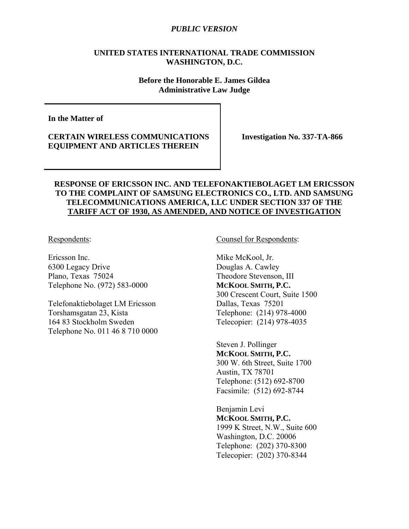### **UNITED STATES INTERNATIONAL TRADE COMMISSION WASHINGTON, D.C.**

**Before the Honorable E. James Gildea Administrative Law Judge**

**In the Matter of** 

**CERTAIN WIRELESS COMMUNICATIONS EQUIPMENT AND ARTICLES THEREIN** 

**Investigation No. 337-TA-866** 

### **RESPONSE OF ERICSSON INC. AND TELEFONAKTIEBOLAGET LM ERICSSON TO THE COMPLAINT OF SAMSUNG ELECTRONICS CO., LTD. AND SAMSUNG TELECOMMUNICATIONS AMERICA, LLC UNDER SECTION 337 OF THE TARIFF ACT OF 1930, AS AMENDED, AND NOTICE OF INVESTIGATION**

Respondents:

Ericsson Inc. 6300 Legacy Drive Plano, Texas 75024 Telephone No. (972) 583-0000

Telefonaktiebolaget LM Ericsson Torshamsgatan 23, Kista 164 83 Stockholm Sweden Telephone No. 011 46 8 710 0000 Counsel for Respondents:

Mike McKool, Jr. Douglas A. Cawley Theodore Stevenson, III **MCKOOL SMITH, P.C.** 300 Crescent Court, Suite 1500 Dallas, Texas 75201 Telephone: (214) 978-4000 Telecopier: (214) 978-4035

Steven J. Pollinger **MCKOOL SMITH, P.C.**  300 W. 6th Street, Suite 1700 Austin, TX 78701 Telephone: (512) 692-8700 Facsimile: (512) 692-8744

Benjamin Levi **MCKOOL SMITH, P.C.** 1999 K Street, N.W., Suite 600 Washington, D.C. 20006 Telephone: (202) 370-8300 Telecopier: (202) 370-8344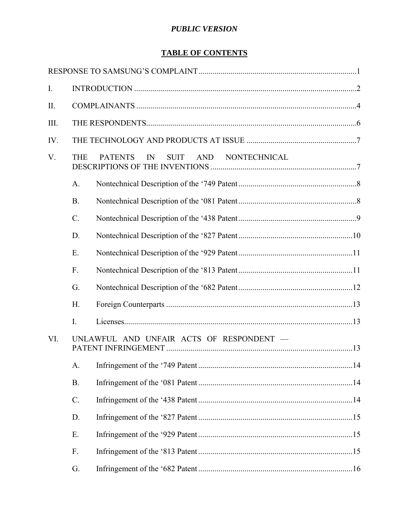# **TABLE OF CONTENTS**

| I.          |                 |                                                            |  |
|-------------|-----------------|------------------------------------------------------------|--|
| $\prod$     |                 |                                                            |  |
| III.        |                 |                                                            |  |
| IV.         |                 |                                                            |  |
| $V_{\cdot}$ | <b>THE</b>      | AND<br>NONTECHNICAL<br><b>PATENTS</b><br>IN<br><b>SUIT</b> |  |
|             | A.              |                                                            |  |
|             | <b>B.</b>       |                                                            |  |
|             | $\mathcal{C}$ . |                                                            |  |
|             | D.              |                                                            |  |
|             | Ε.              |                                                            |  |
|             | $F_{\cdot}$     |                                                            |  |
|             | G.              |                                                            |  |
|             | H.              |                                                            |  |
|             | I.              |                                                            |  |
| VI.         |                 | UNLAWFUL AND UNFAIR ACTS OF RESPONDENT -                   |  |
|             | A.              |                                                            |  |
|             | B.              |                                                            |  |
|             | $C$ .           |                                                            |  |
|             | D.              |                                                            |  |
|             | Ε.              |                                                            |  |
|             | F.              |                                                            |  |
|             | G.              |                                                            |  |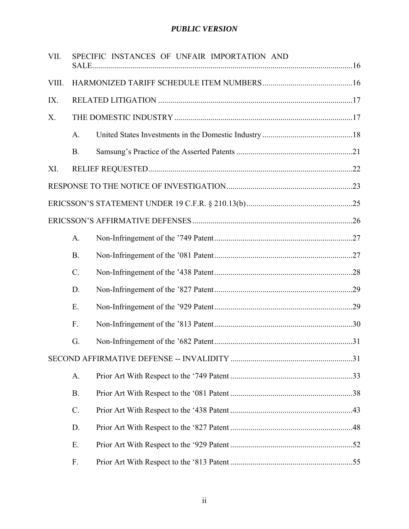| VII.  |           | SPECIFIC INSTANCES OF UNFAIR IMPORTATION AND |  |
|-------|-----------|----------------------------------------------|--|
| VIII. |           |                                              |  |
| IX.   |           |                                              |  |
| Χ.    |           |                                              |  |
|       | A.        |                                              |  |
|       | <b>B.</b> |                                              |  |
| XI.   |           |                                              |  |
|       |           |                                              |  |
|       |           |                                              |  |
|       |           |                                              |  |
|       | A.        |                                              |  |
|       | <b>B.</b> |                                              |  |
|       | $C$ .     |                                              |  |
|       | D.        |                                              |  |
|       | E.        |                                              |  |
|       | F.        |                                              |  |
|       | G.        |                                              |  |
|       |           |                                              |  |
|       | A.        |                                              |  |
|       | <b>B.</b> |                                              |  |
|       | $C$ .     |                                              |  |
|       | D.        |                                              |  |
|       | Ε.        |                                              |  |
|       | F.        |                                              |  |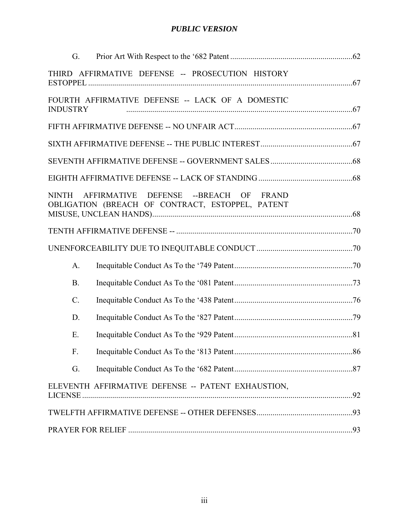| G.              |                                                                                           |  |
|-----------------|-------------------------------------------------------------------------------------------|--|
|                 | THIRD AFFIRMATIVE DEFENSE -- PROSECUTION HISTORY                                          |  |
| <b>INDUSTRY</b> | FOURTH AFFIRMATIVE DEFENSE -- LACK OF A DOMESTIC                                          |  |
|                 |                                                                                           |  |
|                 |                                                                                           |  |
|                 |                                                                                           |  |
|                 |                                                                                           |  |
| <b>NINTH</b>    | AFFIRMATIVE DEFENSE --BREACH OF FRAND<br>OBLIGATION (BREACH OF CONTRACT, ESTOPPEL, PATENT |  |
|                 |                                                                                           |  |
|                 |                                                                                           |  |
| $A_{\cdot}$     |                                                                                           |  |
|                 |                                                                                           |  |
| <b>B.</b>       |                                                                                           |  |
| $\mathcal{C}$ . |                                                                                           |  |
| D.              |                                                                                           |  |
| Ε.              |                                                                                           |  |
| F.              |                                                                                           |  |
| G.              |                                                                                           |  |
|                 | ELEVENTH AFFIRMATIVE DEFENSE -- PATENT EXHAUSTION,                                        |  |
|                 |                                                                                           |  |
|                 |                                                                                           |  |
|                 |                                                                                           |  |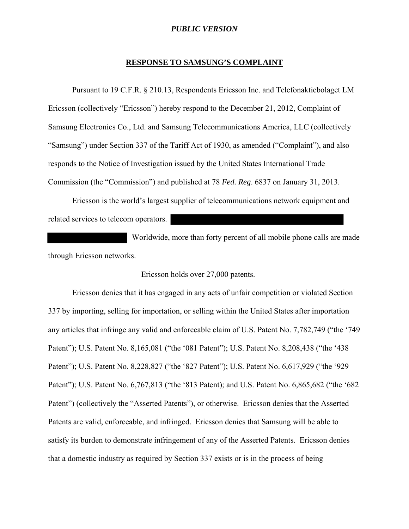#### **RESPONSE TO SAMSUNG'S COMPLAINT**

Pursuant to 19 C.F.R. § 210.13, Respondents Ericsson Inc. and Telefonaktiebolaget LM Ericsson (collectively "Ericsson") hereby respond to the December 21, 2012, Complaint of Samsung Electronics Co., Ltd. and Samsung Telecommunications America, LLC (collectively "Samsung") under Section 337 of the Tariff Act of 1930, as amended ("Complaint"), and also responds to the Notice of Investigation issued by the United States International Trade Commission (the "Commission") and published at 78 *Fed. Reg*. 6837 on January 31, 2013.

Ericsson is the world's largest supplier of telecommunications network equipment and related services to telecom operators.

 Worldwide, more than forty percent of all mobile phone calls are made through Ericsson networks.

#### Ericsson holds over 27,000 patents.

Ericsson denies that it has engaged in any acts of unfair competition or violated Section 337 by importing, selling for importation, or selling within the United States after importation any articles that infringe any valid and enforceable claim of U.S. Patent No. 7,782,749 ("the '749 Patent"); U.S. Patent No. 8,165,081 ("the '081 Patent"); U.S. Patent No. 8,208,438 ("the '438 Patent"); U.S. Patent No. 8,228,827 ("the '827 Patent"); U.S. Patent No. 6,617,929 ("the '929 Patent"); U.S. Patent No. 6,767,813 ("the '813 Patent); and U.S. Patent No. 6,865,682 ("the '682 Patent") (collectively the "Asserted Patents"), or otherwise. Ericsson denies that the Asserted Patents are valid, enforceable, and infringed. Ericsson denies that Samsung will be able to satisfy its burden to demonstrate infringement of any of the Asserted Patents. Ericsson denies that a domestic industry as required by Section 337 exists or is in the process of being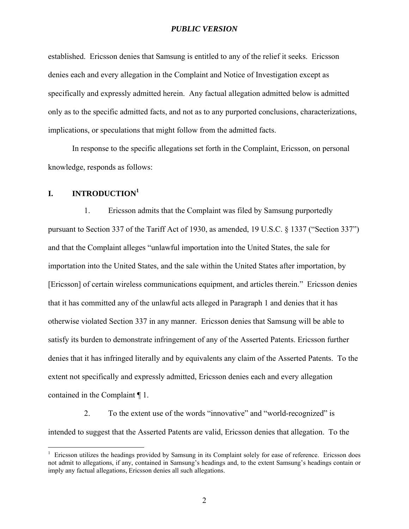established. Ericsson denies that Samsung is entitled to any of the relief it seeks. Ericsson denies each and every allegation in the Complaint and Notice of Investigation except as specifically and expressly admitted herein. Any factual allegation admitted below is admitted only as to the specific admitted facts, and not as to any purported conclusions, characterizations, implications, or speculations that might follow from the admitted facts.

In response to the specific allegations set forth in the Complaint, Ericsson, on personal knowledge, responds as follows:

## **I. INTRODUCTION<sup>1</sup>**

1. Ericsson admits that the Complaint was filed by Samsung purportedly pursuant to Section 337 of the Tariff Act of 1930, as amended, 19 U.S.C. § 1337 ("Section 337") and that the Complaint alleges "unlawful importation into the United States, the sale for importation into the United States, and the sale within the United States after importation, by [Ericsson] of certain wireless communications equipment, and articles therein." Ericsson denies that it has committed any of the unlawful acts alleged in Paragraph 1 and denies that it has otherwise violated Section 337 in any manner. Ericsson denies that Samsung will be able to satisfy its burden to demonstrate infringement of any of the Asserted Patents. Ericsson further denies that it has infringed literally and by equivalents any claim of the Asserted Patents. To the extent not specifically and expressly admitted, Ericsson denies each and every allegation contained in the Complaint ¶ 1.

2. To the extent use of the words "innovative" and "world-recognized" is intended to suggest that the Asserted Patents are valid, Ericsson denies that allegation. To the

<sup>&</sup>lt;sup>1</sup> Ericsson utilizes the headings provided by Samsung in its Complaint solely for ease of reference. Ericsson does not admit to allegations, if any, contained in Samsung's headings and, to the extent Samsung's headings contain or imply any factual allegations, Ericsson denies all such allegations.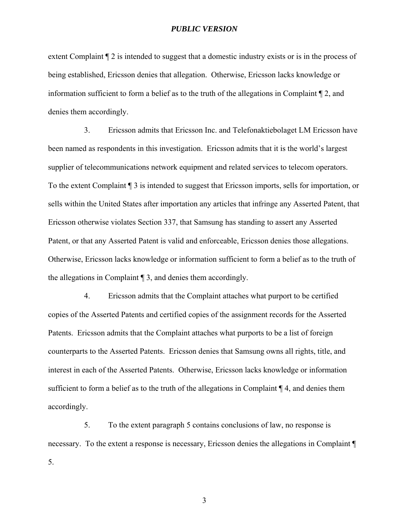extent Complaint ¶ 2 is intended to suggest that a domestic industry exists or is in the process of being established, Ericsson denies that allegation. Otherwise, Ericsson lacks knowledge or information sufficient to form a belief as to the truth of the allegations in Complaint  $\P$  2, and denies them accordingly.

3. Ericsson admits that Ericsson Inc. and Telefonaktiebolaget LM Ericsson have been named as respondents in this investigation. Ericsson admits that it is the world's largest supplier of telecommunications network equipment and related services to telecom operators. To the extent Complaint ¶ 3 is intended to suggest that Ericsson imports, sells for importation, or sells within the United States after importation any articles that infringe any Asserted Patent, that Ericsson otherwise violates Section 337, that Samsung has standing to assert any Asserted Patent, or that any Asserted Patent is valid and enforceable, Ericsson denies those allegations. Otherwise, Ericsson lacks knowledge or information sufficient to form a belief as to the truth of the allegations in Complaint ¶ 3, and denies them accordingly.

4. Ericsson admits that the Complaint attaches what purport to be certified copies of the Asserted Patents and certified copies of the assignment records for the Asserted Patents. Ericsson admits that the Complaint attaches what purports to be a list of foreign counterparts to the Asserted Patents. Ericsson denies that Samsung owns all rights, title, and interest in each of the Asserted Patents. Otherwise, Ericsson lacks knowledge or information sufficient to form a belief as to the truth of the allegations in Complaint ¶ 4, and denies them accordingly.

5. To the extent paragraph 5 contains conclusions of law, no response is necessary. To the extent a response is necessary, Ericsson denies the allegations in Complaint  $\P$ 5.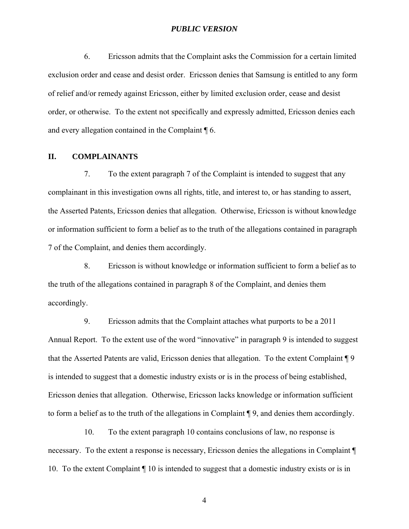6. Ericsson admits that the Complaint asks the Commission for a certain limited exclusion order and cease and desist order. Ericsson denies that Samsung is entitled to any form of relief and/or remedy against Ericsson, either by limited exclusion order, cease and desist order, or otherwise. To the extent not specifically and expressly admitted, Ericsson denies each and every allegation contained in the Complaint ¶ 6.

#### **II. COMPLAINANTS**

7. To the extent paragraph 7 of the Complaint is intended to suggest that any complainant in this investigation owns all rights, title, and interest to, or has standing to assert, the Asserted Patents, Ericsson denies that allegation. Otherwise, Ericsson is without knowledge or information sufficient to form a belief as to the truth of the allegations contained in paragraph 7 of the Complaint, and denies them accordingly.

8. Ericsson is without knowledge or information sufficient to form a belief as to the truth of the allegations contained in paragraph 8 of the Complaint, and denies them accordingly.

9. Ericsson admits that the Complaint attaches what purports to be a 2011 Annual Report. To the extent use of the word "innovative" in paragraph 9 is intended to suggest that the Asserted Patents are valid, Ericsson denies that allegation. To the extent Complaint ¶ 9 is intended to suggest that a domestic industry exists or is in the process of being established, Ericsson denies that allegation. Otherwise, Ericsson lacks knowledge or information sufficient to form a belief as to the truth of the allegations in Complaint ¶ 9, and denies them accordingly.

10. To the extent paragraph 10 contains conclusions of law, no response is necessary. To the extent a response is necessary, Ericsson denies the allegations in Complaint ¶ 10. To the extent Complaint ¶ 10 is intended to suggest that a domestic industry exists or is in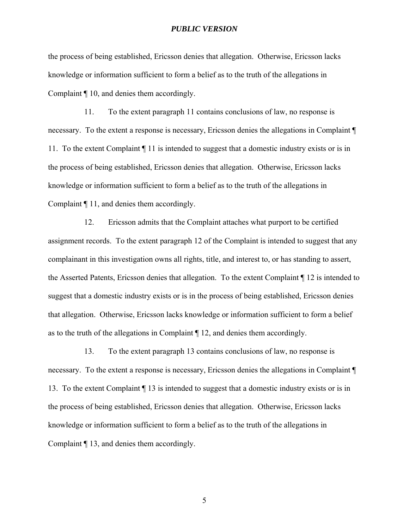the process of being established, Ericsson denies that allegation. Otherwise, Ericsson lacks knowledge or information sufficient to form a belief as to the truth of the allegations in Complaint ¶ 10, and denies them accordingly.

11. To the extent paragraph 11 contains conclusions of law, no response is necessary. To the extent a response is necessary, Ericsson denies the allegations in Complaint ¶ 11. To the extent Complaint ¶ 11 is intended to suggest that a domestic industry exists or is in the process of being established, Ericsson denies that allegation. Otherwise, Ericsson lacks knowledge or information sufficient to form a belief as to the truth of the allegations in Complaint ¶ 11, and denies them accordingly.

12. Ericsson admits that the Complaint attaches what purport to be certified assignment records. To the extent paragraph 12 of the Complaint is intended to suggest that any complainant in this investigation owns all rights, title, and interest to, or has standing to assert, the Asserted Patents, Ericsson denies that allegation. To the extent Complaint ¶ 12 is intended to suggest that a domestic industry exists or is in the process of being established, Ericsson denies that allegation. Otherwise, Ericsson lacks knowledge or information sufficient to form a belief as to the truth of the allegations in Complaint ¶ 12, and denies them accordingly.

13. To the extent paragraph 13 contains conclusions of law, no response is necessary. To the extent a response is necessary, Ericsson denies the allegations in Complaint ¶ 13. To the extent Complaint ¶ 13 is intended to suggest that a domestic industry exists or is in the process of being established, Ericsson denies that allegation. Otherwise, Ericsson lacks knowledge or information sufficient to form a belief as to the truth of the allegations in Complaint ¶ 13, and denies them accordingly.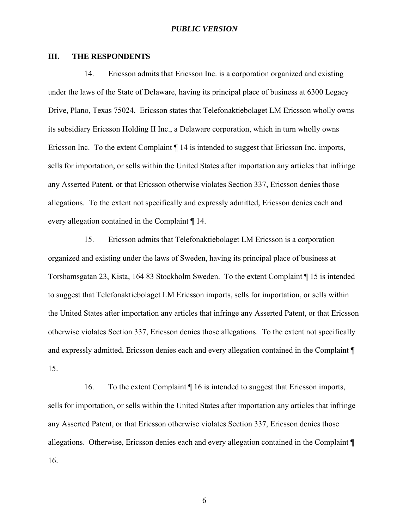#### **III. THE RESPONDENTS**

14. Ericsson admits that Ericsson Inc. is a corporation organized and existing under the laws of the State of Delaware, having its principal place of business at 6300 Legacy Drive, Plano, Texas 75024. Ericsson states that Telefonaktiebolaget LM Ericsson wholly owns its subsidiary Ericsson Holding II Inc., a Delaware corporation, which in turn wholly owns Ericsson Inc. To the extent Complaint ¶ 14 is intended to suggest that Ericsson Inc. imports, sells for importation, or sells within the United States after importation any articles that infringe any Asserted Patent, or that Ericsson otherwise violates Section 337, Ericsson denies those allegations. To the extent not specifically and expressly admitted, Ericsson denies each and every allegation contained in the Complaint ¶ 14.

15. Ericsson admits that Telefonaktiebolaget LM Ericsson is a corporation organized and existing under the laws of Sweden, having its principal place of business at Torshamsgatan 23, Kista, 164 83 Stockholm Sweden. To the extent Complaint ¶ 15 is intended to suggest that Telefonaktiebolaget LM Ericsson imports, sells for importation, or sells within the United States after importation any articles that infringe any Asserted Patent, or that Ericsson otherwise violates Section 337, Ericsson denies those allegations. To the extent not specifically and expressly admitted, Ericsson denies each and every allegation contained in the Complaint ¶ 15.

16. To the extent Complaint ¶ 16 is intended to suggest that Ericsson imports, sells for importation, or sells within the United States after importation any articles that infringe any Asserted Patent, or that Ericsson otherwise violates Section 337, Ericsson denies those allegations. Otherwise, Ericsson denies each and every allegation contained in the Complaint ¶ 16.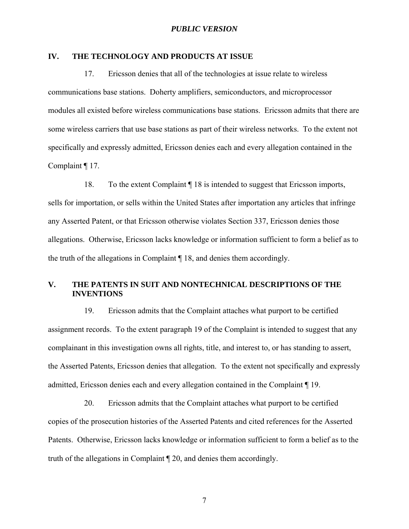### **IV. THE TECHNOLOGY AND PRODUCTS AT ISSUE**

17. Ericsson denies that all of the technologies at issue relate to wireless communications base stations. Doherty amplifiers, semiconductors, and microprocessor modules all existed before wireless communications base stations. Ericsson admits that there are some wireless carriers that use base stations as part of their wireless networks. To the extent not specifically and expressly admitted, Ericsson denies each and every allegation contained in the Complaint ¶ 17.

18. To the extent Complaint ¶ 18 is intended to suggest that Ericsson imports, sells for importation, or sells within the United States after importation any articles that infringe any Asserted Patent, or that Ericsson otherwise violates Section 337, Ericsson denies those allegations. Otherwise, Ericsson lacks knowledge or information sufficient to form a belief as to the truth of the allegations in Complaint ¶ 18, and denies them accordingly.

### **V. THE PATENTS IN SUIT AND NONTECHNICAL DESCRIPTIONS OF THE INVENTIONS**

19. Ericsson admits that the Complaint attaches what purport to be certified assignment records. To the extent paragraph 19 of the Complaint is intended to suggest that any complainant in this investigation owns all rights, title, and interest to, or has standing to assert, the Asserted Patents, Ericsson denies that allegation. To the extent not specifically and expressly admitted, Ericsson denies each and every allegation contained in the Complaint ¶ 19.

20. Ericsson admits that the Complaint attaches what purport to be certified copies of the prosecution histories of the Asserted Patents and cited references for the Asserted Patents. Otherwise, Ericsson lacks knowledge or information sufficient to form a belief as to the truth of the allegations in Complaint ¶ 20, and denies them accordingly.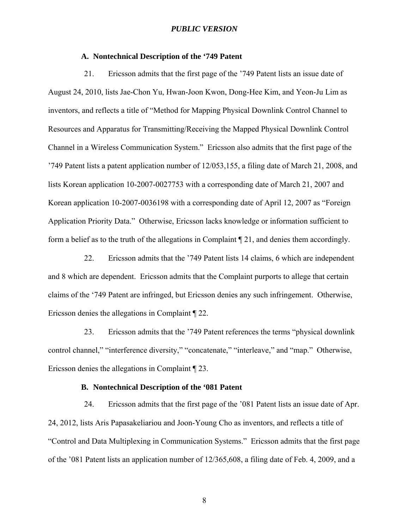### **A. Nontechnical Description of the '749 Patent**

21. Ericsson admits that the first page of the '749 Patent lists an issue date of August 24, 2010, lists Jae-Chon Yu, Hwan-Joon Kwon, Dong-Hee Kim, and Yeon-Ju Lim as inventors, and reflects a title of "Method for Mapping Physical Downlink Control Channel to Resources and Apparatus for Transmitting/Receiving the Mapped Physical Downlink Control Channel in a Wireless Communication System." Ericsson also admits that the first page of the '749 Patent lists a patent application number of 12/053,155, a filing date of March 21, 2008, and lists Korean application 10-2007-0027753 with a corresponding date of March 21, 2007 and Korean application 10-2007-0036198 with a corresponding date of April 12, 2007 as "Foreign Application Priority Data." Otherwise, Ericsson lacks knowledge or information sufficient to form a belief as to the truth of the allegations in Complaint ¶ 21, and denies them accordingly.

22. Ericsson admits that the '749 Patent lists 14 claims, 6 which are independent and 8 which are dependent. Ericsson admits that the Complaint purports to allege that certain claims of the '749 Patent are infringed, but Ericsson denies any such infringement. Otherwise, Ericsson denies the allegations in Complaint ¶ 22.

23. Ericsson admits that the '749 Patent references the terms "physical downlink control channel," "interference diversity," "concatenate," "interleave," and "map." Otherwise, Ericsson denies the allegations in Complaint ¶ 23.

### **B. Nontechnical Description of the '081 Patent**

24. Ericsson admits that the first page of the '081 Patent lists an issue date of Apr. 24, 2012, lists Aris Papasakeliariou and Joon-Young Cho as inventors, and reflects a title of "Control and Data Multiplexing in Communication Systems." Ericsson admits that the first page of the '081 Patent lists an application number of 12/365,608, a filing date of Feb. 4, 2009, and a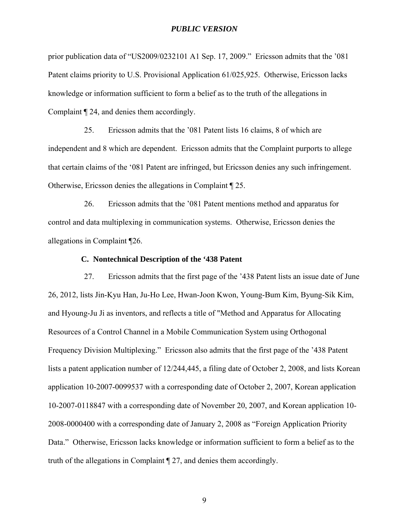prior publication data of "US2009/0232101 A1 Sep. 17, 2009." Ericsson admits that the '081 Patent claims priority to U.S. Provisional Application 61/025,925. Otherwise, Ericsson lacks knowledge or information sufficient to form a belief as to the truth of the allegations in Complaint ¶ 24, and denies them accordingly.

25. Ericsson admits that the '081 Patent lists 16 claims, 8 of which are independent and 8 which are dependent. Ericsson admits that the Complaint purports to allege that certain claims of the '081 Patent are infringed, but Ericsson denies any such infringement. Otherwise, Ericsson denies the allegations in Complaint ¶ 25.

26. Ericsson admits that the '081 Patent mentions method and apparatus for control and data multiplexing in communication systems. Otherwise, Ericsson denies the allegations in Complaint ¶26.

## **C. Nontechnical Description of the '438 Patent**

27. Ericsson admits that the first page of the '438 Patent lists an issue date of June 26, 2012, lists Jin-Kyu Han, Ju-Ho Lee, Hwan-Joon Kwon, Young-Bum Kim, Byung-Sik Kim, and Hyoung-Ju Ji as inventors, and reflects a title of "Method and Apparatus for Allocating Resources of a Control Channel in a Mobile Communication System using Orthogonal Frequency Division Multiplexing." Ericsson also admits that the first page of the '438 Patent lists a patent application number of 12/244,445, a filing date of October 2, 2008, and lists Korean application 10-2007-0099537 with a corresponding date of October 2, 2007, Korean application 10-2007-0118847 with a corresponding date of November 20, 2007, and Korean application 10- 2008-0000400 with a corresponding date of January 2, 2008 as "Foreign Application Priority Data." Otherwise, Ericsson lacks knowledge or information sufficient to form a belief as to the truth of the allegations in Complaint ¶ 27, and denies them accordingly.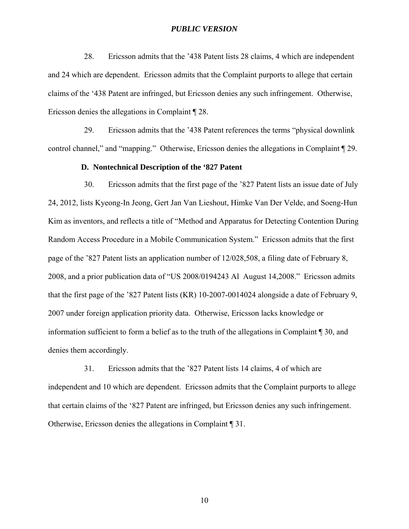28. Ericsson admits that the '438 Patent lists 28 claims, 4 which are independent and 24 which are dependent. Ericsson admits that the Complaint purports to allege that certain claims of the '438 Patent are infringed, but Ericsson denies any such infringement. Otherwise, Ericsson denies the allegations in Complaint ¶ 28.

29. Ericsson admits that the '438 Patent references the terms "physical downlink control channel," and "mapping." Otherwise, Ericsson denies the allegations in Complaint ¶ 29.

### **D. Nontechnical Description of the '827 Patent**

30. Ericsson admits that the first page of the '827 Patent lists an issue date of July 24, 2012, lists Kyeong-In Jeong, Gert Jan Van Lieshout, Himke Van Der Velde, and Soeng-Hun Kim as inventors, and reflects a title of "Method and Apparatus for Detecting Contention During Random Access Procedure in a Mobile Communication System." Ericsson admits that the first page of the '827 Patent lists an application number of 12/028,508, a filing date of February 8, 2008, and a prior publication data of "US 2008/0194243 Al August 14,2008." Ericsson admits that the first page of the '827 Patent lists (KR) 10-2007-0014024 alongside a date of February 9, 2007 under foreign application priority data. Otherwise, Ericsson lacks knowledge or information sufficient to form a belief as to the truth of the allegations in Complaint ¶ 30, and denies them accordingly.

31. Ericsson admits that the '827 Patent lists 14 claims, 4 of which are independent and 10 which are dependent. Ericsson admits that the Complaint purports to allege that certain claims of the '827 Patent are infringed, but Ericsson denies any such infringement. Otherwise, Ericsson denies the allegations in Complaint ¶ 31.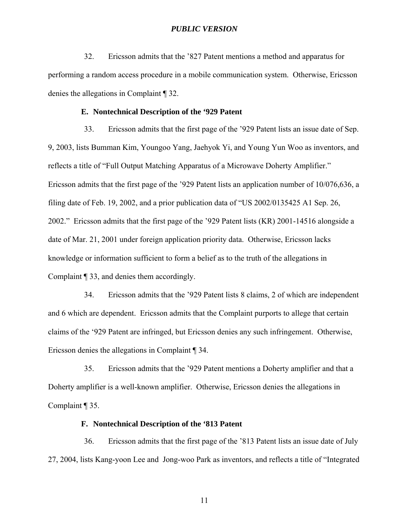32. Ericsson admits that the '827 Patent mentions a method and apparatus for performing a random access procedure in a mobile communication system. Otherwise, Ericsson denies the allegations in Complaint ¶ 32.

#### **E. Nontechnical Description of the '929 Patent**

33. Ericsson admits that the first page of the '929 Patent lists an issue date of Sep. 9, 2003, lists Bumman Kim, Youngoo Yang, Jaehyok Yi, and Young Yun Woo as inventors, and reflects a title of "Full Output Matching Apparatus of a Microwave Doherty Amplifier." Ericsson admits that the first page of the '929 Patent lists an application number of 10/076,636, a filing date of Feb. 19, 2002, and a prior publication data of "US 2002/0135425 A1 Sep. 26, 2002." Ericsson admits that the first page of the '929 Patent lists (KR) 2001-14516 alongside a date of Mar. 21, 2001 under foreign application priority data. Otherwise, Ericsson lacks knowledge or information sufficient to form a belief as to the truth of the allegations in Complaint ¶ 33, and denies them accordingly.

34. Ericsson admits that the '929 Patent lists 8 claims, 2 of which are independent and 6 which are dependent. Ericsson admits that the Complaint purports to allege that certain claims of the '929 Patent are infringed, but Ericsson denies any such infringement. Otherwise, Ericsson denies the allegations in Complaint ¶ 34.

35. Ericsson admits that the '929 Patent mentions a Doherty amplifier and that a Doherty amplifier is a well-known amplifier. Otherwise, Ericsson denies the allegations in Complaint ¶ 35.

### **F. Nontechnical Description of the '813 Patent**

36. Ericsson admits that the first page of the '813 Patent lists an issue date of July 27, 2004, lists Kang-yoon Lee and Jong-woo Park as inventors, and reflects a title of "Integrated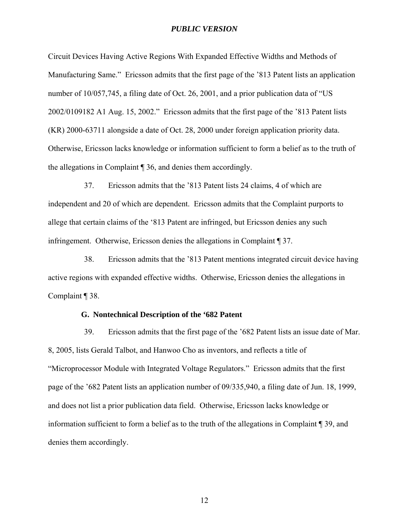Circuit Devices Having Active Regions With Expanded Effective Widths and Methods of Manufacturing Same." Ericsson admits that the first page of the '813 Patent lists an application number of 10/057,745, a filing date of Oct. 26, 2001, and a prior publication data of "US 2002/0109182 A1 Aug. 15, 2002." Ericsson admits that the first page of the '813 Patent lists (KR) 2000-63711 alongside a date of Oct. 28, 2000 under foreign application priority data. Otherwise, Ericsson lacks knowledge or information sufficient to form a belief as to the truth of the allegations in Complaint ¶ 36, and denies them accordingly.

37. Ericsson admits that the '813 Patent lists 24 claims, 4 of which are independent and 20 of which are dependent. Ericsson admits that the Complaint purports to allege that certain claims of the '813 Patent are infringed, but Ericsson denies any such infringement. Otherwise, Ericsson denies the allegations in Complaint ¶ 37.

38. Ericsson admits that the '813 Patent mentions integrated circuit device having active regions with expanded effective widths. Otherwise, Ericsson denies the allegations in Complaint ¶ 38.

### **G. Nontechnical Description of the '682 Patent**

39. Ericsson admits that the first page of the '682 Patent lists an issue date of Mar. 8, 2005, lists Gerald Talbot, and Hanwoo Cho as inventors, and reflects a title of "Microprocessor Module with Integrated Voltage Regulators." Ericsson admits that the first page of the '682 Patent lists an application number of 09/335,940, a filing date of Jun. 18, 1999, and does not list a prior publication data field. Otherwise, Ericsson lacks knowledge or information sufficient to form a belief as to the truth of the allegations in Complaint ¶ 39, and denies them accordingly.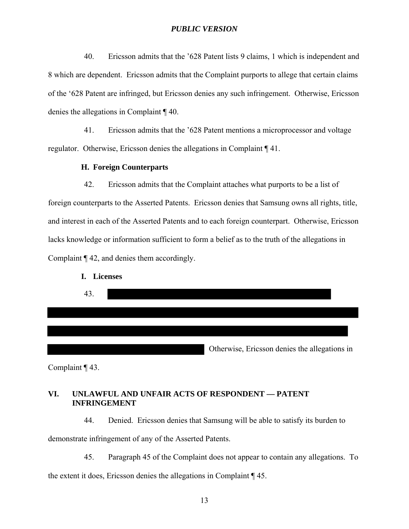40. Ericsson admits that the '628 Patent lists 9 claims, 1 which is independent and 8 which are dependent. Ericsson admits that the Complaint purports to allege that certain claims of the '628 Patent are infringed, but Ericsson denies any such infringement. Otherwise, Ericsson denies the allegations in Complaint ¶ 40.

41. Ericsson admits that the '628 Patent mentions a microprocessor and voltage regulator. Otherwise, Ericsson denies the allegations in Complaint ¶ 41.

### **H. Foreign Counterparts**

42. Ericsson admits that the Complaint attaches what purports to be a list of foreign counterparts to the Asserted Patents. Ericsson denies that Samsung owns all rights, title, and interest in each of the Asserted Patents and to each foreign counterpart. Otherwise, Ericsson lacks knowledge or information sufficient to form a belief as to the truth of the allegations in Complaint ¶ 42, and denies them accordingly.



Complaint ¶ 43.

### **VI. UNLAWFUL AND UNFAIR ACTS OF RESPONDENT — PATENT INFRINGEMENT**

44. Denied. Ericsson denies that Samsung will be able to satisfy its burden to

demonstrate infringement of any of the Asserted Patents.

45. Paragraph 45 of the Complaint does not appear to contain any allegations. To

the extent it does, Ericsson denies the allegations in Complaint ¶ 45.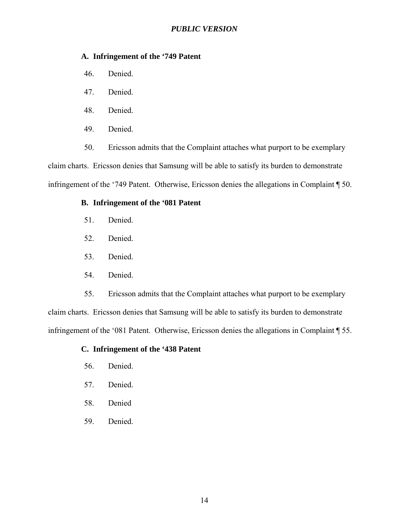### **A. Infringement of the '749 Patent**

- 46. Denied.
- 47. Denied.
- 48. Denied.
- 49. Denied.

50. Ericsson admits that the Complaint attaches what purport to be exemplary claim charts. Ericsson denies that Samsung will be able to satisfy its burden to demonstrate infringement of the '749 Patent. Otherwise, Ericsson denies the allegations in Complaint ¶ 50.

### **B. Infringement of the '081 Patent**

- 51. Denied.
- 52. Denied.
- 53. Denied.
- 54. Denied.

55. Ericsson admits that the Complaint attaches what purport to be exemplary claim charts. Ericsson denies that Samsung will be able to satisfy its burden to demonstrate infringement of the '081 Patent. Otherwise, Ericsson denies the allegations in Complaint ¶ 55.

### **C. Infringement of the '438 Patent**

- 56. Denied.
- 57. Denied.
- 58. Denied
- 59. Denied.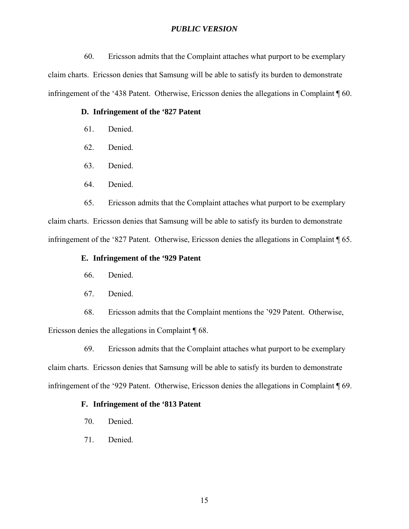60. Ericsson admits that the Complaint attaches what purport to be exemplary claim charts. Ericsson denies that Samsung will be able to satisfy its burden to demonstrate infringement of the '438 Patent. Otherwise, Ericsson denies the allegations in Complaint ¶ 60.

#### **D. Infringement of the '827 Patent**

- 61. Denied.
- 62. Denied.
- 63. Denied.
- 64. Denied.

65. Ericsson admits that the Complaint attaches what purport to be exemplary claim charts. Ericsson denies that Samsung will be able to satisfy its burden to demonstrate infringement of the '827 Patent. Otherwise, Ericsson denies the allegations in Complaint ¶ 65.

### **E. Infringement of the '929 Patent**

- 66. Denied.
- 67. Denied.

68. Ericsson admits that the Complaint mentions the '929 Patent. Otherwise, Ericsson denies the allegations in Complaint ¶ 68.

69. Ericsson admits that the Complaint attaches what purport to be exemplary claim charts. Ericsson denies that Samsung will be able to satisfy its burden to demonstrate infringement of the '929 Patent. Otherwise, Ericsson denies the allegations in Complaint ¶ 69.

### **F. Infringement of the '813 Patent**

- 70. Denied.
- 71. Denied.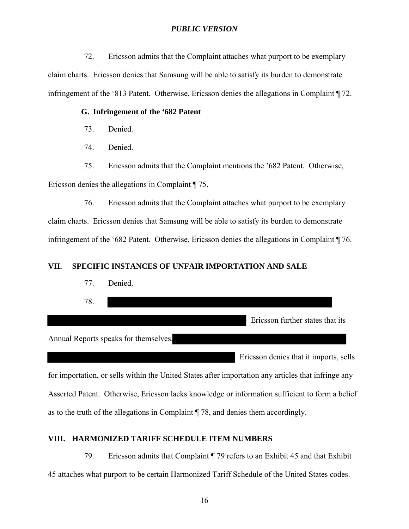72. Ericsson admits that the Complaint attaches what purport to be exemplary claim charts. Ericsson denies that Samsung will be able to satisfy its burden to demonstrate infringement of the '813 Patent. Otherwise, Ericsson denies the allegations in Complaint ¶ 72.

### **G. Infringement of the '682 Patent**

- 73. Denied.
- 74. Denied.

75. Ericsson admits that the Complaint mentions the '682 Patent. Otherwise, Ericsson denies the allegations in Complaint ¶ 75.

76. Ericsson admits that the Complaint attaches what purport to be exemplary claim charts. Ericsson denies that Samsung will be able to satisfy its burden to demonstrate infringement of the '682 Patent. Otherwise, Ericsson denies the allegations in Complaint ¶ 76.

### **VII. SPECIFIC INSTANCES OF UNFAIR IMPORTATION AND SALE**



for importation, or sells within the United States after importation any articles that infringe any Asserted Patent. Otherwise, Ericsson lacks knowledge or information sufficient to form a belief as to the truth of the allegations in Complaint ¶ 78, and denies them accordingly.

### **VIII. HARMONIZED TARIFF SCHEDULE ITEM NUMBERS**

79. Ericsson admits that Complaint ¶ 79 refers to an Exhibit 45 and that Exhibit 45 attaches what purport to be certain Harmonized Tariff Schedule of the United States codes.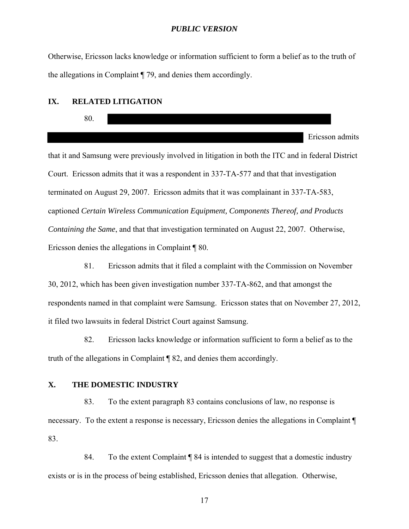Otherwise, Ericsson lacks knowledge or information sufficient to form a belief as to the truth of the allegations in Complaint ¶ 79, and denies them accordingly.

#### **IX. RELATED LITIGATION**



that it and Samsung were previously involved in litigation in both the ITC and in federal District Court. Ericsson admits that it was a respondent in 337-TA-577 and that that investigation terminated on August 29, 2007. Ericsson admits that it was complainant in 337-TA-583, captioned *Certain Wireless Communication Equipment, Components Thereof, and Products Containing the Same*, and that that investigation terminated on August 22, 2007. Otherwise, Ericsson denies the allegations in Complaint ¶ 80.

81. Ericsson admits that it filed a complaint with the Commission on November 30, 2012, which has been given investigation number 337-TA-862, and that amongst the respondents named in that complaint were Samsung. Ericsson states that on November 27, 2012, it filed two lawsuits in federal District Court against Samsung.

82. Ericsson lacks knowledge or information sufficient to form a belief as to the truth of the allegations in Complaint ¶ 82, and denies them accordingly.

### **X. THE DOMESTIC INDUSTRY**

83. To the extent paragraph 83 contains conclusions of law, no response is necessary. To the extent a response is necessary, Ericsson denies the allegations in Complaint ¶ 83.

84. To the extent Complaint ¶ 84 is intended to suggest that a domestic industry exists or is in the process of being established, Ericsson denies that allegation. Otherwise,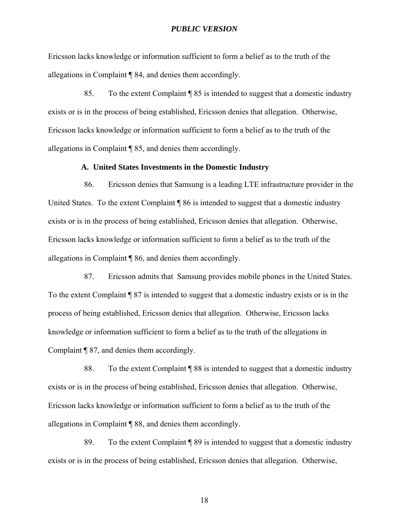Ericsson lacks knowledge or information sufficient to form a belief as to the truth of the allegations in Complaint ¶ 84, and denies them accordingly.

85. To the extent Complaint ¶ 85 is intended to suggest that a domestic industry exists or is in the process of being established, Ericsson denies that allegation. Otherwise, Ericsson lacks knowledge or information sufficient to form a belief as to the truth of the allegations in Complaint ¶ 85, and denies them accordingly.

#### **A. United States Investments in the Domestic Industry**

86. Ericsson denies that Samsung is a leading LTE infrastructure provider in the United States. To the extent Complaint ¶ 86 is intended to suggest that a domestic industry exists or is in the process of being established, Ericsson denies that allegation. Otherwise, Ericsson lacks knowledge or information sufficient to form a belief as to the truth of the allegations in Complaint ¶ 86, and denies them accordingly.

87. Ericsson admits that Samsung provides mobile phones in the United States. To the extent Complaint ¶ 87 is intended to suggest that a domestic industry exists or is in the process of being established, Ericsson denies that allegation. Otherwise, Ericsson lacks knowledge or information sufficient to form a belief as to the truth of the allegations in Complaint ¶ 87, and denies them accordingly.

88. To the extent Complaint ¶ 88 is intended to suggest that a domestic industry exists or is in the process of being established, Ericsson denies that allegation. Otherwise, Ericsson lacks knowledge or information sufficient to form a belief as to the truth of the allegations in Complaint ¶ 88, and denies them accordingly.

89. To the extent Complaint ¶ 89 is intended to suggest that a domestic industry exists or is in the process of being established, Ericsson denies that allegation. Otherwise,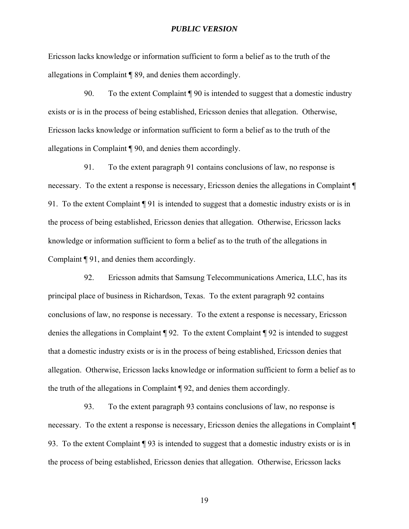Ericsson lacks knowledge or information sufficient to form a belief as to the truth of the allegations in Complaint ¶ 89, and denies them accordingly.

90. To the extent Complaint ¶ 90 is intended to suggest that a domestic industry exists or is in the process of being established, Ericsson denies that allegation. Otherwise, Ericsson lacks knowledge or information sufficient to form a belief as to the truth of the allegations in Complaint ¶ 90, and denies them accordingly.

91. To the extent paragraph 91 contains conclusions of law, no response is necessary. To the extent a response is necessary, Ericsson denies the allegations in Complaint ¶ 91. To the extent Complaint ¶ 91 is intended to suggest that a domestic industry exists or is in the process of being established, Ericsson denies that allegation. Otherwise, Ericsson lacks knowledge or information sufficient to form a belief as to the truth of the allegations in Complaint ¶ 91, and denies them accordingly.

92. Ericsson admits that Samsung Telecommunications America, LLC, has its principal place of business in Richardson, Texas. To the extent paragraph 92 contains conclusions of law, no response is necessary. To the extent a response is necessary, Ericsson denies the allegations in Complaint ¶ 92. To the extent Complaint ¶ 92 is intended to suggest that a domestic industry exists or is in the process of being established, Ericsson denies that allegation. Otherwise, Ericsson lacks knowledge or information sufficient to form a belief as to the truth of the allegations in Complaint ¶ 92, and denies them accordingly.

93. To the extent paragraph 93 contains conclusions of law, no response is necessary. To the extent a response is necessary, Ericsson denies the allegations in Complaint ¶ 93. To the extent Complaint ¶ 93 is intended to suggest that a domestic industry exists or is in the process of being established, Ericsson denies that allegation. Otherwise, Ericsson lacks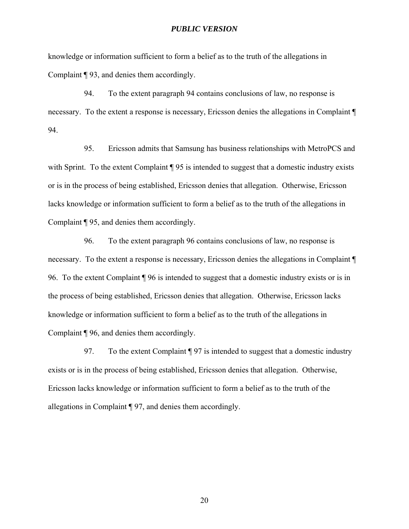knowledge or information sufficient to form a belief as to the truth of the allegations in Complaint ¶ 93, and denies them accordingly.

94. To the extent paragraph 94 contains conclusions of law, no response is necessary. To the extent a response is necessary, Ericsson denies the allegations in Complaint ¶ 94.

95. Ericsson admits that Samsung has business relationships with MetroPCS and with Sprint. To the extent Complaint  $\P$  95 is intended to suggest that a domestic industry exists or is in the process of being established, Ericsson denies that allegation. Otherwise, Ericsson lacks knowledge or information sufficient to form a belief as to the truth of the allegations in Complaint ¶ 95, and denies them accordingly.

96. To the extent paragraph 96 contains conclusions of law, no response is necessary. To the extent a response is necessary, Ericsson denies the allegations in Complaint ¶ 96. To the extent Complaint ¶ 96 is intended to suggest that a domestic industry exists or is in the process of being established, Ericsson denies that allegation. Otherwise, Ericsson lacks knowledge or information sufficient to form a belief as to the truth of the allegations in Complaint ¶ 96, and denies them accordingly.

97. To the extent Complaint ¶ 97 is intended to suggest that a domestic industry exists or is in the process of being established, Ericsson denies that allegation. Otherwise, Ericsson lacks knowledge or information sufficient to form a belief as to the truth of the allegations in Complaint ¶ 97, and denies them accordingly.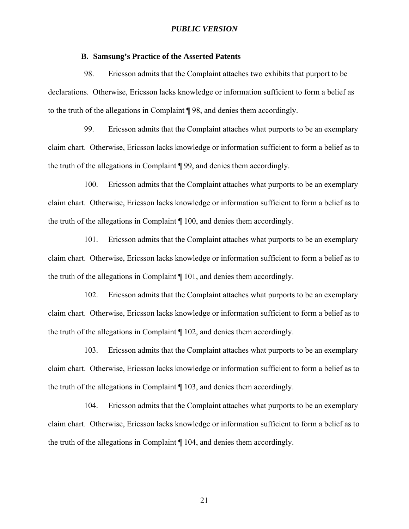### **B. Samsung's Practice of the Asserted Patents**

98. Ericsson admits that the Complaint attaches two exhibits that purport to be declarations. Otherwise, Ericsson lacks knowledge or information sufficient to form a belief as to the truth of the allegations in Complaint ¶ 98, and denies them accordingly.

99. Ericsson admits that the Complaint attaches what purports to be an exemplary claim chart. Otherwise, Ericsson lacks knowledge or information sufficient to form a belief as to the truth of the allegations in Complaint ¶ 99, and denies them accordingly.

100. Ericsson admits that the Complaint attaches what purports to be an exemplary claim chart. Otherwise, Ericsson lacks knowledge or information sufficient to form a belief as to the truth of the allegations in Complaint ¶ 100, and denies them accordingly.

101. Ericsson admits that the Complaint attaches what purports to be an exemplary claim chart. Otherwise, Ericsson lacks knowledge or information sufficient to form a belief as to the truth of the allegations in Complaint ¶ 101, and denies them accordingly.

102. Ericsson admits that the Complaint attaches what purports to be an exemplary claim chart. Otherwise, Ericsson lacks knowledge or information sufficient to form a belief as to the truth of the allegations in Complaint ¶ 102, and denies them accordingly.

103. Ericsson admits that the Complaint attaches what purports to be an exemplary claim chart. Otherwise, Ericsson lacks knowledge or information sufficient to form a belief as to the truth of the allegations in Complaint ¶ 103, and denies them accordingly.

104. Ericsson admits that the Complaint attaches what purports to be an exemplary claim chart. Otherwise, Ericsson lacks knowledge or information sufficient to form a belief as to the truth of the allegations in Complaint ¶ 104, and denies them accordingly.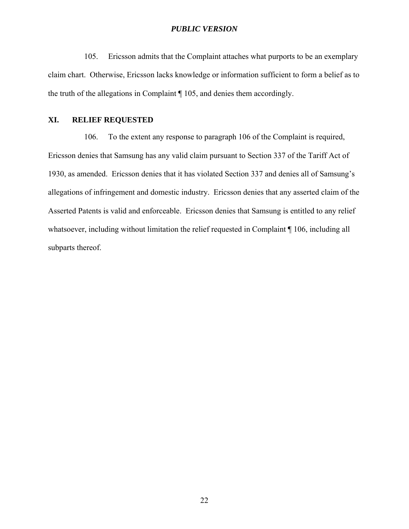105. Ericsson admits that the Complaint attaches what purports to be an exemplary claim chart. Otherwise, Ericsson lacks knowledge or information sufficient to form a belief as to the truth of the allegations in Complaint ¶ 105, and denies them accordingly.

### **XI. RELIEF REQUESTED**

106. To the extent any response to paragraph 106 of the Complaint is required, Ericsson denies that Samsung has any valid claim pursuant to Section 337 of the Tariff Act of 1930, as amended. Ericsson denies that it has violated Section 337 and denies all of Samsung's allegations of infringement and domestic industry. Ericsson denies that any asserted claim of the Asserted Patents is valid and enforceable. Ericsson denies that Samsung is entitled to any relief whatsoever, including without limitation the relief requested in Complaint ¶ 106, including all subparts thereof.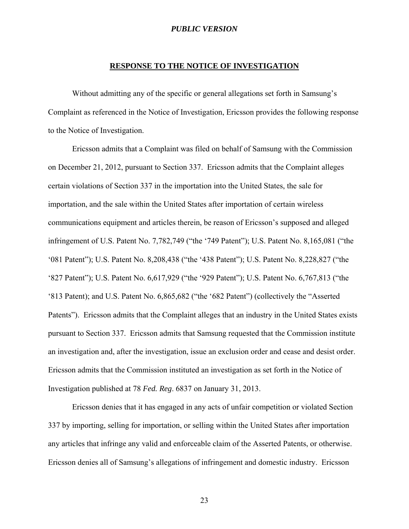#### **RESPONSE TO THE NOTICE OF INVESTIGATION**

Without admitting any of the specific or general allegations set forth in Samsung's Complaint as referenced in the Notice of Investigation, Ericsson provides the following response to the Notice of Investigation.

Ericsson admits that a Complaint was filed on behalf of Samsung with the Commission on December 21, 2012, pursuant to Section 337. Ericsson admits that the Complaint alleges certain violations of Section 337 in the importation into the United States, the sale for importation, and the sale within the United States after importation of certain wireless communications equipment and articles therein, be reason of Ericsson's supposed and alleged infringement of U.S. Patent No. 7,782,749 ("the '749 Patent"); U.S. Patent No. 8,165,081 ("the '081 Patent"); U.S. Patent No. 8,208,438 ("the '438 Patent"); U.S. Patent No. 8,228,827 ("the '827 Patent"); U.S. Patent No. 6,617,929 ("the '929 Patent"); U.S. Patent No. 6,767,813 ("the '813 Patent); and U.S. Patent No. 6,865,682 ("the '682 Patent") (collectively the "Asserted Patents"). Ericsson admits that the Complaint alleges that an industry in the United States exists pursuant to Section 337. Ericsson admits that Samsung requested that the Commission institute an investigation and, after the investigation, issue an exclusion order and cease and desist order. Ericsson admits that the Commission instituted an investigation as set forth in the Notice of Investigation published at 78 *Fed. Reg*. 6837 on January 31, 2013.

Ericsson denies that it has engaged in any acts of unfair competition or violated Section 337 by importing, selling for importation, or selling within the United States after importation any articles that infringe any valid and enforceable claim of the Asserted Patents, or otherwise. Ericsson denies all of Samsung's allegations of infringement and domestic industry. Ericsson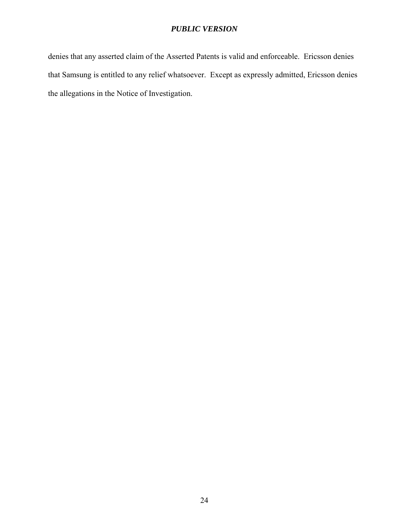denies that any asserted claim of the Asserted Patents is valid and enforceable. Ericsson denies that Samsung is entitled to any relief whatsoever. Except as expressly admitted, Ericsson denies the allegations in the Notice of Investigation.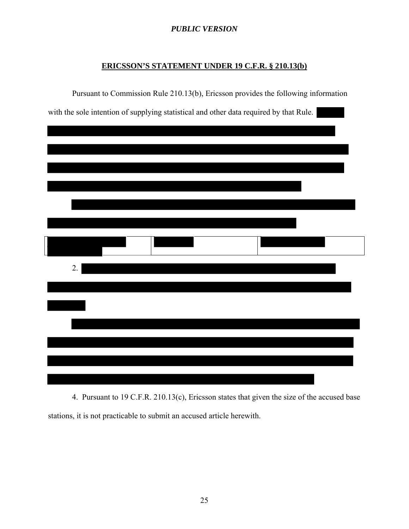# **ERICSSON'S STATEMENT UNDER 19 C.F.R. § 210.13(b)**

|    | Pursuant to Commission Rule 210.13(b), Ericsson provides the following information     |  |  |
|----|----------------------------------------------------------------------------------------|--|--|
|    | with the sole intention of supplying statistical and other data required by that Rule. |  |  |
|    |                                                                                        |  |  |
|    |                                                                                        |  |  |
|    |                                                                                        |  |  |
|    |                                                                                        |  |  |
|    |                                                                                        |  |  |
|    |                                                                                        |  |  |
|    |                                                                                        |  |  |
|    |                                                                                        |  |  |
|    |                                                                                        |  |  |
|    |                                                                                        |  |  |
|    |                                                                                        |  |  |
| 2. |                                                                                        |  |  |
|    |                                                                                        |  |  |
|    |                                                                                        |  |  |
|    |                                                                                        |  |  |
|    |                                                                                        |  |  |
|    |                                                                                        |  |  |
|    |                                                                                        |  |  |
|    |                                                                                        |  |  |
|    |                                                                                        |  |  |

4. Pursuant to 19 C.F.R. 210.13(c), Ericsson states that given the size of the accused base stations, it is not practicable to submit an accused article herewith.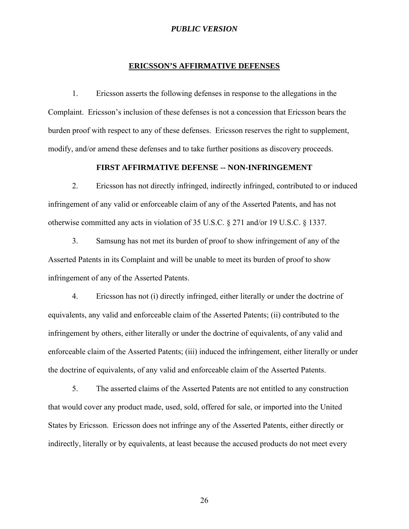#### **ERICSSON'S AFFIRMATIVE DEFENSES**

1. Ericsson asserts the following defenses in response to the allegations in the Complaint. Ericsson's inclusion of these defenses is not a concession that Ericsson bears the burden proof with respect to any of these defenses. Ericsson reserves the right to supplement, modify, and/or amend these defenses and to take further positions as discovery proceeds.

## **FIRST AFFIRMATIVE DEFENSE -- NON-INFRINGEMENT**

2. Ericsson has not directly infringed, indirectly infringed, contributed to or induced infringement of any valid or enforceable claim of any of the Asserted Patents, and has not otherwise committed any acts in violation of 35 U.S.C. § 271 and/or 19 U.S.C. § 1337.

3. Samsung has not met its burden of proof to show infringement of any of the Asserted Patents in its Complaint and will be unable to meet its burden of proof to show infringement of any of the Asserted Patents.

4. Ericsson has not (i) directly infringed, either literally or under the doctrine of equivalents, any valid and enforceable claim of the Asserted Patents; (ii) contributed to the infringement by others, either literally or under the doctrine of equivalents, of any valid and enforceable claim of the Asserted Patents; (iii) induced the infringement, either literally or under the doctrine of equivalents, of any valid and enforceable claim of the Asserted Patents.

5. The asserted claims of the Asserted Patents are not entitled to any construction that would cover any product made, used, sold, offered for sale, or imported into the United States by Ericsson. Ericsson does not infringe any of the Asserted Patents, either directly or indirectly, literally or by equivalents, at least because the accused products do not meet every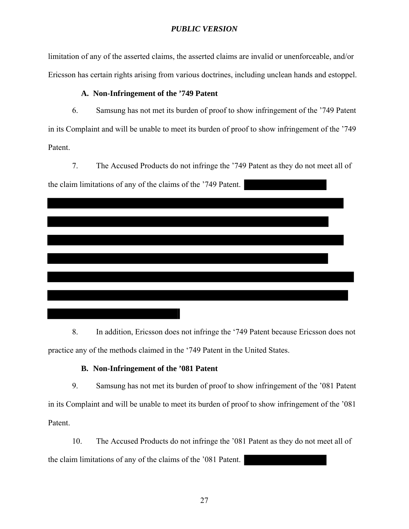limitation of any of the asserted claims, the asserted claims are invalid or unenforceable, and/or Ericsson has certain rights arising from various doctrines, including unclean hands and estoppel.

## **A. Non-Infringement of the '749 Patent**

6. Samsung has not met its burden of proof to show infringement of the '749 Patent in its Complaint and will be unable to meet its burden of proof to show infringement of the '749 Patent.

7. The Accused Products do not infringe the '749 Patent as they do not meet all of the claim limitations of any of the claims of the '749 Patent.

8. In addition, Ericsson does not infringe the '749 Patent because Ericsson does not practice any of the methods claimed in the '749 Patent in the United States.

## **B. Non-Infringement of the '081 Patent**

9. Samsung has not met its burden of proof to show infringement of the '081 Patent in its Complaint and will be unable to meet its burden of proof to show infringement of the '081 Patent.

10. The Accused Products do not infringe the '081 Patent as they do not meet all of the claim limitations of any of the claims of the '081 Patent.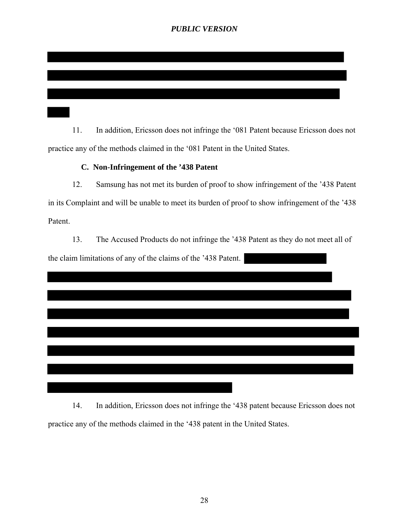11. In addition, Ericsson does not infringe the '081 Patent because Ericsson does not practice any of the methods claimed in the '081 Patent in the United States.

## **C. Non-Infringement of the '438 Patent**

12. Samsung has not met its burden of proof to show infringement of the '438 Patent in its Complaint and will be unable to meet its burden of proof to show infringement of the '438 Patent.

13. The Accused Products do not infringe the '438 Patent as they do not meet all of the claim limitations of any of the claims of the '438 Patent.

14. In addition, Ericsson does not infringe the '438 patent because Ericsson does not practice any of the methods claimed in the '438 patent in the United States.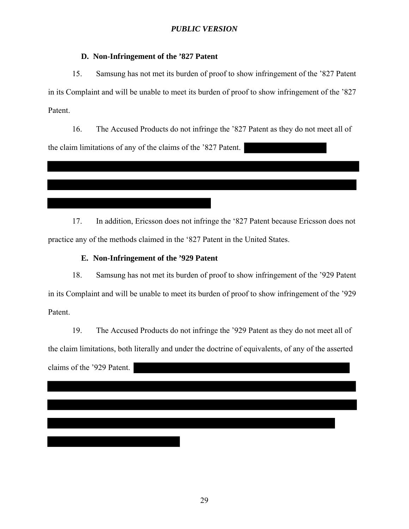### **D. Non-Infringement of the '827 Patent**

15. Samsung has not met its burden of proof to show infringement of the '827 Patent in its Complaint and will be unable to meet its burden of proof to show infringement of the '827 Patent.

16. The Accused Products do not infringe the '827 Patent as they do not meet all of the claim limitations of any of the claims of the '827 Patent.

17. In addition, Ericsson does not infringe the '827 Patent because Ericsson does not practice any of the methods claimed in the '827 Patent in the United States.

### **E. Non-Infringement of the '929 Patent**

18. Samsung has not met its burden of proof to show infringement of the '929 Patent in its Complaint and will be unable to meet its burden of proof to show infringement of the '929 Patent.

19. The Accused Products do not infringe the '929 Patent as they do not meet all of the claim limitations, both literally and under the doctrine of equivalents, of any of the asserted claims of the '929 Patent.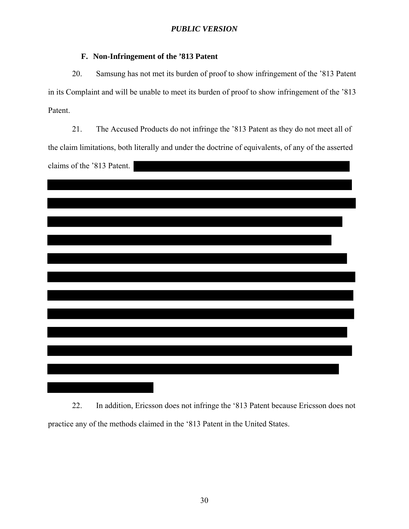# **F. Non-Infringement of the '813 Patent**

20. Samsung has not met its burden of proof to show infringement of the '813 Patent in its Complaint and will be unable to meet its burden of proof to show infringement of the '813 Patent.

21. The Accused Products do not infringe the '813 Patent as they do not meet all of the claim limitations, both literally and under the doctrine of equivalents, of any of the asserted claims of the '813 Patent.

22. In addition, Ericsson does not infringe the '813 Patent because Ericsson does not practice any of the methods claimed in the '813 Patent in the United States.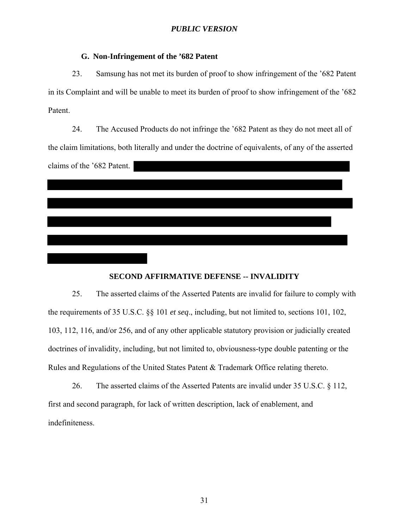### **G. Non-Infringement of the '682 Patent**

23. Samsung has not met its burden of proof to show infringement of the '682 Patent in its Complaint and will be unable to meet its burden of proof to show infringement of the '682 Patent.

24. The Accused Products do not infringe the '682 Patent as they do not meet all of the claim limitations, both literally and under the doctrine of equivalents, of any of the asserted claims of the '682 Patent.

## **SECOND AFFIRMATIVE DEFENSE -- INVALIDITY**

25. The asserted claims of the Asserted Patents are invalid for failure to comply with the requirements of 35 U.S.C. §§ 101 *et seq*., including, but not limited to, sections 101, 102, 103, 112, 116, and/or 256, and of any other applicable statutory provision or judicially created doctrines of invalidity, including, but not limited to, obviousness-type double patenting or the Rules and Regulations of the United States Patent & Trademark Office relating thereto.

26. The asserted claims of the Asserted Patents are invalid under 35 U.S.C. § 112, first and second paragraph, for lack of written description, lack of enablement, and indefiniteness.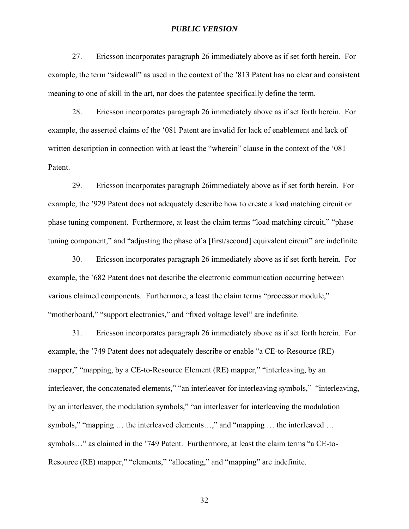27. Ericsson incorporates paragraph 26 immediately above as if set forth herein. For example, the term "sidewall" as used in the context of the '813 Patent has no clear and consistent meaning to one of skill in the art, nor does the patentee specifically define the term.

28. Ericsson incorporates paragraph 26 immediately above as if set forth herein. For example, the asserted claims of the '081 Patent are invalid for lack of enablement and lack of written description in connection with at least the "wherein" clause in the context of the '081 Patent.

29. Ericsson incorporates paragraph 26immediately above as if set forth herein. For example, the '929 Patent does not adequately describe how to create a load matching circuit or phase tuning component. Furthermore, at least the claim terms "load matching circuit," "phase tuning component," and "adjusting the phase of a [first/second] equivalent circuit" are indefinite.

30. Ericsson incorporates paragraph 26 immediately above as if set forth herein. For example, the '682 Patent does not describe the electronic communication occurring between various claimed components. Furthermore, a least the claim terms "processor module," "motherboard," "support electronics," and "fixed voltage level" are indefinite.

31. Ericsson incorporates paragraph 26 immediately above as if set forth herein. For example, the '749 Patent does not adequately describe or enable "a CE-to-Resource (RE) mapper," "mapping, by a CE-to-Resource Element (RE) mapper," "interleaving, by an interleaver, the concatenated elements," "an interleaver for interleaving symbols," "interleaving, by an interleaver, the modulation symbols," "an interleaver for interleaving the modulation symbols," "mapping … the interleaved elements…," and "mapping … the interleaved … symbols…" as claimed in the '749 Patent. Furthermore, at least the claim terms "a CE-to-Resource (RE) mapper," "elements," "allocating," and "mapping" are indefinite.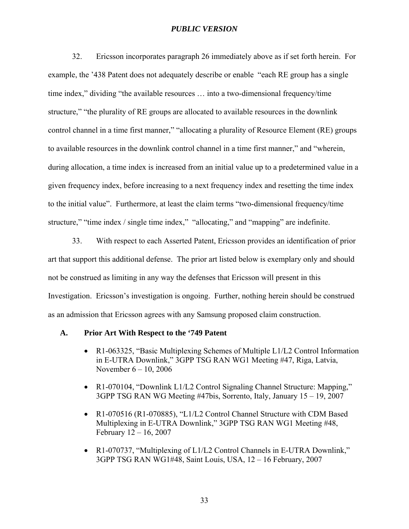32. Ericsson incorporates paragraph 26 immediately above as if set forth herein. For example, the '438 Patent does not adequately describe or enable "each RE group has a single time index," dividing "the available resources … into a two-dimensional frequency/time structure," "the plurality of RE groups are allocated to available resources in the downlink control channel in a time first manner," "allocating a plurality of Resource Element (RE) groups to available resources in the downlink control channel in a time first manner," and "wherein, during allocation, a time index is increased from an initial value up to a predetermined value in a given frequency index, before increasing to a next frequency index and resetting the time index to the initial value". Furthermore, at least the claim terms "two-dimensional frequency/time structure," "time index / single time index," "allocating," and "mapping" are indefinite.

33. With respect to each Asserted Patent, Ericsson provides an identification of prior art that support this additional defense. The prior art listed below is exemplary only and should not be construed as limiting in any way the defenses that Ericsson will present in this Investigation. Ericsson's investigation is ongoing. Further, nothing herein should be construed as an admission that Ericsson agrees with any Samsung proposed claim construction.

#### **A. Prior Art With Respect to the '749 Patent**

- R1-063325, "Basic Multiplexing Schemes of Multiple L1/L2 Control Information in E-UTRA Downlink," 3GPP TSG RAN WG1 Meeting #47, Riga, Latvia, November 6 – 10, 2006
- R1-070104, "Downlink L1/L2 Control Signaling Channel Structure: Mapping," 3GPP TSG RAN WG Meeting #47bis, Sorrento, Italy, January 15 – 19, 2007
- R1-070516 (R1-070885), "L1/L2 Control Channel Structure with CDM Based Multiplexing in E-UTRA Downlink," 3GPP TSG RAN WG1 Meeting #48, February 12 – 16, 2007
- R1-070737, "Multiplexing of L1/L2 Control Channels in E-UTRA Downlink," 3GPP TSG RAN WG1#48, Saint Louis, USA, 12 – 16 February, 2007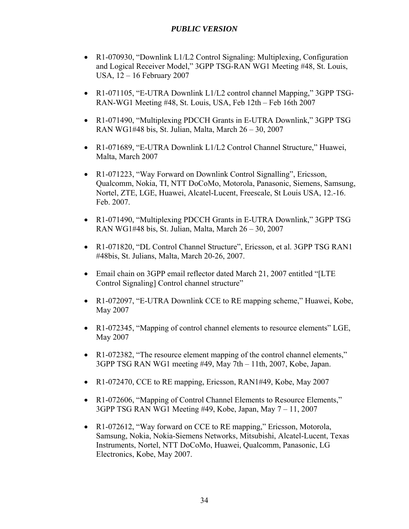- R1-070930, "Downlink L1/L2 Control Signaling: Multiplexing, Configuration and Logical Receiver Model," 3GPP TSG-RAN WG1 Meeting #48, St. Louis, USA, 12 – 16 February 2007
- R1-071105, "E-UTRA Downlink L1/L2 control channel Mapping," 3GPP TSG-RAN-WG1 Meeting #48, St. Louis, USA, Feb 12th – Feb 16th 2007
- R1-071490, "Multiplexing PDCCH Grants in E-UTRA Downlink," 3GPP TSG RAN WG1#48 bis, St. Julian, Malta, March 26 – 30, 2007
- R1-071689, "E-UTRA Downlink L1/L2 Control Channel Structure," Huawei, Malta, March 2007
- R1-071223, "Way Forward on Downlink Control Signalling", Ericsson, Qualcomm, Nokia, TI, NTT DoCoMo, Motorola, Panasonic, Siemens, Samsung, Nortel, ZTE, LGE, Huawei, Alcatel-Lucent, Freescale, St Louis USA, 12.-16. Feb. 2007.
- R1-071490, "Multiplexing PDCCH Grants in E-UTRA Downlink," 3GPP TSG RAN WG1#48 bis, St. Julian, Malta, March 26 – 30, 2007
- R1-071820, "DL Control Channel Structure", Ericsson, et al. 3GPP TSG RAN1 #48bis, St. Julians, Malta, March 20-26, 2007.
- Email chain on 3GPP email reflector dated March 21, 2007 entitled "[LTE Control Signaling] Control channel structure"
- R1-072097, "E-UTRA Downlink CCE to RE mapping scheme," Huawei, Kobe, May 2007
- R1-072345, "Mapping of control channel elements to resource elements" LGE, May 2007
- R1-072382, "The resource element mapping of the control channel elements," 3GPP TSG RAN WG1 meeting #49, May 7th – 11th, 2007, Kobe, Japan.
- R1-072470, CCE to RE mapping, Ericsson, RAN1#49, Kobe, May 2007
- R1-072606, "Mapping of Control Channel Elements to Resource Elements," 3GPP TSG RAN WG1 Meeting #49, Kobe, Japan, May 7 – 11, 2007
- R1-072612, "Way forward on CCE to RE mapping," Ericsson, Motorola, Samsung, Nokia, Nokia-Siemens Networks, Mitsubishi, Alcatel-Lucent, Texas Instruments, Nortel, NTT DoCoMo, Huawei, Qualcomm, Panasonic, LG Electronics, Kobe, May 2007.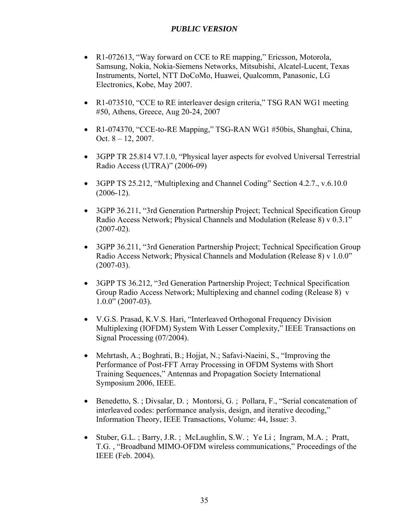- R1-072613, "Way forward on CCE to RE mapping," Ericsson, Motorola, Samsung, Nokia, Nokia-Siemens Networks, Mitsubishi, Alcatel-Lucent, Texas Instruments, Nortel, NTT DoCoMo, Huawei, Qualcomm, Panasonic, LG Electronics, Kobe, May 2007.
- R1-073510, "CCE to RE interleaver design criteria," TSG RAN WG1 meeting #50, Athens, Greece, Aug 20-24, 2007
- R1-074370, "CCE-to-RE Mapping," TSG-RAN WG1 #50bis, Shanghai, China, Oct.  $8 - 12$ , 2007.
- 3GPP TR 25.814 V7.1.0, "Physical layer aspects for evolved Universal Terrestrial Radio Access (UTRA)" (2006-09)
- 3GPP TS 25.212, "Multiplexing and Channel Coding" Section 4.2.7., v.6.10.0  $(2006-12)$ .
- 3GPP 36.211, "3rd Generation Partnership Project; Technical Specification Group Radio Access Network; Physical Channels and Modulation (Release 8) v 0.3.1" (2007-02).
- 3GPP 36.211, "3rd Generation Partnership Project; Technical Specification Group Radio Access Network; Physical Channels and Modulation (Release 8) v 1.0.0" (2007-03).
- 3GPP TS 36.212, "3rd Generation Partnership Project; Technical Specification Group Radio Access Network; Multiplexing and channel coding (Release 8) v  $1.0.0$ " (2007-03).
- V.G.S. Prasad, K.V.S. Hari, "Interleaved Orthogonal Frequency Division Multiplexing (IOFDM) System With Lesser Complexity," IEEE Transactions on Signal Processing (07/2004).
- Mehrtash, A.; Boghrati, B.; Hojjat, N.; Safavi-Naeini, S., "Improving the Performance of Post-FFT Array Processing in OFDM Systems with Short Training Sequences," Antennas and Propagation Society International Symposium 2006, IEEE.
- Benedetto, S.; Divsalar, D.; Montorsi, G.; Pollara, F., "Serial concatenation of interleaved codes: performance analysis, design, and iterative decoding," Information Theory, IEEE Transactions, Volume: 44, Issue: 3.
- Stuber, G.L. ; Barry, J.R. ; McLaughlin, S.W. ; Ye Li ; Ingram, M.A. ; Pratt, T.G. , "Broadband MIMO-OFDM wireless communications," Proceedings of the IEEE (Feb. 2004).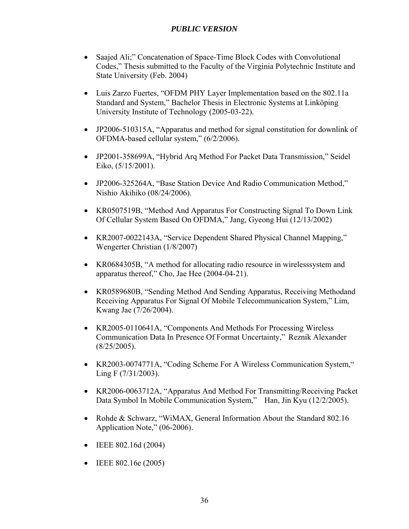- Saajed Ali;" Concatenation of Space-Time Block Codes with Convolutional Codes," Thesis submitted to the Faculty of the Virginia Polytechnic Institute and State University (Feb. 2004)
- Luis Zarzo Fuertes, "OFDM PHY Layer Implementation based on the 802.11a Standard and System," Bachelor Thesis in Electronic Systems at Linköping University Institute of Technology (2005-03-22).
- JP2006-510315A, "Apparatus and method for signal constitution for downlink of OFDMA-based cellular system," (6/2/2006).
- JP2001-358699A, "Hybrid Arq Method For Packet Data Transmission," Seidel Eiko, (5/15/2001).
- JP2006-325264A, "Base Station Device And Radio Communication Method," Nishio Akihiko (08/24/2006).
- KR0507519B, "Method And Apparatus For Constructing Signal To Down Link Of Cellular System Based On OFDMA," Jang, Gyeong Hui (12/13/2002)
- KR2007-0022143A, "Service Dependent Shared Physical Channel Mapping," Wengerter Christian (1/8/2007)
- KR0684305B, "A method for allocating radio resource in wirelesssystem and apparatus thereof," Cho, Jae Hee (2004-04-21).
- KR0589680B, "Sending Method And Sending Apparatus, Receiving Methodand Receiving Apparatus For Signal Of Mobile Telecommunication System," Lim, Kwang Jae (7/26/2004).
- KR2005-0110641A, "Components And Methods For Processing Wireless Communication Data In Presence Of Format Uncertainty," Reznik Alexander  $(8/25/2005)$ .
- KR2003-0074771A, "Coding Scheme For A Wireless Communication System," Ling F (7/31/2003).
- KR2006-0063712A, "Apparatus And Method For Transmitting/Receiving Packet Data Symbol In Mobile Communication System," Han, Jin Kyu (12/2/2005).
- Rohde & Schwarz, "WiMAX, General Information About the Standard 802.16 Application Note," (06-2006).
- $\bullet$  IEEE 802.16d (2004)
- $\bullet$  IEEE 802.16e (2005)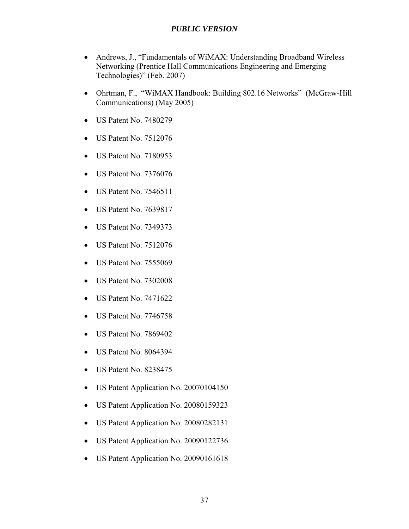- Andrews, J., "Fundamentals of WiMAX: Understanding Broadband Wireless Networking (Prentice Hall Communications Engineering and Emerging Technologies)" (Feb. 2007)
- Ohrtman, F., "WiMAX Handbook: Building 802.16 Networks" (McGraw-Hill Communications) (May 2005)
- US Patent No. 7480279
- US Patent No. 7512076
- US Patent No. 7180953
- US Patent No. 7376076
- US Patent No. 7546511
- US Patent No. 7639817
- US Patent No. 7349373
- US Patent No. 7512076
- US Patent No. 7555069
- US Patent No. 7302008
- US Patent No. 7471622
- US Patent No. 7746758
- US Patent No. 7869402
- US Patent No. 8064394
- US Patent No. 8238475
- US Patent Application No. 20070104150
- US Patent Application No. 20080159323
- US Patent Application No. 20080282131
- US Patent Application No. 20090122736
- US Patent Application No. 20090161618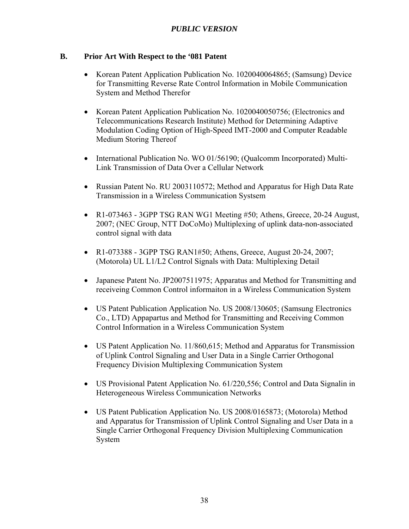## **B. Prior Art With Respect to the '081 Patent**

- Korean Patent Application Publication No. 1020040064865; (Samsung) Device for Transmitting Reverse Rate Control Information in Mobile Communication System and Method Therefor
- Korean Patent Application Publication No. 1020040050756; (Electronics and Telecommunications Research Institute) Method for Determining Adaptive Modulation Coding Option of High-Speed IMT-2000 and Computer Readable Medium Storing Thereof
- International Publication No. WO 01/56190; (Oualcomm Incorporated) Multi-Link Transmission of Data Over a Cellular Network
- Russian Patent No. RU 2003110572; Method and Apparatus for High Data Rate Transmission in a Wireless Communication Systsem
- R1-073463 3GPP TSG RAN WG1 Meeting  $#50$ ; Athens, Greece, 20-24 August, 2007; (NEC Group, NTT DoCoMo) Multiplexing of uplink data-non-associated control signal with data
- R1-073388 3GPP TSG RAN1#50; Athens, Greece, August 20-24, 2007; (Motorola) UL L1/L2 Control Signals with Data: Multiplexing Detail
- Japanese Patent No. JP2007511975; Apparatus and Method for Transmitting and receiveing Common Control informaiton in a Wireless Communication System
- US Patent Publication Application No. US 2008/130605; (Samsung Electronics Co., LTD) Appapartus and Method for Transmitting and Receiving Common Control Information in a Wireless Communication System
- US Patent Application No. 11/860,615; Method and Apparatus for Transmission of Uplink Control Signaling and User Data in a Single Carrier Orthogonal Frequency Division Multiplexing Communication System
- US Provisional Patent Application No. 61/220,556; Control and Data Signalin in Heterogeneous Wireless Communication Networks
- US Patent Publication Application No. US 2008/0165873; (Motorola) Method and Apparatus for Transmission of Uplink Control Signaling and User Data in a Single Carrier Orthogonal Frequency Division Multiplexing Communication System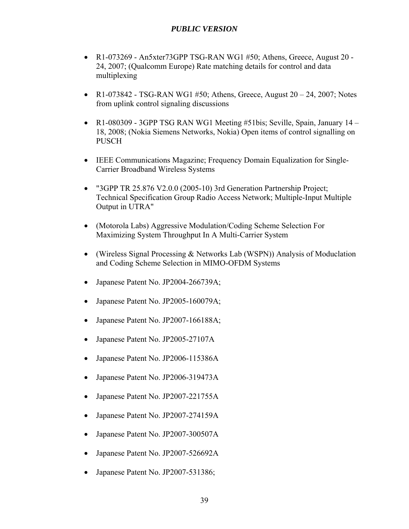- R1-073269 An5xter73GPP TSG-RAN WG1  $#50$ ; Athens, Greece, August 20 -24, 2007; (Qualcomm Europe) Rate matching details for control and data multiplexing
- R1-073842 TSG-RAN WG1  $#50$ ; Athens, Greece, August 20 24, 2007; Notes from uplink control signaling discussions
- R1-080309 3GPP TSG RAN WG1 Meeting #51bis; Seville, Spain, January  $14$  18, 2008; (Nokia Siemens Networks, Nokia) Open items of control signalling on PUSCH
- IEEE Communications Magazine; Frequency Domain Equalization for Single-Carrier Broadband Wireless Systems
- "3GPP TR 25.876 V2.0.0 (2005-10) 3rd Generation Partnership Project; Technical Specification Group Radio Access Network; Multiple-Input Multiple Output in UTRA"
- (Motorola Labs) Aggressive Modulation/Coding Scheme Selection For Maximizing System Throughput In A Multi-Carrier System
- (Wireless Signal Processing & Networks Lab (WSPN)) Analysis of Moduclation and Coding Scheme Selection in MIMO-OFDM Systems
- Japanese Patent No. JP2004-266739A;
- Japanese Patent No. JP2005-160079A;
- Japanese Patent No. JP2007-166188A;
- Japanese Patent No. JP2005-27107A
- Japanese Patent No. JP2006-115386A
- Japanese Patent No. JP2006-319473A
- Japanese Patent No. JP2007-221755A
- Japanese Patent No. JP2007-274159A
- Japanese Patent No. JP2007-300507A
- Japanese Patent No. JP2007-526692A
- Japanese Patent No. JP2007-531386;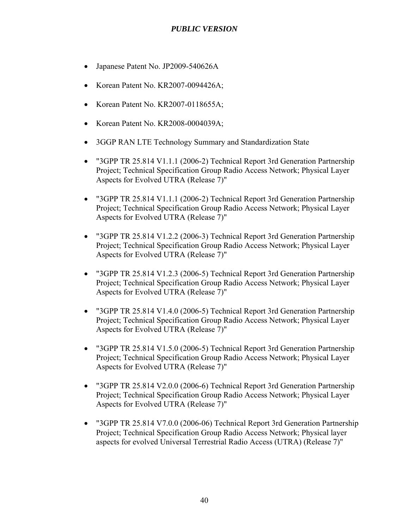- Japanese Patent No. JP2009-540626A
- Korean Patent No. KR2007-0094426A;
- Korean Patent No. KR2007-0118655A;
- Korean Patent No. KR2008-0004039A;
- 3GGP RAN LTE Technology Summary and Standardization State
- "3GPP TR 25.814 V1.1.1 (2006-2) Technical Report 3rd Generation Partnership Project; Technical Specification Group Radio Access Network; Physical Layer Aspects for Evolved UTRA (Release 7)"
- "3GPP TR 25.814 V1.1.1 (2006-2) Technical Report 3rd Generation Partnership Project; Technical Specification Group Radio Access Network; Physical Layer Aspects for Evolved UTRA (Release 7)"
- "3GPP TR 25.814 V1.2.2 (2006-3) Technical Report 3rd Generation Partnership Project; Technical Specification Group Radio Access Network; Physical Layer Aspects for Evolved UTRA (Release 7)"
- "3GPP TR 25.814 V1.2.3 (2006-5) Technical Report 3rd Generation Partnership Project; Technical Specification Group Radio Access Network; Physical Layer Aspects for Evolved UTRA (Release 7)"
- "3GPP TR 25.814 V1.4.0 (2006-5) Technical Report 3rd Generation Partnership Project; Technical Specification Group Radio Access Network; Physical Layer Aspects for Evolved UTRA (Release 7)"
- "3GPP TR 25.814 V1.5.0 (2006-5) Technical Report 3rd Generation Partnership Project; Technical Specification Group Radio Access Network; Physical Layer Aspects for Evolved UTRA (Release 7)"
- "3GPP TR 25.814 V2.0.0 (2006-6) Technical Report 3rd Generation Partnership Project; Technical Specification Group Radio Access Network; Physical Layer Aspects for Evolved UTRA (Release 7)"
- "3GPP TR 25.814 V7.0.0 (2006-06) Technical Report 3rd Generation Partnership Project; Technical Specification Group Radio Access Network; Physical layer aspects for evolved Universal Terrestrial Radio Access (UTRA) (Release 7)"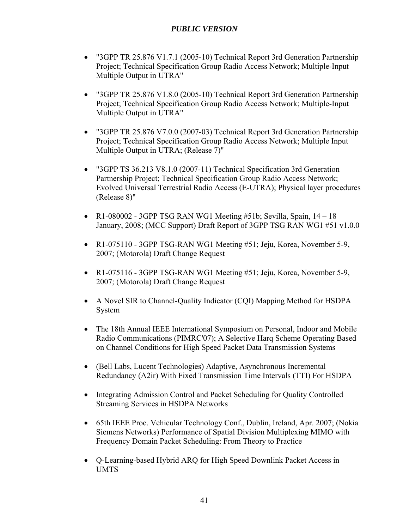- "3GPP TR 25.876 V1.7.1 (2005-10) Technical Report 3rd Generation Partnership Project; Technical Specification Group Radio Access Network; Multiple-Input Multiple Output in UTRA"
- "3GPP TR 25.876 V1.8.0 (2005-10) Technical Report 3rd Generation Partnership Project; Technical Specification Group Radio Access Network; Multiple-Input Multiple Output in UTRA"
- "3GPP TR 25.876 V7.0.0 (2007-03) Technical Report 3rd Generation Partnership Project; Technical Specification Group Radio Access Network; Multiple Input Multiple Output in UTRA; (Release 7)"
- "3GPP TS 36.213 V8.1.0 (2007-11) Technical Specification 3rd Generation Partnership Project; Technical Specification Group Radio Access Network; Evolved Universal Terrestrial Radio Access (E-UTRA); Physical layer procedures (Release 8)"
- R1-080002 3GPP TSG RAN WG1 Meeting  $#51b$ ; Sevilla, Spain,  $14-18$ January, 2008; (MCC Support) Draft Report of 3GPP TSG RAN WG1 #51 v1.0.0
- R1-075110 3GPP TSG-RAN WG1 Meeting #51; Jeju, Korea, November 5-9, 2007; (Motorola) Draft Change Request
- R1-075116 3GPP TSG-RAN WG1 Meeting #51; Jeju, Korea, November 5-9, 2007; (Motorola) Draft Change Request
- A Novel SIR to Channel-Quality Indicator (CQI) Mapping Method for HSDPA System
- The 18th Annual IEEE International Symposium on Personal, Indoor and Mobile Radio Communications (PIMRC'07); A Selective Harq Scheme Operating Based on Channel Conditions for High Speed Packet Data Transmission Systems
- (Bell Labs, Lucent Technologies) Adaptive, Asynchronous Incremental Redundancy (A2ir) With Fixed Transmission Time Intervals (TTI) For HSDPA
- Integrating Admission Control and Packet Scheduling for Quality Controlled Streaming Services in HSDPA Networks
- 65th IEEE Proc. Vehicular Technology Conf., Dublin, Ireland, Apr. 2007; (Nokia Siemens Networks) Performance of Spatial Division Multiplexing MIMO with Frequency Domain Packet Scheduling: From Theory to Practice
- Q-Learning-based Hybrid ARQ for High Speed Downlink Packet Access in UMTS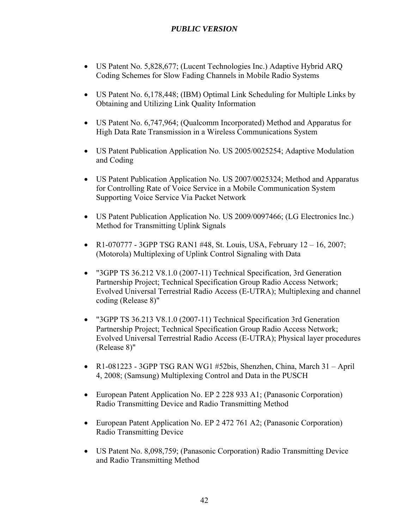- US Patent No. 5,828,677; (Lucent Technologies Inc.) Adaptive Hybrid ARQ Coding Schemes for Slow Fading Channels in Mobile Radio Systems
- US Patent No. 6,178,448; (IBM) Optimal Link Scheduling for Multiple Links by Obtaining and Utilizing Link Quality Information
- US Patent No. 6,747,964; (Qualcomm Incorporated) Method and Apparatus for High Data Rate Transmission in a Wireless Communications System
- US Patent Publication Application No. US 2005/0025254; Adaptive Modulation and Coding
- US Patent Publication Application No. US 2007/0025324; Method and Apparatus for Controlling Rate of Voice Service in a Mobile Communication System Supporting Voice Service Via Packet Network
- US Patent Publication Application No. US 2009/0097466; (LG Electronics Inc.) Method for Transmitting Uplink Signals
- R1-070777 3GPP TSG RAN1 #48, St. Louis, USA, February  $12 16$ , 2007; (Motorola) Multiplexing of Uplink Control Signaling with Data
- "3GPP TS 36.212 V8.1.0 (2007-11) Technical Specification, 3rd Generation Partnership Project; Technical Specification Group Radio Access Network; Evolved Universal Terrestrial Radio Access (E-UTRA); Multiplexing and channel coding (Release 8)"
- "3GPP TS 36.213 V8.1.0 (2007-11) Technical Specification 3rd Generation Partnership Project; Technical Specification Group Radio Access Network; Evolved Universal Terrestrial Radio Access (E-UTRA); Physical layer procedures (Release 8)"
- R1-081223 3GPP TSG RAN WG1 #52bis, Shenzhen, China, March 31 April 4, 2008; (Samsung) Multiplexing Control and Data in the PUSCH
- European Patent Application No. EP 2 228 933 A1; (Panasonic Corporation) Radio Transmitting Device and Radio Transmitting Method
- European Patent Application No. EP 2 472 761 A2; (Panasonic Corporation) Radio Transmitting Device
- US Patent No. 8,098,759; (Panasonic Corporation) Radio Transmitting Device and Radio Transmitting Method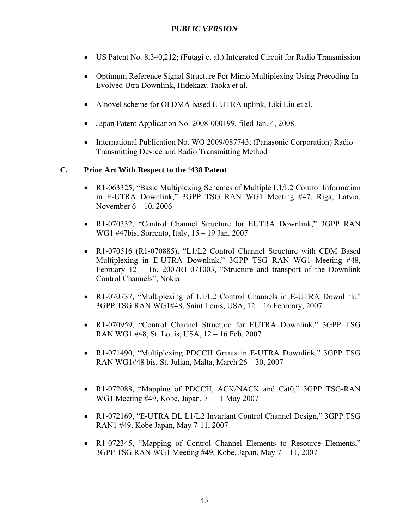- US Patent No. 8,340,212; (Futagi et al.) Integrated Circuit for Radio Transmission
- Optimum Reference Signal Structure For Mimo Multiplexing Using Precoding In Evolved Utra Downlink, Hidekazu Taoka et al.
- A novel scheme for OFDMA based E-UTRA uplink, Liki Liu et al.
- Japan Patent Application No. 2008-000199, filed Jan. 4, 2008.
- International Publication No. WO 2009/087743; (Panasonic Corporation) Radio Transmitting Device and Radio Transmitting Method

#### **C. Prior Art With Respect to the '438 Patent**

- R1-063325, "Basic Multiplexing Schemes of Multiple L1/L2 Control Information in E-UTRA Downlink," 3GPP TSG RAN WG1 Meeting #47, Riga, Latvia, November 6 – 10, 2006
- R1-070332, "Control Channel Structure for EUTRA Downlink," 3GPP RAN WG1 #47bis, Sorrento, Italy, 15 – 19 Jan. 2007
- R1-070516 (R1-070885), "L1/L2 Control Channel Structure with CDM Based Multiplexing in E-UTRA Downlink," 3GPP TSG RAN WG1 Meeting #48, February 12 – 16, 2007R1-071003, "Structure and transport of the Downlink Control Channels", Nokia
- R1-070737, "Multiplexing of L1/L2 Control Channels in E-UTRA Downlink," 3GPP TSG RAN WG1#48, Saint Louis, USA, 12 – 16 February, 2007
- R1-070959, "Control Channel Structure for EUTRA Downlink," 3GPP TSG RAN WG1 #48, St. Louis, USA, 12 – 16 Feb. 2007
- R1-071490, "Multiplexing PDCCH Grants in E-UTRA Downlink," 3GPP TSG RAN WG1#48 bis, St. Julian, Malta, March 26 – 30, 2007
- R1-072088, "Mapping of PDCCH, ACK/NACK and Cat0," 3GPP TSG-RAN WG1 Meeting #49, Kobe, Japan, 7 – 11 May 2007
- R1-072169, "E-UTRA DL L1/L2 Invariant Control Channel Design," 3GPP TSG RAN1 #49, Kobe Japan, May 7-11, 2007
- R1-072345, "Mapping of Control Channel Elements to Resource Elements," 3GPP TSG RAN WG1 Meeting #49, Kobe, Japan, May 7 – 11, 2007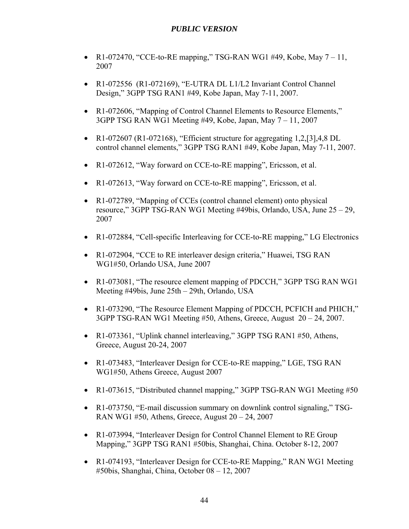- R1-072470, "CCE-to-RE mapping," TSG-RAN WG1 #49, Kobe, May  $7-11$ , 2007
- R1-072556 (R1-072169), "E-UTRA DL L1/L2 Invariant Control Channel Design," 3GPP TSG RAN1 #49, Kobe Japan, May 7-11, 2007.
- R1-072606, "Mapping of Control Channel Elements to Resource Elements," 3GPP TSG RAN WG1 Meeting #49, Kobe, Japan, May 7 – 11, 2007
- R1-072607 (R1-072168), "Efficient structure for aggregating  $1,2$ ,  $[3]$ ,  $4,8$  DL control channel elements," 3GPP TSG RAN1 #49, Kobe Japan, May 7-11, 2007.
- R1-072612, "Way forward on CCE-to-RE mapping", Ericsson, et al.
- R1-072613, "Way forward on CCE-to-RE mapping", Ericsson, et al.
- R1-072789, "Mapping of CCEs (control channel element) onto physical resource," 3GPP TSG-RAN WG1 Meeting #49bis, Orlando, USA, June 25 – 29, 2007
- R1-072884, "Cell-specific Interleaving for CCE-to-RE mapping," LG Electronics
- R1-072904, "CCE to RE interleaver design criteria," Huawei, TSG RAN WG1#50, Orlando USA, June 2007
- R1-073081, "The resource element mapping of PDCCH," 3GPP TSG RAN WG1 Meeting #49bis, June 25th – 29th, Orlando, USA
- R1-073290, "The Resource Element Mapping of PDCCH, PCFICH and PHICH," 3GPP TSG-RAN WG1 Meeting #50, Athens, Greece, August 20 – 24, 2007.
- R1-073361, "Uplink channel interleaving," 3GPP TSG RAN1 #50, Athens, Greece, August 20-24, 2007
- R1-073483, "Interleaver Design for CCE-to-RE mapping," LGE, TSG RAN WG1#50, Athens Greece, August 2007
- R1-073615, "Distributed channel mapping," 3GPP TSG-RAN WG1 Meeting #50
- R1-073750, "E-mail discussion summary on downlink control signaling," TSG-RAN WG1 #50, Athens, Greece, August  $20 - 24$ , 2007
- R1-073994, "Interleaver Design for Control Channel Element to RE Group Mapping," 3GPP TSG RAN1 #50bis, Shanghai, China. October 8-12, 2007
- R1-074193, "Interleaver Design for CCE-to-RE Mapping," RAN WG1 Meeting #50bis, Shanghai, China, October 08 – 12, 2007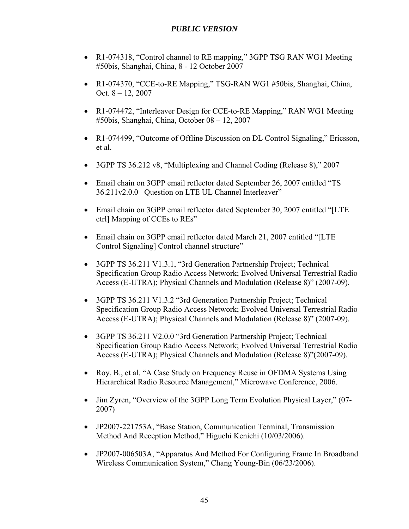- R1-074318, "Control channel to RE mapping," 3GPP TSG RAN WG1 Meeting #50bis, Shanghai, China, 8 - 12 October 2007
- R1-074370, "CCE-to-RE Mapping," TSG-RAN WG1 #50bis, Shanghai, China, Oct. 8 – 12, 2007
- R1-074472, "Interleaver Design for CCE-to-RE Mapping," RAN WG1 Meeting #50bis, Shanghai, China, October 08 – 12, 2007
- R1-074499, "Outcome of Offline Discussion on DL Control Signaling," Ericsson, et al.
- 3GPP TS 36.212 v8, "Multiplexing and Channel Coding (Release 8)," 2007
- Email chain on 3GPP email reflector dated September 26, 2007 entitled "TS 36.211v2.0.0 Question on LTE UL Channel Interleaver"
- Email chain on 3GPP email reflector dated September 30, 2007 entitled "[LTE ctrl] Mapping of CCEs to REs"
- Email chain on 3GPP email reflector dated March 21, 2007 entitled "[LTE Control Signaling] Control channel structure"
- 3GPP TS 36.211 V1.3.1, "3rd Generation Partnership Project; Technical Specification Group Radio Access Network; Evolved Universal Terrestrial Radio Access (E-UTRA); Physical Channels and Modulation (Release 8)" (2007-09).
- 3GPP TS 36.211 V1.3.2 "3rd Generation Partnership Project; Technical Specification Group Radio Access Network; Evolved Universal Terrestrial Radio Access (E-UTRA); Physical Channels and Modulation (Release 8)" (2007-09).
- 3GPP TS 36.211 V2.0.0 "3rd Generation Partnership Project; Technical Specification Group Radio Access Network; Evolved Universal Terrestrial Radio Access (E-UTRA); Physical Channels and Modulation (Release 8)"(2007-09).
- Roy, B., et al. "A Case Study on Frequency Reuse in OFDMA Systems Using Hierarchical Radio Resource Management," Microwave Conference, 2006.
- Jim Zyren, "Overview of the 3GPP Long Term Evolution Physical Layer," (07- 2007)
- JP2007-221753A, "Base Station, Communication Terminal, Transmission Method And Reception Method," Higuchi Kenichi (10/03/2006).
- JP2007-006503A, "Apparatus And Method For Configuring Frame In Broadband Wireless Communication System," Chang Young-Bin (06/23/2006).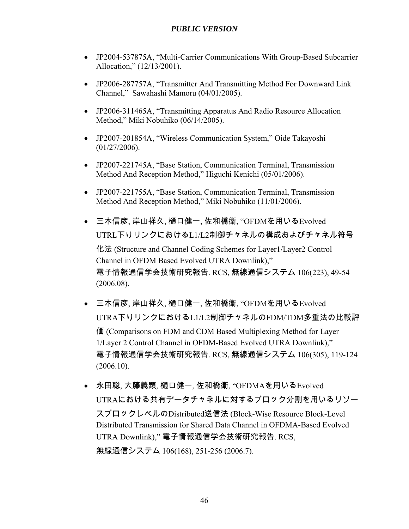- JP2004-537875A, "Multi-Carrier Communications With Group-Based Subcarrier Allocation," (12/13/2001).
- JP2006-287757A, "Transmitter And Transmitting Method For Downward Link Channel," Sawahashi Mamoru (04/01/2005).
- JP2006-311465A, "Transmitting Apparatus And Radio Resource Allocation Method," Miki Nobuhiko (06/14/2005).
- JP2007-201854A, "Wireless Communication System," Oide Takayoshi (01/27/2006).
- JP2007-221745A, "Base Station, Communication Terminal, Transmission Method And Reception Method," Higuchi Kenichi (05/01/2006).
- JP2007-221755A, "Base Station, Communication Terminal, Transmission Method And Reception Method," Miki Nobuhiko (11/01/2006).
- 三木信彦, 岸山祥久, 樋口健一, 佐和橋衛, "OFDMを用いるEvolved UTRL下りリンクにおけるL1/L2制御チャネルの構成およびチャネル符号 化法 (Structure and Channel Coding Schemes for Layer1/Layer2 Control Channel in OFDM Based Evolved UTRA Downlink)," 電子情報通信学会技術研究報告. RCS, 無線通信システム 106(223), 49-54 (2006.08).
- 三木信彦, 岸山祥久, 樋口健一, 佐和橋衛, "OFDMを用いるEvolved UTRA下りリンクにおけるL1/L2制御チャネルのFDM/TDM多重法の比較評 価 (Comparisons on FDM and CDM Based Multiplexing Method for Layer 1/Layer 2 Control Channel in OFDM-Based Evolved UTRA Downlink)," 電子情報通信学会技術研究報告. RCS, 無線通信システム 106(305), 119-124 (2006.10).
- 永田聡, 大藤義顕, 樋口健一, 佐和橋衛, "OFDMAを用いるEvolved UTRAにおける共有データチャネルに対するブロック分割を用いるリソー スブロックレベルのDistributed送信法 (Block-Wise Resource Block-Level Distributed Transmission for Shared Data Channel in OFDMA-Based Evolved UTRA Downlink)," 電子情報通信学会技術研究報告. RCS, 無線通信システム 106(168), 251-256 (2006.7).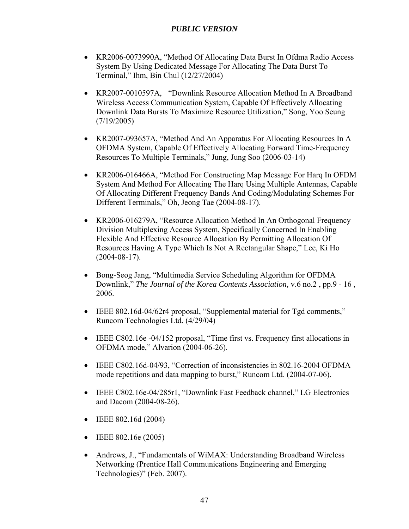- KR2006-0073990A, "Method Of Allocating Data Burst In Ofdma Radio Access System By Using Dedicated Message For Allocating The Data Burst To Terminal," Ihm, Bin Chul (12/27/2004)
- KR2007-0010597A, "Downlink Resource Allocation Method In A Broadband Wireless Access Communication System, Capable Of Effectively Allocating Downlink Data Bursts To Maximize Resource Utilization," Song, Yoo Seung (7/19/2005)
- KR2007-093657A, "Method And An Apparatus For Allocating Resources In A OFDMA System, Capable Of Effectively Allocating Forward Time-Frequency Resources To Multiple Terminals," Jung, Jung Soo (2006-03-14)
- KR2006-016466A, "Method For Constructing Map Message For Harq In OFDM System And Method For Allocating The Harq Using Multiple Antennas, Capable Of Allocating Different Frequency Bands And Coding/Modulating Schemes For Different Terminals," Oh, Jeong Tae (2004-08-17).
- KR2006-016279A, "Resource Allocation Method In An Orthogonal Frequency Division Multiplexing Access System, Specifically Concerned In Enabling Flexible And Effective Resource Allocation By Permitting Allocation Of Resources Having A Type Which Is Not A Rectangular Shape," Lee, Ki Ho (2004-08-17).
- Bong-Seog Jang, "Multimedia Service Scheduling Algorithm for OFDMA Downlink," *The Journal of the Korea Contents Association,* v.6 no.2 , pp.9 - 16 , 2006.
- IEEE 802.16d-04/62r4 proposal, "Supplemental material for Tgd comments," Runcom Technologies Ltd. (4/29/04)
- IEEE C802.16e -04/152 proposal, "Time first vs. Frequency first allocations in OFDMA mode," Alvarion (2004-06-26).
- IEEE C802.16d-04/93, "Correction of inconsistencies in 802.16-2004 OFDMA mode repetitions and data mapping to burst," Runcom Ltd. (2004-07-06).
- IEEE C802.16e-04/285r1, "Downlink Fast Feedback channel," LG Electronics and Dacom (2004-08-26).
- $\bullet$  IEEE 802.16d (2004)
- IEEE 802.16e (2005)
- Andrews, J., "Fundamentals of WiMAX: Understanding Broadband Wireless Networking (Prentice Hall Communications Engineering and Emerging Technologies)" (Feb. 2007).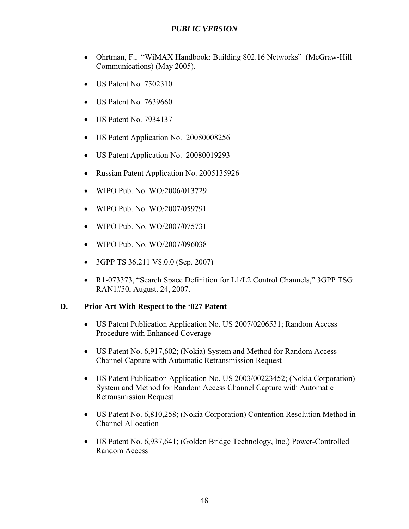- Ohrtman, F., "WiMAX Handbook: Building 802.16 Networks" (McGraw-Hill Communications) (May 2005).
- US Patent No. 7502310
- US Patent No. 7639660
- US Patent No. 7934137
- US Patent Application No. 20080008256
- US Patent Application No. 20080019293
- Russian Patent Application No. 2005135926
- WIPO Pub. No. WO/2006/013729
- WIPO Pub. No. WO/2007/059791
- WIPO Pub. No. WO/2007/075731
- WIPO Pub. No. WO/2007/096038
- 3GPP TS 36.211 V8.0.0 (Sep. 2007)
- R1-073373, "Search Space Definition for L1/L2 Control Channels," 3GPP TSG RAN1#50, August. 24, 2007.

### **D. Prior Art With Respect to the '827 Patent**

- US Patent Publication Application No. US 2007/0206531; Random Access Procedure with Enhanced Coverage
- US Patent No. 6,917,602; (Nokia) System and Method for Random Access Channel Capture with Automatic Retransmission Request
- US Patent Publication Application No. US 2003/00223452; (Nokia Corporation) System and Method for Random Access Channel Capture with Automatic Retransmission Request
- US Patent No. 6,810,258; (Nokia Corporation) Contention Resolution Method in Channel Allocation
- US Patent No. 6,937,641; (Golden Bridge Technology, Inc.) Power-Controlled Random Access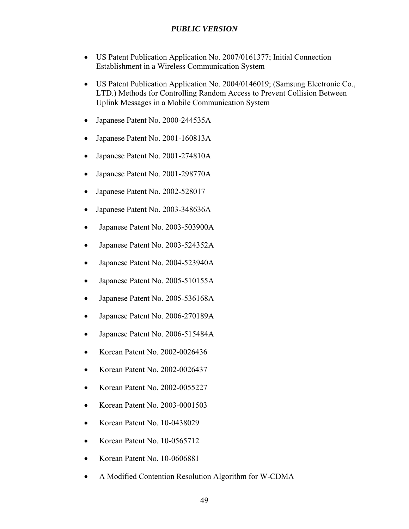- US Patent Publication Application No. 2007/0161377; Initial Connection Establishment in a Wireless Communication System
- US Patent Publication Application No. 2004/0146019; (Samsung Electronic Co., LTD.) Methods for Controlling Random Access to Prevent Collision Between Uplink Messages in a Mobile Communication System
- Japanese Patent No. 2000-244535A
- Japanese Patent No. 2001-160813A
- Japanese Patent No. 2001-274810A
- Japanese Patent No. 2001-298770A
- Japanese Patent No. 2002-528017
- Japanese Patent No. 2003-348636A
- Japanese Patent No. 2003-503900A
- Japanese Patent No. 2003-524352A
- Japanese Patent No. 2004-523940A
- Japanese Patent No. 2005-510155A
- Japanese Patent No. 2005-536168A
- Japanese Patent No. 2006-270189A
- Japanese Patent No. 2006-515484A
- Korean Patent No. 2002-0026436
- Korean Patent No. 2002-0026437
- Korean Patent No. 2002-0055227
- Korean Patent No. 2003-0001503
- Korean Patent No. 10-0438029
- Korean Patent No. 10-0565712
- Korean Patent No. 10-0606881
- A Modified Contention Resolution Algorithm for W-CDMA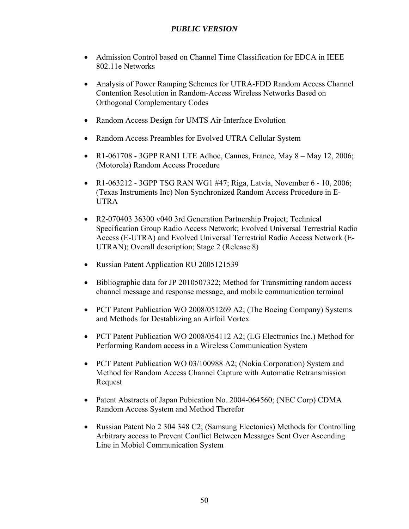- Admission Control based on Channel Time Classification for EDCA in IEEE 802.11e Networks
- Analysis of Power Ramping Schemes for UTRA-FDD Random Access Channel Contention Resolution in Random-Access Wireless Networks Based on Orthogonal Complementary Codes
- Random Access Design for UMTS Air-Interface Evolution
- Random Access Preambles for Evolved UTRA Cellular System
- $R1-061708 3GPP$  RAN1 LTE Adhoc, Cannes, France, May  $8 -$ May 12, 2006; (Motorola) Random Access Procedure
- R1-063212 3GPP TSG RAN WG1 #47; Riga, Latvia, November 6 10, 2006; (Texas Instruments Inc) Non Synchronized Random Access Procedure in E-UTRA
- R2-070403 36300 v040 3rd Generation Partnership Project; Technical Specification Group Radio Access Network; Evolved Universal Terrestrial Radio Access (E-UTRA) and Evolved Universal Terrestrial Radio Access Network (E-UTRAN); Overall description; Stage 2 (Release 8)
- Russian Patent Application RU 2005121539
- Bibliographic data for JP 2010507322; Method for Transmitting random access channel message and response message, and mobile communication terminal
- PCT Patent Publication WO 2008/051269 A2; (The Boeing Company) Systems and Methods for Destablizing an Airfoil Vortex
- PCT Patent Publication WO 2008/054112 A2; (LG Electronics Inc.) Method for Performing Random access in a Wireless Communication System
- PCT Patent Publication WO 03/100988 A2; (Nokia Corporation) System and Method for Random Access Channel Capture with Automatic Retransmission Request
- Patent Abstracts of Japan Pubication No. 2004-064560; (NEC Corp) CDMA Random Access System and Method Therefor
- Russian Patent No 2 304 348 C2; (Samsung Electonics) Methods for Controlling Arbitrary access to Prevent Conflict Between Messages Sent Over Ascending Line in Mobiel Communication System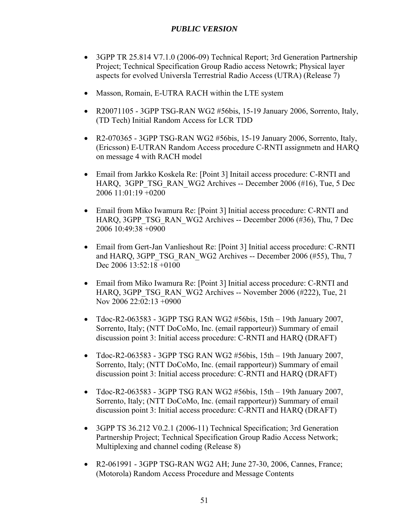- 3GPP TR 25.814 V7.1.0 (2006-09) Technical Report; 3rd Generation Partnership Project; Technical Specification Group Radio access Netowrk; Physical layer aspects for evolved Universla Terrestrial Radio Access (UTRA) (Release 7)
- Masson, Romain, E-UTRA RACH within the LTE system
- R20071105 3GPP TSG-RAN WG2  $#56$ bis, 15-19 January 2006, Sorrento, Italy, (TD Tech) Initial Random Access for LCR TDD
- R2-070365 3GPP TSG-RAN WG2  $\#$ 56bis, 15-19 January 2006, Sorrento, Italy, (Ericsson) E-UTRAN Random Access procedure C-RNTI assignmetn and HARQ on message 4 with RACH model
- Email from Jarkko Koskela Re: [Point 3] Initail access procedure: C-RNTI and HARQ, 3GPP\_TSG\_RAN\_WG2 Archives -- December 2006 (#16), Tue, 5 Dec 2006 11:01:19 +0200
- Email from Miko Iwamura Re: [Point 3] Initial access procedure: C-RNTI and HARQ, 3GPP\_TSG\_RAN\_WG2 Archives -- December 2006 (#36), Thu, 7 Dec 2006 10:49:38 +0900
- Email from Gert-Jan Vanlieshout Re: [Point 3] Initial access procedure: C-RNTI and HARQ, 3GPP\_TSG\_RAN\_WG2 Archives -- December 2006 (#55), Thu, 7 Dec 2006 13:52:18 +0100
- Email from Miko Iwamura Re: [Point 3] Initial access procedure: C-RNTI and HARQ, 3GPP\_TSG\_RAN\_WG2 Archives -- November 2006 (#222), Tue, 21 Nov 2006 22:02:13 +0900
- $\bullet$  Tdoc-R2-063583 3GPP TSG RAN WG2 #56bis, 15th 19th January 2007, Sorrento, Italy; (NTT DoCoMo, Inc. (email rapporteur)) Summary of email discussion point 3: Initial access procedure: C-RNTI and HARQ (DRAFT)
- $\bullet$  Tdoc-R2-063583 3GPP TSG RAN WG2 #56bis, 15th 19th January 2007, Sorrento, Italy; (NTT DoCoMo, Inc. (email rapporteur)) Summary of email discussion point 3: Initial access procedure: C-RNTI and HARQ (DRAFT)
- Tdoc-R2-063583 3GPP TSG RAN WG2  $#56$ bis, 15th 19th January 2007, Sorrento, Italy; (NTT DoCoMo, Inc. (email rapporteur)) Summary of email discussion point 3: Initial access procedure: C-RNTI and HARQ (DRAFT)
- 3GPP TS 36.212 V0.2.1 (2006-11) Technical Specification; 3rd Generation Partnership Project; Technical Specification Group Radio Access Network; Multiplexing and channel coding (Release 8)
- R2-061991 3GPP TSG-RAN WG2 AH; June 27-30, 2006, Cannes, France; (Motorola) Random Access Procedure and Message Contents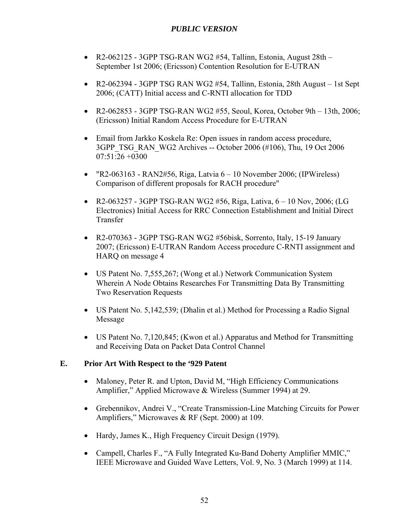- R2-062125 3GPP TSG-RAN WG2  $#54$ , Tallinn, Estonia, August  $28th -$ September 1st 2006; (Ericsson) Contention Resolution for E-UTRAN
- R2-062394 3GPP TSG RAN WG2  $#54$ , Tallinn, Estonia, 28th August 1st Sept 2006; (CATT) Initial access and C-RNTI allocation for TDD
- R2-062853 3GPP TSG-RAN WG2  $#55$ , Seoul, Korea, October 9th 13th, 2006; (Ericsson) Initial Random Access Procedure for E-UTRAN
- Email from Jarkko Koskela Re: Open issues in random access procedure, 3GPP\_TSG\_RAN\_WG2 Archives -- October 2006 (#106), Thu, 19 Oct 2006 07:51:26 +0300
- "R2-063163 RAN2#56, Riga, Latvia  $6 10$  November 2006; (IPWireless) Comparison of different proposals for RACH procedure"
- R2-063257 3GPP TSG-RAN WG2 #56, Riga, Lativa,  $6 10$  Nov, 2006; (LG Electronics) Initial Access for RRC Connection Establishment and Initial Direct Transfer
- R2-070363 3GPP TSG-RAN WG2 #56bisk, Sorrento, Italy, 15-19 January 2007; (Ericsson) E-UTRAN Random Access procedure C-RNTI assignment and HARQ on message 4
- US Patent No. 7,555,267; (Wong et al.) Network Communication System Wherein A Node Obtains Researches For Transmitting Data By Transmitting Two Reservation Requests
- US Patent No. 5,142,539; (Dhalin et al.) Method for Processing a Radio Signal Message
- US Patent No. 7,120,845; (Kwon et al.) Apparatus and Method for Transmitting and Receiving Data on Packet Data Control Channel

### **E. Prior Art With Respect to the '929 Patent**

- Maloney, Peter R. and Upton, David M, "High Efficiency Communications" Amplifier," Applied Microwave & Wireless (Summer 1994) at 29.
- Grebennikov, Andrei V., "Create Transmission-Line Matching Circuits for Power Amplifiers," Microwaves & RF (Sept. 2000) at 109.
- Hardy, James K., High Frequency Circuit Design (1979).
- Campell, Charles F., "A Fully Integrated Ku-Band Doherty Amplifier MMIC," IEEE Microwave and Guided Wave Letters, Vol. 9, No. 3 (March 1999) at 114.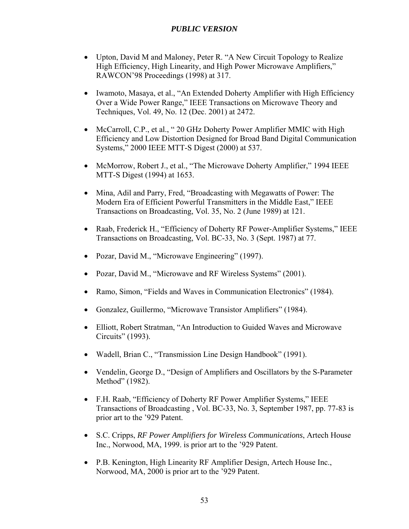- Upton, David M and Maloney, Peter R. "A New Circuit Topology to Realize High Efficiency, High Linearity, and High Power Microwave Amplifiers," RAWCON'98 Proceedings (1998) at 317.
- Iwamoto, Masaya, et al., "An Extended Doherty Amplifier with High Efficiency Over a Wide Power Range," IEEE Transactions on Microwave Theory and Techniques, Vol. 49, No. 12 (Dec. 2001) at 2472.
- McCarroll, C.P., et al., "20 GHz Doherty Power Amplifier MMIC with High Efficiency and Low Distortion Designed for Broad Band Digital Communication Systems," 2000 IEEE MTT-S Digest (2000) at 537.
- McMorrow, Robert J., et al., "The Microwave Doherty Amplifier," 1994 IEEE MTT-S Digest (1994) at 1653.
- Mina, Adil and Parry, Fred, "Broadcasting with Megawatts of Power: The Modern Era of Efficient Powerful Transmitters in the Middle East," IEEE Transactions on Broadcasting, Vol. 35, No. 2 (June 1989) at 121.
- Raab, Frederick H., "Efficiency of Doherty RF Power-Amplifier Systems," IEEE Transactions on Broadcasting, Vol. BC-33, No. 3 (Sept. 1987) at 77.
- Pozar, David M., "Microwave Engineering" (1997).
- Pozar, David M., "Microwave and RF Wireless Systems" (2001).
- Ramo, Simon, "Fields and Waves in Communication Electronics" (1984).
- Gonzalez, Guillermo, "Microwave Transistor Amplifiers" (1984).
- Elliott, Robert Stratman, "An Introduction to Guided Waves and Microwave Circuits" (1993).
- Wadell, Brian C., "Transmission Line Design Handbook" (1991).
- Vendelin, George D., "Design of Amplifiers and Oscillators by the S-Parameter Method" (1982).
- F.H. Raab, "Efficiency of Doherty RF Power Amplifier Systems," IEEE Transactions of Broadcasting , Vol. BC-33, No. 3, September 1987, pp. 77-83 is prior art to the '929 Patent.
- S.C. Cripps, *RF Power Amplifiers for Wireless Communications*, Artech House Inc., Norwood, MA, 1999. is prior art to the '929 Patent.
- P.B. Kenington, High Linearity RF Amplifier Design, Artech House Inc., Norwood, MA, 2000 is prior art to the '929 Patent.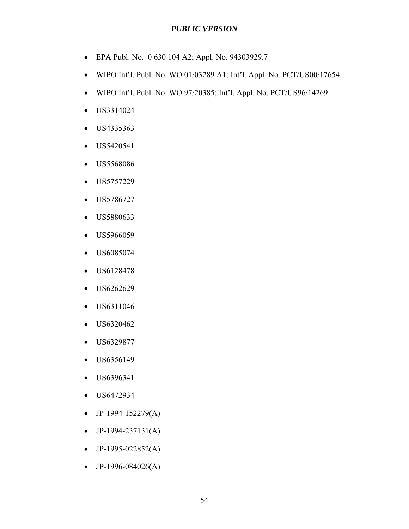- EPA Publ. No. 0 630 104 A2; Appl. No. 94303929.7
- WIPO Int'l. Publ. No. WO 01/03289 A1; Int'l. Appl. No. PCT/US00/17654
- WIPO Int'l. Publ. No. WO 97/20385; Int'l. Appl. No. PCT/US96/14269
- US3314024
- US4335363
- US5420541
- US5568086
- US5757229
- US5786727
- US5880633
- US5966059
- US6085074
- US6128478
- US6262629
- US6311046
- US6320462
- US6329877
- US6356149
- US6396341
- US6472934
- $\bullet$  JP-1994-152279(A)
- $\bullet$  JP-1994-237131(A)
- $\bullet$  JP-1995-022852(A)
- JP-1996-084026(A)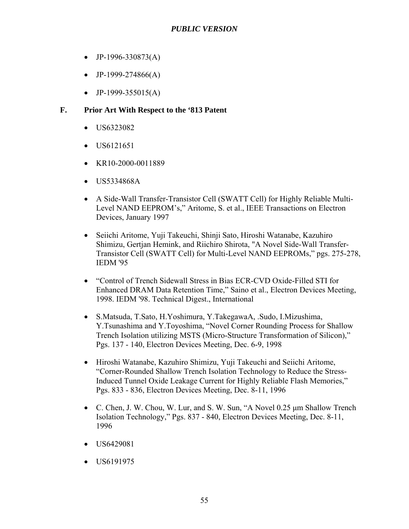- $\bullet$  JP-1996-330873(A)
- $\bullet$  JP-1999-274866(A)
- $\bullet$  JP-1999-355015(A)

## **F. Prior Art With Respect to the '813 Patent**

- US6323082
- US6121651
- $\bullet$  KR10-2000-0011889
- US5334868A
- A Side-Wall Transfer-Transistor Cell (SWATT Cell) for Highly Reliable Multi-Level NAND EEPROM's," Aritome, S. et al., IEEE Transactions on Electron Devices, January 1997
- Seiichi Aritome, Yuji Takeuchi, Shinji Sato, Hiroshi Watanabe, Kazuhiro Shimizu, Gertjan Hemink, and Riichiro Shirota, "A Novel Side-Wall Transfer-Transistor Cell (SWATT Cell) for Multi-Level NAND EEPROMs," pgs. 275-278, IEDM '95
- "Control of Trench Sidewall Stress in Bias ECR-CVD Oxide-Filled STI for Enhanced DRAM Data Retention Time," Saino et al., Electron Devices Meeting, 1998. IEDM '98. Technical Digest., International
- S.Matsuda, T.Sato, H.Yoshimura, Y.TakegawaA, .Sudo, I.Mizushima, Y.Tsunashima and Y.Toyoshima, "Novel Corner Rounding Process for Shallow Trench Isolation utilizing MSTS (Micro-Structure Transformation of Silicon)," Pgs. 137 - 140, Electron Devices Meeting, Dec. 6-9, 1998
- Hiroshi Watanabe, Kazuhiro Shimizu, Yuji Takeuchi and Seiichi Aritome, "Corner-Rounded Shallow Trench Isolation Technology to Reduce the Stress-Induced Tunnel Oxide Leakage Current for Highly Reliable Flash Memories," Pgs. 833 - 836, Electron Devices Meeting, Dec. 8-11, 1996
- C. Chen, J. W. Chou, W. Lur, and S. W. Sun, "A Novel 0.25 μm Shallow Trench Isolation Technology," Pgs. 837 - 840, Electron Devices Meeting, Dec. 8-11, 1996
- US6429081
- US6191975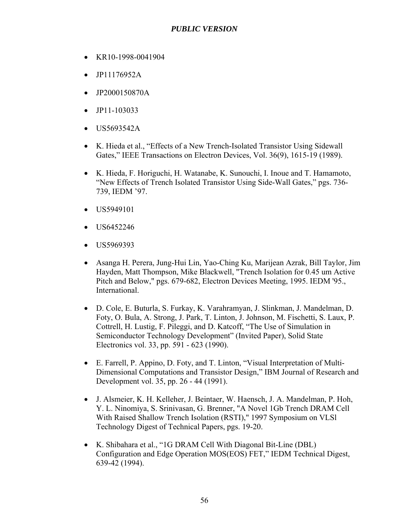- KR10-1998-0041904
- JP11176952A
- JP2000150870A
- JP11-103033
- US5693542A
- K. Hieda et al., "Effects of a New Trench-Isolated Transistor Using Sidewall Gates," IEEE Transactions on Electron Devices, Vol. 36(9), 1615-19 (1989).
- K. Hieda, F. Horiguchi, H. Watanabe, K. Sunouchi, I. Inoue and T. Hamamoto, "New Effects of Trench Isolated Transistor Using Side-Wall Gates," pgs. 736- 739, IEDM '97.
- US5949101
- US6452246
- US5969393
- Asanga H. Perera, Jung-Hui Lin, Yao-Ching Ku, Marijean Azrak, Bill Taylor, Jim Hayden, Matt Thompson, Mike Blackwell, "Trench Isolation for 0.45 um Active Pitch and Below," pgs. 679-682, Electron Devices Meeting, 1995. IEDM '95., International.
- D. Cole, E. Buturla, S. Furkay, K. Varahramyan, J. Slinkman, J. Mandelman, D. Foty, O. Bula, A. Strong, J. Park, T. Linton, J. Johnson, M. Fischetti, S. Laux, P. Cottrell, H. Lustig, F. Pileggi, and D. Katcoff, "The Use of Simulation in Semiconductor Technology Development" (Invited Paper), Solid State Electronics vol. 33, pp. 591 - 623 (1990).
- E. Farrell, P. Appino, D. Foty, and T. Linton, "Visual Interpretation of Multi-Dimensional Computations and Transistor Design," IBM Journal of Research and Development vol. 35, pp. 26 - 44 (1991).
- J. Alsmeier, K. H. Kelleher, J. Beintaer, W. Haensch, J. A. Mandelman, P. Hoh, Y. L. Ninomiya, S. Srinivasan, G. Brenner, "A Novel 1Gb Trench DRAM Cell With Raised Shallow Trench Isolation (RSTI)," 1997 Symposium on VLSl Technology Digest of Technical Papers, pgs. 19-20.
- K. Shibahara et al., "1G DRAM Cell With Diagonal Bit-Line (DBL) Configuration and Edge Operation MOS(EOS) FET," IEDM Technical Digest, 639-42 (1994).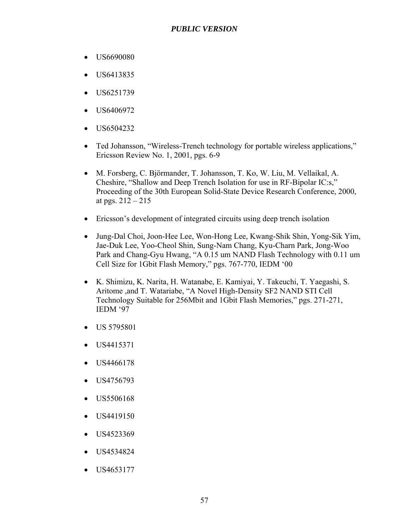- US6690080
- US6413835
- $\bullet$  US6251739
- US6406972
- US6504232
- Ted Johansson, "Wireless-Trench technology for portable wireless applications," Ericsson Review No. 1, 2001, pgs. 6-9
- M. Forsberg, C. Björmander, T. Johansson, T. Ko, W. Liu, M. Vellaikal, A. Cheshire, "Shallow and Deep Trench Isolation for use in RF-Bipolar IC:s," Proceeding of the 30th European Solid-State Device Research Conference, 2000, at pgs.  $212 - 215$
- Ericsson's development of integrated circuits using deep trench isolation
- Jung-Dal Choi, Joon-Hee Lee, Won-Hong Lee, Kwang-Shik Shin, Yong-Sik Yim, Jae-Duk Lee, Yoo-Cheol Shin, Sung-Nam Chang, Kyu-Charn Park, Jong-Woo Park and Chang-Gyu Hwang, "A 0.15 um NAND Flash Technology with 0.11 um Cell Size for 1Gbit Flash Memory," pgs. 767-770, IEDM '00
- K. Shimizu, K. Narita, H. Watanabe, E. Kamiyai, Y. Takeuchi, T. Yaegashi, S. Aritome ,and T. Watariabe, "A Novel High-Density SF2 NAND STI Cell Technology Suitable for 256Mbit and 1Gbit Flash Memories," pgs. 271-271, IEDM '97
- US 5795801
- US4415371
- US4466178
- US4756793
- US5506168
- $\bullet$  US4419150
- US4523369
- US4534824
- US4653177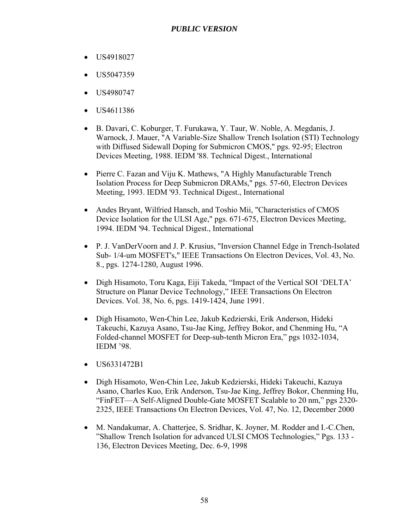- US4918027
- US5047359
- US4980747
- US4611386
- B. Davari, C. Koburger, T. Furukawa, Y. Taur, W. Noble, A. Megdanis, J. Warnock, J. Mauer, "A Variable-Size Shallow Trench Isolation (STI) Technology with Diffused Sidewall Doping for Submicron CMOS," pgs. 92-95; Electron Devices Meeting, 1988. IEDM '88. Technical Digest., International
- Pierre C. Fazan and Viju K. Mathews, "A Highly Manufacturable Trench Isolation Process for Deep Submicron DRAMs," pgs. 57-60, Electron Devices Meeting, 1993. IEDM '93. Technical Digest., International
- Andes Bryant, Wilfried Hansch, and Toshio Mii, "Characteristics of CMOS Device Isolation for the ULSI Age," pgs. 671-675, Electron Devices Meeting, 1994. IEDM '94. Technical Digest., International
- P. J. VanDerVoorn and J. P. Krusius, "Inversion Channel Edge in Trench-Isolated Sub- 1/4-um MOSFET's," IEEE Transactions On Electron Devices, Vol. 43, No. 8., pgs. 1274-1280, August 1996.
- Digh Hisamoto, Toru Kaga, Eiji Takeda, "Impact of the Vertical SOI 'DELTA' Structure on Planar Device Technology," IEEE Transactions On Electron Devices. Vol. 38, No. 6, pgs. 1419-1424, June 1991.
- Digh Hisamoto, Wen-Chin Lee, Jakub Kedzierski, Erik Anderson, Hideki Takeuchi, Kazuya Asano, Tsu-Jae King, Jeffrey Bokor, and Chenming Hu, "A Folded-channel MOSFET for Deep-sub-tenth Micron Era," pgs 1032-1034, IEDM '98.
- US6331472B1
- Digh Hisamoto, Wen-Chin Lee, Jakub Kedzierski, Hideki Takeuchi, Kazuya Asano, Charles Kuo, Erik Anderson, Tsu-Jae King, Jeffrey Bokor, Chenming Hu, "FinFET—A Self-Aligned Double-Gate MOSFET Scalable to 20 nm," pgs 2320- 2325, IEEE Transactions On Electron Devices, Vol. 47, No. 12, December 2000
- M. Nandakumar, A. Chatterjee, S. Sridhar, K. Joyner, M. Rodder and I.-C.Chen, "Shallow Trench Isolation for advanced ULSI CMOS Technologies," Pgs. 133 - 136, Electron Devices Meeting, Dec. 6-9, 1998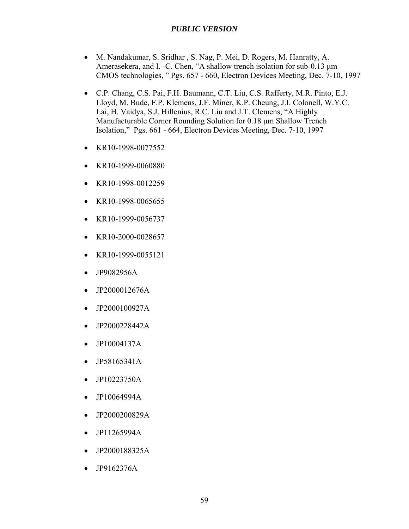- M. Nandakumar, S. Sridhar , S. Nag, P. Mei, D. Rogers, M. Hanratty, A. Amerasekera, and I. -C. Chen, "A shallow trench isolation for sub-0.13 μm CMOS technologies, " Pgs. 657 - 660, Electron Devices Meeting, Dec. 7-10, 1997
- C.P. Chang, C.S. Pai, F.H. Baumann, C.T. Liu, C.S. Rafferty, M.R. Pinto, E.J. Lloyd, M. Bude, F.P. Klemens, J.F. Miner, K.P. Cheung, J.I. Colonell, W.Y.C. Lai, H. Vaidya, S.J. Hillenius, R.C. Liu and J.T. Clemens, "A Highly Manufacturable Corner Rounding Solution for 0.18 μm Shallow Trench Isolation," Pgs. 661 - 664, Electron Devices Meeting, Dec. 7-10, 1997
- KR10-1998-0077552
- KR10-1999-0060880
- KR10-1998-0012259
- KR10-1998-0065655
- KR10-1999-0056737
- $\bullet$  KR10-2000-0028657
- KR10-1999-0055121
- JP9082956A
- JP2000012676A
- JP2000100927A
- JP2000228442A
- JP10004137A
- JP58165341A
- JP10223750A
- JP10064994A
- JP2000200829A
- JP11265994A
- JP2000188325A
- JP9162376A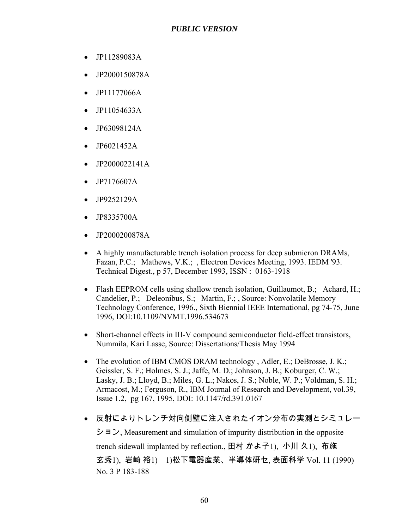- JP11289083A
- JP2000150878A
- JP11177066A
- JP11054633A
- JP63098124A
- JP6021452A
- JP2000022141A
- JP7176607A
- JP9252129A
- JP8335700A
- JP2000200878A
- A highly manufacturable trench isolation process for deep submicron DRAMs, Fazan, P.C.; Mathews, V.K.; , Electron Devices Meeting, 1993. IEDM '93. Technical Digest., p 57, December 1993, ISSN : 0163-1918
- Flash EEPROM cells using shallow trench isolation, Guillaumot, B.; Achard, H.; Candelier, P.; Deleonibus, S.; Martin, F.; , Source: Nonvolatile Memory Technology Conference, 1996., Sixth Biennial IEEE International, pg 74-75, June 1996, DOI:10.1109/NVMT.1996.534673
- Short-channel effects in III-V compound semiconductor field-effect transistors, Nummila, Kari Lasse, Source: Dissertations/Thesis May 1994
- The evolution of IBM CMOS DRAM technology, Adler, E.; DeBrosse, J. K.; Geissler, S. F.; Holmes, S. J.; Jaffe, M. D.; Johnson, J. B.; Koburger, C. W.; Lasky, J. B.; Lloyd, B.; Miles, G. L.; Nakos, J. S.; Noble, W. P.; Voldman, S. H.; Armacost, M.; Ferguson, R., IBM Journal of Research and Development, vol.39, Issue 1.2, pg 167, 1995, DOI: 10.1147/rd.391.0167
- 反射によりトレンチ対向側壁に注入されたイオン分布の実測とシミュレー

 $\geq$   $\exists$   $\geq$ , Measurement and simulation of impurity distribution in the opposite trench sidewall implanted by reflection., 田村 かよ子1), 小川 久1), 布施 玄秀1), 岩崎 裕1) 1)松下電器産業、半導体研セ, 表面科学 Vol. 11 (1990) No. 3 P 183-188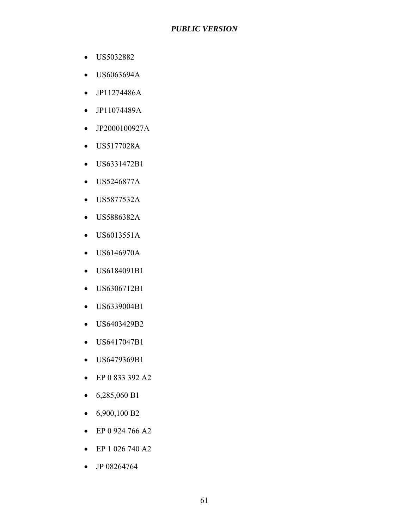- US5032882
- US6063694A
- JP11274486A
- JP11074489A
- JP2000100927A
- US5177028A
- US6331472B1
- US5246877A
- US5877532A
- US5886382A
- US6013551A
- US6146970A
- US6184091B1
- US6306712B1
- US6339004B1
- US6403429B2
- US6417047B1
- US6479369B1
- EP 0 833 392 A2
- $6,285,060 B1$
- $6,900,100 B2$
- EP 0 924 766 A2
- EP 1 026 740 A2
- JP 08264764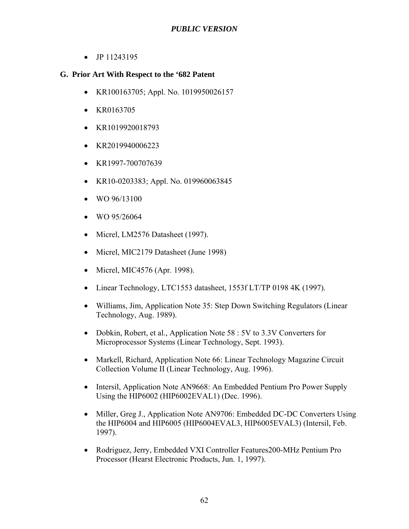• JP 11243195

## **G. Prior Art With Respect to the '682 Patent**

- KR100163705; Appl. No. 1019950026157
- KR0163705
- KR1019920018793
- KR2019940006223
- KR1997-700707639
- KR10-0203383; Appl. No. 019960063845
- $WO$  96/13100
- WO 95/26064
- Micrel, LM2576 Datasheet (1997).
- Micrel, MIC2179 Datasheet (June 1998)
- Micrel, MIC4576 (Apr. 1998).
- Linear Technology, LTC1553 datasheet, 1553f LT/TP 0198 4K (1997).
- Williams, Jim, Application Note 35: Step Down Switching Regulators (Linear Technology, Aug. 1989).
- Dobkin, Robert, et al., Application Note 58 : 5V to 3.3V Converters for Microprocessor Systems (Linear Technology, Sept. 1993).
- Markell, Richard, Application Note 66: Linear Technology Magazine Circuit Collection Volume II (Linear Technology, Aug. 1996).
- Intersil, Application Note AN9668: An Embedded Pentium Pro Power Supply Using the HIP6002 (HIP6002EVAL1) (Dec. 1996).
- Miller, Greg J., Application Note AN9706: Embedded DC-DC Converters Using the HIP6004 and HIP6005 (HIP6004EVAL3, HIP6005EVAL3) (Intersil, Feb. 1997).
- Rodriguez, Jerry, Embedded VXI Controller Features200-MHz Pentium Pro Processor (Hearst Electronic Products, Jun. 1, 1997).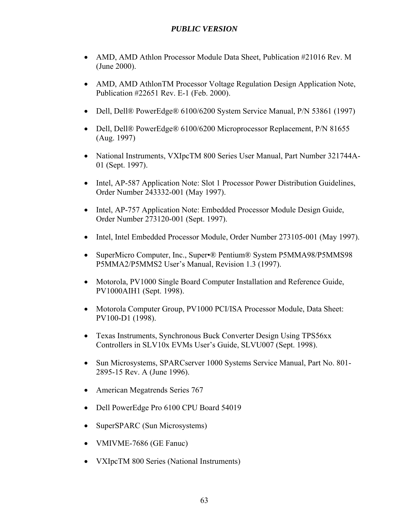- AMD, AMD Athlon Processor Module Data Sheet, Publication #21016 Rev. M (June 2000).
- AMD, AMD AthlonTM Processor Voltage Regulation Design Application Note, Publication #22651 Rev. E-1 (Feb. 2000).
- Dell, Dell® PowerEdge® 6100/6200 System Service Manual, P/N 53861 (1997)
- Dell, Dell® PowerEdge® 6100/6200 Microprocessor Replacement, P/N 81655 (Aug. 1997)
- National Instruments, VXIpcTM 800 Series User Manual, Part Number 321744A-01 (Sept. 1997).
- Intel, AP-587 Application Note: Slot 1 Processor Power Distribution Guidelines, Order Number 243332-001 (May 1997).
- Intel, AP-757 Application Note: Embedded Processor Module Design Guide, Order Number 273120-001 (Sept. 1997).
- Intel, Intel Embedded Processor Module, Order Number 273105-001 (May 1997).
- SuperMicro Computer, Inc., Super•® Pentium® System P5MMA98/P5MMS98 P5MMA2/P5MMS2 User's Manual, Revision 1.3 (1997).
- Motorola, PV1000 Single Board Computer Installation and Reference Guide, PV1000AIH1 (Sept. 1998).
- Motorola Computer Group, PV1000 PCI/ISA Processor Module, Data Sheet: PV100-D1 (1998).
- Texas Instruments, Synchronous Buck Converter Design Using TPS56xx Controllers in SLV10x EVMs User's Guide, SLVU007 (Sept. 1998).
- Sun Microsystems, SPARCserver 1000 Systems Service Manual, Part No. 801-2895-15 Rev. A (June 1996).
- American Megatrends Series 767
- Dell PowerEdge Pro 6100 CPU Board 54019
- SuperSPARC (Sun Microsystems)
- VMIVME-7686 (GE Fanuc)
- VXIpcTM 800 Series (National Instruments)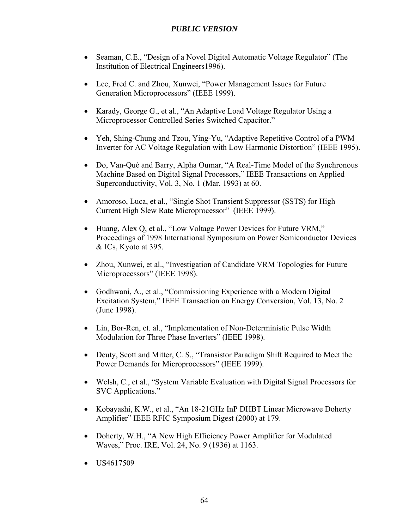- Seaman, C.E., "Design of a Novel Digital Automatic Voltage Regulator" (The Institution of Electrical Engineers1996).
- Lee, Fred C. and Zhou, Xunwei, "Power Management Issues for Future Generation Microprocessors" (IEEE 1999).
- Karady, George G., et al., "An Adaptive Load Voltage Regulator Using a Microprocessor Controlled Series Switched Capacitor."
- Yeh, Shing-Chung and Tzou, Ying-Yu, "Adaptive Repetitive Control of a PWM Inverter for AC Voltage Regulation with Low Harmonic Distortion" (IEEE 1995).
- Do, Van-Qué and Barry, Alpha Oumar, "A Real-Time Model of the Synchronous Machine Based on Digital Signal Processors," IEEE Transactions on Applied Superconductivity, Vol. 3, No. 1 (Mar. 1993) at 60.
- Amoroso, Luca, et al., "Single Shot Transient Suppressor (SSTS) for High Current High Slew Rate Microprocessor" (IEEE 1999).
- Huang, Alex Q, et al., "Low Voltage Power Devices for Future VRM," Proceedings of 1998 International Symposium on Power Semiconductor Devices & ICs, Kyoto at 395.
- Zhou, Xunwei, et al., "Investigation of Candidate VRM Topologies for Future Microprocessors" (IEEE 1998).
- Godhwani, A., et al., "Commissioning Experience with a Modern Digital Excitation System," IEEE Transaction on Energy Conversion, Vol. 13, No. 2 (June 1998).
- Lin, Bor-Ren, et. al., "Implementation of Non-Deterministic Pulse Width Modulation for Three Phase Inverters" (IEEE 1998).
- Deuty, Scott and Mitter, C. S., "Transistor Paradigm Shift Required to Meet the Power Demands for Microprocessors" (IEEE 1999).
- Welsh, C., et al., "System Variable Evaluation with Digital Signal Processors for SVC Applications."
- Kobayashi, K.W., et al., "An 18-21GHz InP DHBT Linear Microwave Doherty Amplifier" IEEE RFIC Symposium Digest (2000) at 179.
- Doherty, W.H., "A New High Efficiency Power Amplifier for Modulated Waves," Proc. IRE, Vol. 24, No. 9 (1936) at 1163.
- US4617509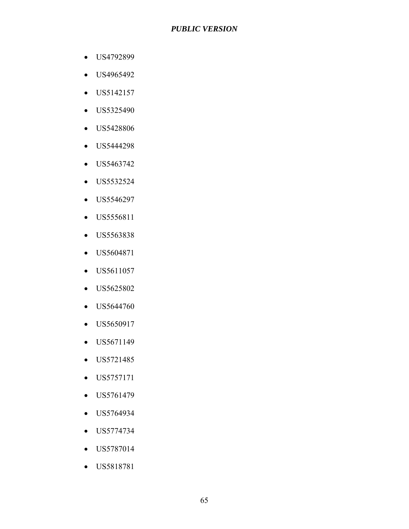- US4792899
- US4965492
- US5142157
- US5325490
- US5428806
- US5444298
- US5463742
- US5532524
- US5546297
- US5556811
- US5563838
- US5604871
- US5611057
- US5625802
- US5644760
- US5650917
- US5671149
- US5721485
- US5757171
- US5761479
- US5764934
- US5774734
- US5787014
- US5818781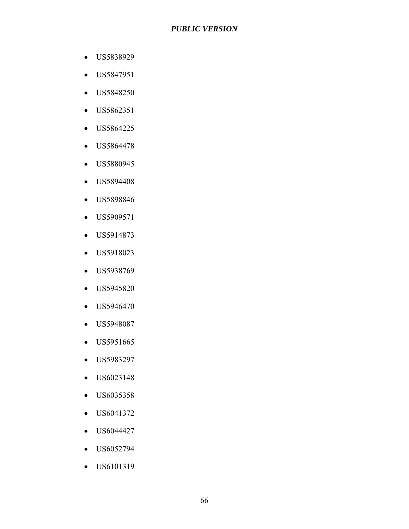- US5838929
- US5847951
- US5848250
- US5862351
- US5864225
- US5864478
- US5880945
- US5894408
- US5898846
- US5909571
- US5914873
- US5918023
- US5938769
- US5945820
- US5946470
- US5948087
- US5951665
- US5983297
- US6023148
- US6035358
- US6041372
- US6044427
- US6052794
- US6101319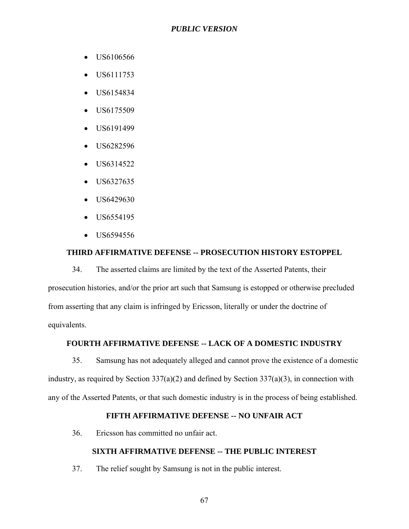- US6106566
- US6111753
- US6154834
- US6175509
- US6191499
- US6282596
- US6314522
- US6327635
- US6429630
- US6554195
- US6594556

#### **THIRD AFFIRMATIVE DEFENSE -- PROSECUTION HISTORY ESTOPPEL**

34. The asserted claims are limited by the text of the Asserted Patents, their prosecution histories, and/or the prior art such that Samsung is estopped or otherwise precluded from asserting that any claim is infringed by Ericsson, literally or under the doctrine of equivalents.

### **FOURTH AFFIRMATIVE DEFENSE -- LACK OF A DOMESTIC INDUSTRY**

35. Samsung has not adequately alleged and cannot prove the existence of a domestic industry, as required by Section  $337(a)(2)$  and defined by Section  $337(a)(3)$ , in connection with any of the Asserted Patents, or that such domestic industry is in the process of being established.

#### **FIFTH AFFIRMATIVE DEFENSE -- NO UNFAIR ACT**

36. Ericsson has committed no unfair act.

#### **SIXTH AFFIRMATIVE DEFENSE -- THE PUBLIC INTEREST**

37. The relief sought by Samsung is not in the public interest.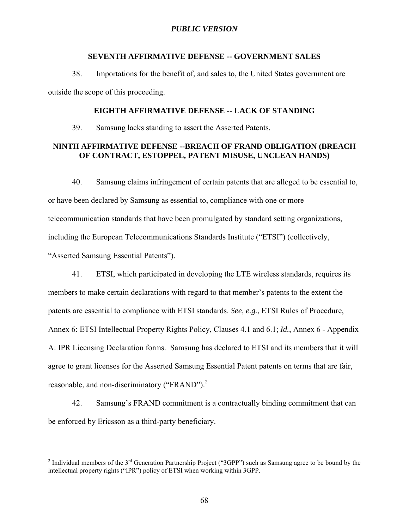#### **SEVENTH AFFIRMATIVE DEFENSE -- GOVERNMENT SALES**

38. Importations for the benefit of, and sales to, the United States government are outside the scope of this proceeding.

#### **EIGHTH AFFIRMATIVE DEFENSE -- LACK OF STANDING**

39. Samsung lacks standing to assert the Asserted Patents.

#### **NINTH AFFIRMATIVE DEFENSE --BREACH OF FRAND OBLIGATION (BREACH OF CONTRACT, ESTOPPEL, PATENT MISUSE, UNCLEAN HANDS)**

40. Samsung claims infringement of certain patents that are alleged to be essential to, or have been declared by Samsung as essential to, compliance with one or more telecommunication standards that have been promulgated by standard setting organizations, including the European Telecommunications Standards Institute ("ETSI") (collectively, "Asserted Samsung Essential Patents").

41. ETSI, which participated in developing the LTE wireless standards, requires its members to make certain declarations with regard to that member's patents to the extent the patents are essential to compliance with ETSI standards. *See, e.g.*, ETSI Rules of Procedure, Annex 6: ETSI Intellectual Property Rights Policy, Clauses 4.1 and 6.1; *Id.*, Annex 6 - Appendix A: IPR Licensing Declaration forms. Samsung has declared to ETSI and its members that it will agree to grant licenses for the Asserted Samsung Essential Patent patents on terms that are fair, reasonable, and non-discriminatory ("FRAND").<sup>2</sup>

42. Samsung's FRAND commitment is a contractually binding commitment that can be enforced by Ericsson as a third-party beneficiary.

<sup>&</sup>lt;sup>2</sup> Individual members of the 3<sup>rd</sup> Generation Partnership Project ("3GPP") such as Samsung agree to be bound by the intellectual property rights ("IPR") policy of ETSI when working within 3GPP.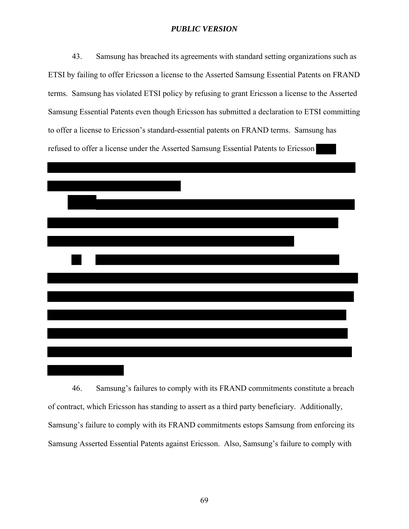43. Samsung has breached its agreements with standard setting organizations such as ETSI by failing to offer Ericsson a license to the Asserted Samsung Essential Patents on FRAND terms. Samsung has violated ETSI policy by refusing to grant Ericsson a license to the Asserted Samsung Essential Patents even though Ericsson has submitted a declaration to ETSI committing to offer a license to Ericsson's standard-essential patents on FRAND terms. Samsung has refused to offer a license under the Asserted Samsung Essential Patents to Ericsson



46. Samsung's failures to comply with its FRAND commitments constitute a breach of contract, which Ericsson has standing to assert as a third party beneficiary. Additionally, Samsung's failure to comply with its FRAND commitments estops Samsung from enforcing its Samsung Asserted Essential Patents against Ericsson. Also, Samsung's failure to comply with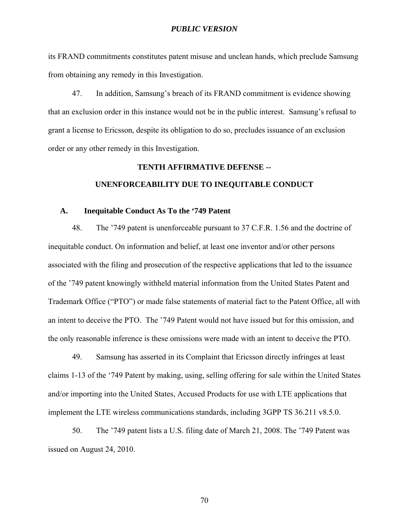its FRAND commitments constitutes patent misuse and unclean hands, which preclude Samsung from obtaining any remedy in this Investigation.

47. In addition, Samsung's breach of its FRAND commitment is evidence showing that an exclusion order in this instance would not be in the public interest. Samsung's refusal to grant a license to Ericsson, despite its obligation to do so, precludes issuance of an exclusion order or any other remedy in this Investigation.

# **TENTH AFFIRMATIVE DEFENSE -- UNENFORCEABILITY DUE TO INEQUITABLE CONDUCT**

# **A. Inequitable Conduct As To the '749 Patent**

48. The '749 patent is unenforceable pursuant to 37 C.F.R. 1.56 and the doctrine of inequitable conduct. On information and belief, at least one inventor and/or other persons associated with the filing and prosecution of the respective applications that led to the issuance of the '749 patent knowingly withheld material information from the United States Patent and Trademark Office ("PTO") or made false statements of material fact to the Patent Office, all with an intent to deceive the PTO. The '749 Patent would not have issued but for this omission, and the only reasonable inference is these omissions were made with an intent to deceive the PTO.

49. Samsung has asserted in its Complaint that Ericsson directly infringes at least claims 1-13 of the '749 Patent by making, using, selling offering for sale within the United States and/or importing into the United States, Accused Products for use with LTE applications that implement the LTE wireless communications standards, including 3GPP TS 36.211 v8.5.0.

50. The '749 patent lists a U.S. filing date of March 21, 2008. The '749 Patent was issued on August 24, 2010.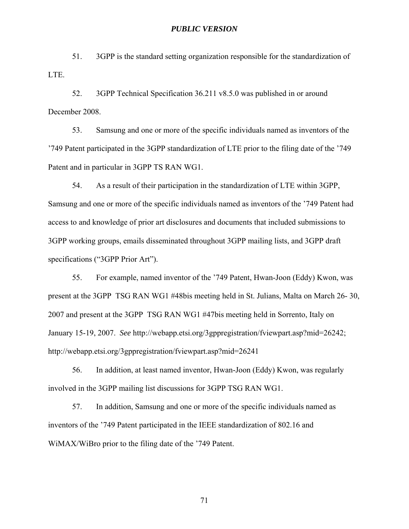51. 3GPP is the standard setting organization responsible for the standardization of LTE.

52. 3GPP Technical Specification 36.211 v8.5.0 was published in or around December 2008.

53. Samsung and one or more of the specific individuals named as inventors of the '749 Patent participated in the 3GPP standardization of LTE prior to the filing date of the '749 Patent and in particular in 3GPP TS RAN WG1.

54. As a result of their participation in the standardization of LTE within 3GPP, Samsung and one or more of the specific individuals named as inventors of the '749 Patent had access to and knowledge of prior art disclosures and documents that included submissions to 3GPP working groups, emails disseminated throughout 3GPP mailing lists, and 3GPP draft specifications ("3GPP Prior Art").

55. For example, named inventor of the '749 Patent, Hwan-Joon (Eddy) Kwon, was present at the 3GPP TSG RAN WG1 #48bis meeting held in St. Julians, Malta on March 26- 30, 2007 and present at the 3GPP TSG RAN WG1 #47bis meeting held in Sorrento, Italy on January 15-19, 2007. *See* http://webapp.etsi.org/3gppregistration/fviewpart.asp?mid=26242; http://webapp.etsi.org/3gppregistration/fviewpart.asp?mid=26241

56. In addition, at least named inventor, Hwan-Joon (Eddy) Kwon, was regularly involved in the 3GPP mailing list discussions for 3GPP TSG RAN WG1.

57. In addition, Samsung and one or more of the specific individuals named as inventors of the '749 Patent participated in the IEEE standardization of 802.16 and WiMAX/WiBro prior to the filing date of the '749 Patent.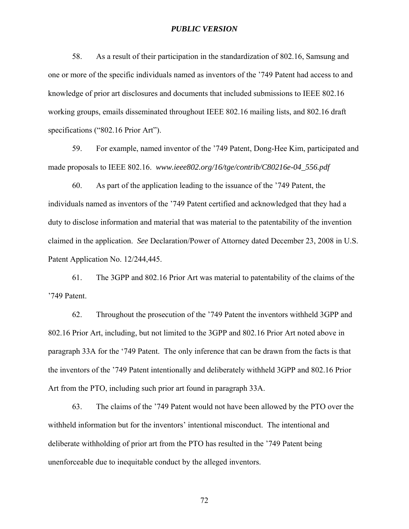58. As a result of their participation in the standardization of 802.16, Samsung and one or more of the specific individuals named as inventors of the '749 Patent had access to and knowledge of prior art disclosures and documents that included submissions to IEEE 802.16 working groups, emails disseminated throughout IEEE 802.16 mailing lists, and 802.16 draft specifications ("802.16 Prior Art").

59. For example, named inventor of the '749 Patent, Dong-Hee Kim, participated and made proposals to IEEE 802.16. *www.ieee802.org/16/tge/contrib/C80216e-04\_556.pdf*

60. As part of the application leading to the issuance of the '749 Patent, the individuals named as inventors of the '749 Patent certified and acknowledged that they had a duty to disclose information and material that was material to the patentability of the invention claimed in the application. *See* Declaration/Power of Attorney dated December 23, 2008 in U.S. Patent Application No. 12/244,445.

61. The 3GPP and 802.16 Prior Art was material to patentability of the claims of the '749 Patent.

62. Throughout the prosecution of the '749 Patent the inventors withheld 3GPP and 802.16 Prior Art, including, but not limited to the 3GPP and 802.16 Prior Art noted above in paragraph 33A for the '749 Patent. The only inference that can be drawn from the facts is that the inventors of the '749 Patent intentionally and deliberately withheld 3GPP and 802.16 Prior Art from the PTO, including such prior art found in paragraph 33A.

63. The claims of the '749 Patent would not have been allowed by the PTO over the withheld information but for the inventors' intentional misconduct. The intentional and deliberate withholding of prior art from the PTO has resulted in the '749 Patent being unenforceable due to inequitable conduct by the alleged inventors.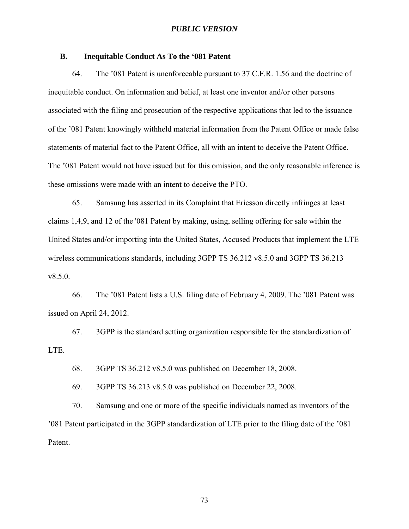## **B. Inequitable Conduct As To the '081 Patent**

64. The '081 Patent is unenforceable pursuant to 37 C.F.R. 1.56 and the doctrine of inequitable conduct. On information and belief, at least one inventor and/or other persons associated with the filing and prosecution of the respective applications that led to the issuance of the '081 Patent knowingly withheld material information from the Patent Office or made false statements of material fact to the Patent Office, all with an intent to deceive the Patent Office. The '081 Patent would not have issued but for this omission, and the only reasonable inference is these omissions were made with an intent to deceive the PTO.

65. Samsung has asserted in its Complaint that Ericsson directly infringes at least claims 1,4,9, and 12 of the '081 Patent by making, using, selling offering for sale within the United States and/or importing into the United States, Accused Products that implement the LTE wireless communications standards, including 3GPP TS 36.212 v8.5.0 and 3GPP TS 36.213 v8.5.0.

66. The '081 Patent lists a U.S. filing date of February 4, 2009. The '081 Patent was issued on April 24, 2012.

67. 3GPP is the standard setting organization responsible for the standardization of LTE.

68. 3GPP TS 36.212 v8.5.0 was published on December 18, 2008.

69. 3GPP TS 36.213 v8.5.0 was published on December 22, 2008.

70. Samsung and one or more of the specific individuals named as inventors of the '081 Patent participated in the 3GPP standardization of LTE prior to the filing date of the '081 Patent.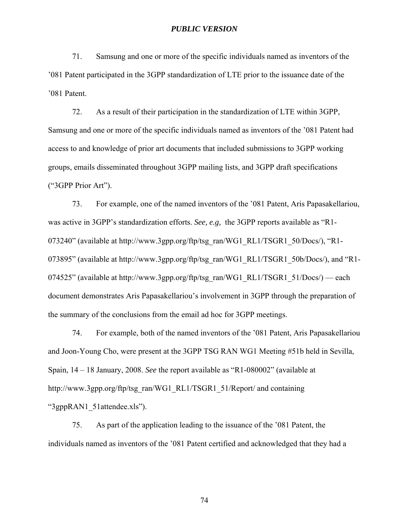71. Samsung and one or more of the specific individuals named as inventors of the '081 Patent participated in the 3GPP standardization of LTE prior to the issuance date of the '081 Patent.

72. As a result of their participation in the standardization of LTE within 3GPP, Samsung and one or more of the specific individuals named as inventors of the '081 Patent had access to and knowledge of prior art documents that included submissions to 3GPP working groups, emails disseminated throughout 3GPP mailing lists, and 3GPP draft specifications ("3GPP Prior Art").

73. For example, one of the named inventors of the '081 Patent, Aris Papasakellariou, was active in 3GPP's standardization efforts. *See, e.g,* the 3GPP reports available as "R1- 073240" (available at http://www.3gpp.org/ftp/tsg\_ran/WG1\_RL1/TSGR1\_50/Docs/), "R1- 073895" (available at http://www.3gpp.org/ftp/tsg\_ran/WG1\_RL1/TSGR1\_50b/Docs/), and "R1-074525" (available at http://www.3gpp.org/ftp/tsg\_ran/WG1\_RL1/TSGR1\_51/Docs/) — each document demonstrates Aris Papasakellariou's involvement in 3GPP through the preparation of the summary of the conclusions from the email ad hoc for 3GPP meetings.

74. For example, both of the named inventors of the '081 Patent, Aris Papasakellariou and Joon-Young Cho, were present at the 3GPP TSG RAN WG1 Meeting #51b held in Sevilla, Spain, 14 – 18 January, 2008. *See* the report available as "R1-080002" (available at http://www.3gpp.org/ftp/tsg\_ran/WG1\_RL1/TSGR1\_51/Report/ and containing "3gppRAN1\_51attendee.xls").

75. As part of the application leading to the issuance of the '081 Patent, the individuals named as inventors of the '081 Patent certified and acknowledged that they had a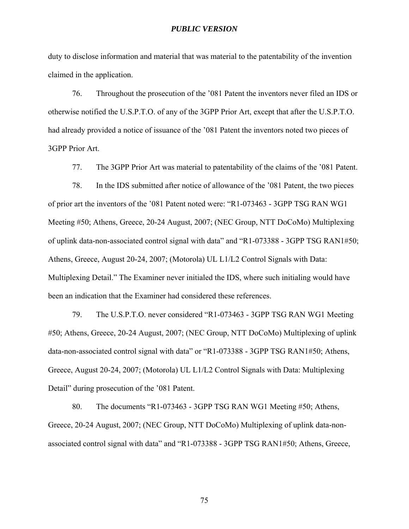duty to disclose information and material that was material to the patentability of the invention claimed in the application.

76. Throughout the prosecution of the '081 Patent the inventors never filed an IDS or otherwise notified the U.S.P.T.O. of any of the 3GPP Prior Art, except that after the U.S.P.T.O. had already provided a notice of issuance of the '081 Patent the inventors noted two pieces of 3GPP Prior Art.

77. The 3GPP Prior Art was material to patentability of the claims of the '081 Patent.

78. In the IDS submitted after notice of allowance of the '081 Patent, the two pieces of prior art the inventors of the '081 Patent noted were: "R1-073463 - 3GPP TSG RAN WG1 Meeting #50; Athens, Greece, 20-24 August, 2007; (NEC Group, NTT DoCoMo) Multiplexing of uplink data-non-associated control signal with data" and "R1-073388 - 3GPP TSG RAN1#50; Athens, Greece, August 20-24, 2007; (Motorola) UL L1/L2 Control Signals with Data: Multiplexing Detail." The Examiner never initialed the IDS, where such initialing would have been an indication that the Examiner had considered these references.

79. The U.S.P.T.O. never considered "R1-073463 - 3GPP TSG RAN WG1 Meeting #50; Athens, Greece, 20-24 August, 2007; (NEC Group, NTT DoCoMo) Multiplexing of uplink data-non-associated control signal with data" or "R1-073388 - 3GPP TSG RAN1#50; Athens, Greece, August 20-24, 2007; (Motorola) UL L1/L2 Control Signals with Data: Multiplexing Detail" during prosecution of the '081 Patent.

80. The documents "R1-073463 - 3GPP TSG RAN WG1 Meeting #50; Athens, Greece, 20-24 August, 2007; (NEC Group, NTT DoCoMo) Multiplexing of uplink data-nonassociated control signal with data" and "R1-073388 - 3GPP TSG RAN1#50; Athens, Greece,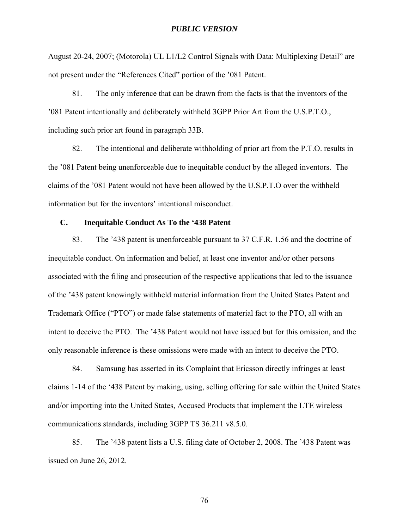August 20-24, 2007; (Motorola) UL L1/L2 Control Signals with Data: Multiplexing Detail" are not present under the "References Cited" portion of the '081 Patent.

81. The only inference that can be drawn from the facts is that the inventors of the '081 Patent intentionally and deliberately withheld 3GPP Prior Art from the U.S.P.T.O., including such prior art found in paragraph 33B.

82. The intentional and deliberate withholding of prior art from the P.T.O. results in the '081 Patent being unenforceable due to inequitable conduct by the alleged inventors. The claims of the '081 Patent would not have been allowed by the U.S.P.T.O over the withheld information but for the inventors' intentional misconduct.

# **C. Inequitable Conduct As To the '438 Patent**

83. The '438 patent is unenforceable pursuant to 37 C.F.R. 1.56 and the doctrine of inequitable conduct. On information and belief, at least one inventor and/or other persons associated with the filing and prosecution of the respective applications that led to the issuance of the '438 patent knowingly withheld material information from the United States Patent and Trademark Office ("PTO") or made false statements of material fact to the PTO, all with an intent to deceive the PTO. The '438 Patent would not have issued but for this omission, and the only reasonable inference is these omissions were made with an intent to deceive the PTO.

84. Samsung has asserted in its Complaint that Ericsson directly infringes at least claims 1-14 of the '438 Patent by making, using, selling offering for sale within the United States and/or importing into the United States, Accused Products that implement the LTE wireless communications standards, including 3GPP TS 36.211 v8.5.0.

85. The '438 patent lists a U.S. filing date of October 2, 2008. The '438 Patent was issued on June 26, 2012.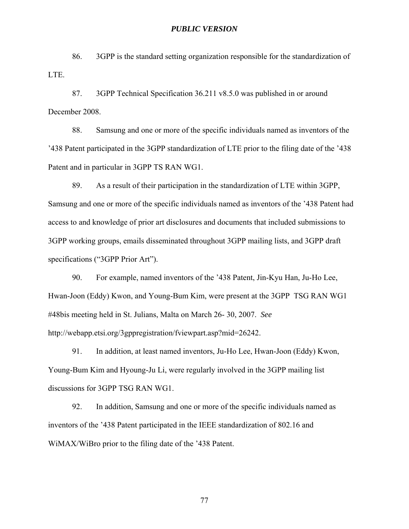86. 3GPP is the standard setting organization responsible for the standardization of LTE.

87. 3GPP Technical Specification 36.211 v8.5.0 was published in or around December 2008.

88. Samsung and one or more of the specific individuals named as inventors of the '438 Patent participated in the 3GPP standardization of LTE prior to the filing date of the '438 Patent and in particular in 3GPP TS RAN WG1.

89. As a result of their participation in the standardization of LTE within 3GPP, Samsung and one or more of the specific individuals named as inventors of the '438 Patent had access to and knowledge of prior art disclosures and documents that included submissions to 3GPP working groups, emails disseminated throughout 3GPP mailing lists, and 3GPP draft specifications ("3GPP Prior Art").

90. For example, named inventors of the '438 Patent, Jin-Kyu Han, Ju-Ho Lee, Hwan-Joon (Eddy) Kwon, and Young-Bum Kim, were present at the 3GPP TSG RAN WG1 #48bis meeting held in St. Julians, Malta on March 26- 30, 2007. *See*  http://webapp.etsi.org/3gppregistration/fviewpart.asp?mid=26242.

91. In addition, at least named inventors, Ju-Ho Lee, Hwan-Joon (Eddy) Kwon, Young-Bum Kim and Hyoung-Ju Li, were regularly involved in the 3GPP mailing list discussions for 3GPP TSG RAN WG1.

92. In addition, Samsung and one or more of the specific individuals named as inventors of the '438 Patent participated in the IEEE standardization of 802.16 and WiMAX/WiBro prior to the filing date of the '438 Patent.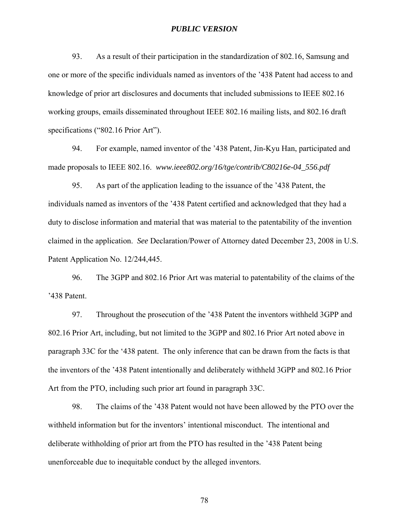93. As a result of their participation in the standardization of 802.16, Samsung and one or more of the specific individuals named as inventors of the '438 Patent had access to and knowledge of prior art disclosures and documents that included submissions to IEEE 802.16 working groups, emails disseminated throughout IEEE 802.16 mailing lists, and 802.16 draft specifications ("802.16 Prior Art").

94. For example, named inventor of the '438 Patent, Jin-Kyu Han, participated and made proposals to IEEE 802.16. *www.ieee802.org/16/tge/contrib/C80216e-04\_556.pdf*

95. As part of the application leading to the issuance of the '438 Patent, the individuals named as inventors of the '438 Patent certified and acknowledged that they had a duty to disclose information and material that was material to the patentability of the invention claimed in the application. *See* Declaration/Power of Attorney dated December 23, 2008 in U.S. Patent Application No. 12/244,445.

96. The 3GPP and 802.16 Prior Art was material to patentability of the claims of the '438 Patent.

97. Throughout the prosecution of the '438 Patent the inventors withheld 3GPP and 802.16 Prior Art, including, but not limited to the 3GPP and 802.16 Prior Art noted above in paragraph 33C for the '438 patent. The only inference that can be drawn from the facts is that the inventors of the '438 Patent intentionally and deliberately withheld 3GPP and 802.16 Prior Art from the PTO, including such prior art found in paragraph 33C.

98. The claims of the '438 Patent would not have been allowed by the PTO over the withheld information but for the inventors' intentional misconduct. The intentional and deliberate withholding of prior art from the PTO has resulted in the '438 Patent being unenforceable due to inequitable conduct by the alleged inventors.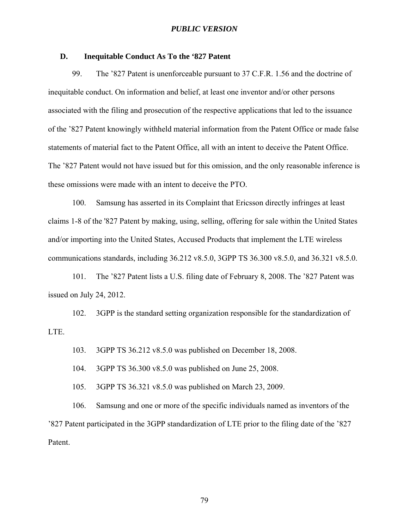## **D. Inequitable Conduct As To the '827 Patent**

99. The '827 Patent is unenforceable pursuant to 37 C.F.R. 1.56 and the doctrine of inequitable conduct. On information and belief, at least one inventor and/or other persons associated with the filing and prosecution of the respective applications that led to the issuance of the '827 Patent knowingly withheld material information from the Patent Office or made false statements of material fact to the Patent Office, all with an intent to deceive the Patent Office. The '827 Patent would not have issued but for this omission, and the only reasonable inference is these omissions were made with an intent to deceive the PTO.

100. Samsung has asserted in its Complaint that Ericsson directly infringes at least claims 1-8 of the '827 Patent by making, using, selling, offering for sale within the United States and/or importing into the United States, Accused Products that implement the LTE wireless communications standards, including 36.212 v8.5.0, 3GPP TS 36.300 v8.5.0, and 36.321 v8.5.0.

101. The '827 Patent lists a U.S. filing date of February 8, 2008. The '827 Patent was issued on July 24, 2012.

102. 3GPP is the standard setting organization responsible for the standardization of LTE.

103. 3GPP TS 36.212 v8.5.0 was published on December 18, 2008.

104. 3GPP TS 36.300 v8.5.0 was published on June 25, 2008.

105. 3GPP TS 36.321 v8.5.0 was published on March 23, 2009.

106. Samsung and one or more of the specific individuals named as inventors of the '827 Patent participated in the 3GPP standardization of LTE prior to the filing date of the '827 Patent.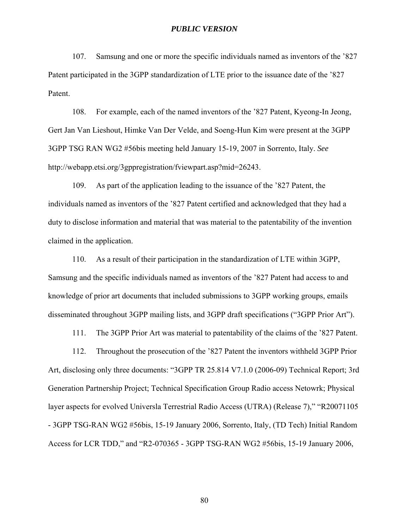107. Samsung and one or more the specific individuals named as inventors of the '827 Patent participated in the 3GPP standardization of LTE prior to the issuance date of the '827 Patent.

108. For example, each of the named inventors of the '827 Patent, Kyeong-In Jeong, Gert Jan Van Lieshout, Himke Van Der Velde, and Soeng-Hun Kim were present at the 3GPP 3GPP TSG RAN WG2 #56bis meeting held January 15-19, 2007 in Sorrento, Italy. *See*  http://webapp.etsi.org/3gppregistration/fviewpart.asp?mid=26243.

109. As part of the application leading to the issuance of the '827 Patent, the individuals named as inventors of the '827 Patent certified and acknowledged that they had a duty to disclose information and material that was material to the patentability of the invention claimed in the application.

110. As a result of their participation in the standardization of LTE within 3GPP, Samsung and the specific individuals named as inventors of the '827 Patent had access to and knowledge of prior art documents that included submissions to 3GPP working groups, emails disseminated throughout 3GPP mailing lists, and 3GPP draft specifications ("3GPP Prior Art").

111. The 3GPP Prior Art was material to patentability of the claims of the '827 Patent.

112. Throughout the prosecution of the '827 Patent the inventors withheld 3GPP Prior Art, disclosing only three documents: "3GPP TR 25.814 V7.1.0 (2006-09) Technical Report; 3rd Generation Partnership Project; Technical Specification Group Radio access Netowrk; Physical layer aspects for evolved Universla Terrestrial Radio Access (UTRA) (Release 7)," "R20071105 - 3GPP TSG-RAN WG2 #56bis, 15-19 January 2006, Sorrento, Italy, (TD Tech) Initial Random Access for LCR TDD," and "R2-070365 - 3GPP TSG-RAN WG2 #56bis, 15-19 January 2006,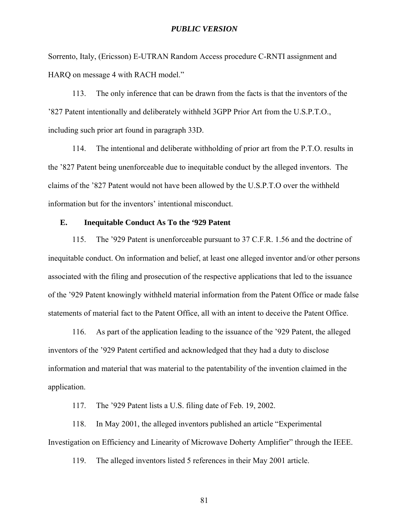Sorrento, Italy, (Ericsson) E-UTRAN Random Access procedure C-RNTI assignment and HARQ on message 4 with RACH model."

113. The only inference that can be drawn from the facts is that the inventors of the '827 Patent intentionally and deliberately withheld 3GPP Prior Art from the U.S.P.T.O., including such prior art found in paragraph 33D.

114. The intentional and deliberate withholding of prior art from the P.T.O. results in the '827 Patent being unenforceable due to inequitable conduct by the alleged inventors. The claims of the '827 Patent would not have been allowed by the U.S.P.T.O over the withheld information but for the inventors' intentional misconduct.

# **E. Inequitable Conduct As To the '929 Patent**

115. The '929 Patent is unenforceable pursuant to 37 C.F.R. 1.56 and the doctrine of inequitable conduct. On information and belief, at least one alleged inventor and/or other persons associated with the filing and prosecution of the respective applications that led to the issuance of the '929 Patent knowingly withheld material information from the Patent Office or made false statements of material fact to the Patent Office, all with an intent to deceive the Patent Office.

116. As part of the application leading to the issuance of the '929 Patent, the alleged inventors of the '929 Patent certified and acknowledged that they had a duty to disclose information and material that was material to the patentability of the invention claimed in the application.

117. The '929 Patent lists a U.S. filing date of Feb. 19, 2002.

118. In May 2001, the alleged inventors published an article "Experimental Investigation on Efficiency and Linearity of Microwave Doherty Amplifier" through the IEEE.

119. The alleged inventors listed 5 references in their May 2001 article.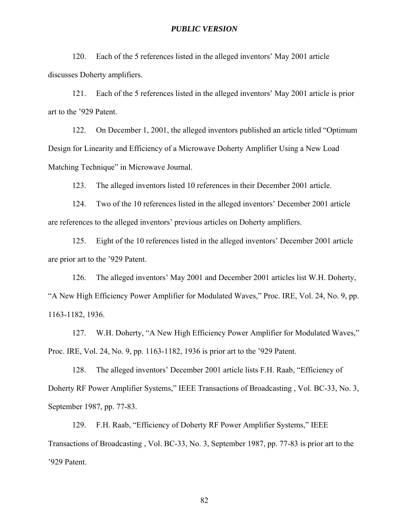120. Each of the 5 references listed in the alleged inventors' May 2001 article discusses Doherty amplifiers.

121. Each of the 5 references listed in the alleged inventors' May 2001 article is prior art to the '929 Patent.

122. On December 1, 2001, the alleged inventors published an article titled "Optimum Design for Linearity and Efficiency of a Microwave Doherty Amplifier Using a New Load Matching Technique" in Microwave Journal.

123. The alleged inventors listed 10 references in their December 2001 article.

124. Two of the 10 references listed in the alleged inventors' December 2001 article are references to the alleged inventors' previous articles on Doherty amplifiers.

125. Eight of the 10 references listed in the alleged inventors' December 2001 article are prior art to the '929 Patent.

126. The alleged inventors' May 2001 and December 2001 articles list W.H. Doherty, "A New High Efficiency Power Amplifier for Modulated Waves," Proc. IRE, Vol. 24, No. 9, pp. 1163-1182, 1936.

127. W.H. Doherty, "A New High Efficiency Power Amplifier for Modulated Waves," Proc. IRE, Vol. 24, No. 9, pp. 1163-1182, 1936 is prior art to the '929 Patent.

128. The alleged inventors' December 2001 article lists F.H. Raab, "Efficiency of Doherty RF Power Amplifier Systems," IEEE Transactions of Broadcasting , Vol. BC-33, No. 3, September 1987, pp. 77-83.

129. F.H. Raab, "Efficiency of Doherty RF Power Amplifier Systems," IEEE Transactions of Broadcasting , Vol. BC-33, No. 3, September 1987, pp. 77-83 is prior art to the '929 Patent.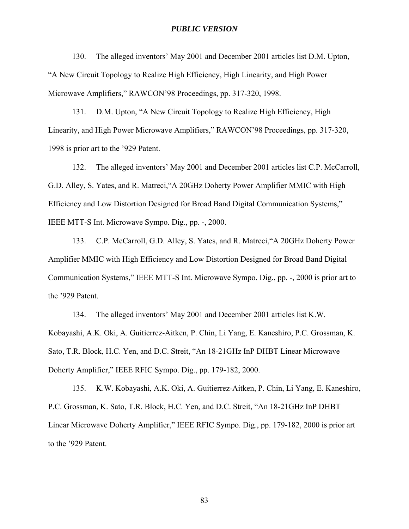130. The alleged inventors' May 2001 and December 2001 articles list D.M. Upton, "A New Circuit Topology to Realize High Efficiency, High Linearity, and High Power Microwave Amplifiers," RAWCON'98 Proceedings, pp. 317-320, 1998.

131. D.M. Upton, "A New Circuit Topology to Realize High Efficiency, High Linearity, and High Power Microwave Amplifiers," RAWCON'98 Proceedings, pp. 317-320, 1998 is prior art to the '929 Patent.

132. The alleged inventors' May 2001 and December 2001 articles list C.P. McCarroll, G.D. Alley, S. Yates, and R. Matreci,"A 20GHz Doherty Power Amplifier MMIC with High Efficiency and Low Distortion Designed for Broad Band Digital Communication Systems," IEEE MTT-S Int. Microwave Sympo. Dig., pp. -, 2000.

133. C.P. McCarroll, G.D. Alley, S. Yates, and R. Matreci,"A 20GHz Doherty Power Amplifier MMIC with High Efficiency and Low Distortion Designed for Broad Band Digital Communication Systems," IEEE MTT-S Int. Microwave Sympo. Dig., pp. -, 2000 is prior art to the '929 Patent.

134. The alleged inventors' May 2001 and December 2001 articles list K.W. Kobayashi, A.K. Oki, A. Guitierrez-Aitken, P. Chin, Li Yang, E. Kaneshiro, P.C. Grossman, K. Sato, T.R. Block, H.C. Yen, and D.C. Streit, "An 18-21GHz InP DHBT Linear Microwave Doherty Amplifier," IEEE RFIC Sympo. Dig., pp. 179-182, 2000.

135. K.W. Kobayashi, A.K. Oki, A. Guitierrez-Aitken, P. Chin, Li Yang, E. Kaneshiro, P.C. Grossman, K. Sato, T.R. Block, H.C. Yen, and D.C. Streit, "An 18-21GHz InP DHBT Linear Microwave Doherty Amplifier," IEEE RFIC Sympo. Dig., pp. 179-182, 2000 is prior art to the '929 Patent.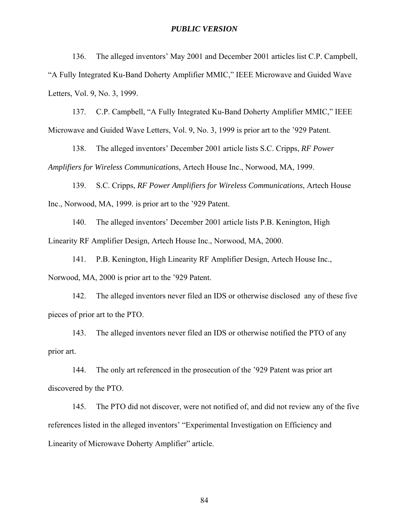136. The alleged inventors' May 2001 and December 2001 articles list C.P. Campbell, "A Fully Integrated Ku-Band Doherty Amplifier MMIC," IEEE Microwave and Guided Wave Letters, Vol. 9, No. 3, 1999.

137. C.P. Campbell, "A Fully Integrated Ku-Band Doherty Amplifier MMIC," IEEE Microwave and Guided Wave Letters, Vol. 9, No. 3, 1999 is prior art to the '929 Patent.

138. The alleged inventors' December 2001 article lists S.C. Cripps, *RF Power Amplifiers for Wireless Communications*, Artech House Inc., Norwood, MA, 1999.

139. S.C. Cripps, *RF Power Amplifiers for Wireless Communications*, Artech House Inc., Norwood, MA, 1999. is prior art to the '929 Patent.

140. The alleged inventors' December 2001 article lists P.B. Kenington, High Linearity RF Amplifier Design, Artech House Inc., Norwood, MA, 2000.

141. P.B. Kenington, High Linearity RF Amplifier Design, Artech House Inc., Norwood, MA, 2000 is prior art to the '929 Patent.

142. The alleged inventors never filed an IDS or otherwise disclosed any of these five pieces of prior art to the PTO.

143. The alleged inventors never filed an IDS or otherwise notified the PTO of any prior art.

144. The only art referenced in the prosecution of the '929 Patent was prior art discovered by the PTO.

145. The PTO did not discover, were not notified of, and did not review any of the five references listed in the alleged inventors' "Experimental Investigation on Efficiency and Linearity of Microwave Doherty Amplifier" article.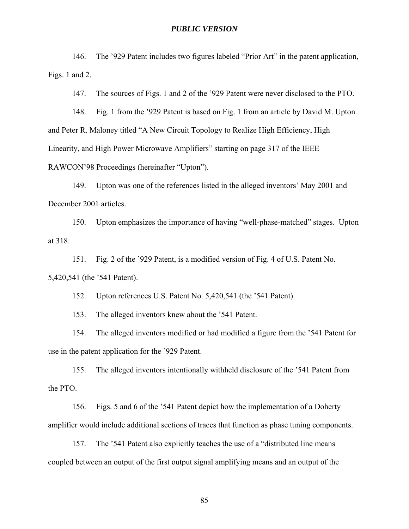146. The '929 Patent includes two figures labeled "Prior Art" in the patent application, Figs. 1 and 2.

147. The sources of Figs. 1 and 2 of the '929 Patent were never disclosed to the PTO.

148. Fig. 1 from the '929 Patent is based on Fig. 1 from an article by David M. Upton and Peter R. Maloney titled "A New Circuit Topology to Realize High Efficiency, High Linearity, and High Power Microwave Amplifiers" starting on page 317 of the IEEE RAWCON'98 Proceedings (hereinafter "Upton").

149. Upton was one of the references listed in the alleged inventors' May 2001 and December 2001 articles.

150. Upton emphasizes the importance of having "well-phase-matched" stages. Upton at 318.

151. Fig. 2 of the '929 Patent, is a modified version of Fig. 4 of U.S. Patent No. 5,420,541 (the '541 Patent).

152. Upton references U.S. Patent No. 5,420,541 (the '541 Patent).

153. The alleged inventors knew about the '541 Patent.

154. The alleged inventors modified or had modified a figure from the '541 Patent for use in the patent application for the '929 Patent.

155. The alleged inventors intentionally withheld disclosure of the '541 Patent from the PTO.

156. Figs. 5 and 6 of the '541 Patent depict how the implementation of a Doherty amplifier would include additional sections of traces that function as phase tuning components.

157. The '541 Patent also explicitly teaches the use of a "distributed line means coupled between an output of the first output signal amplifying means and an output of the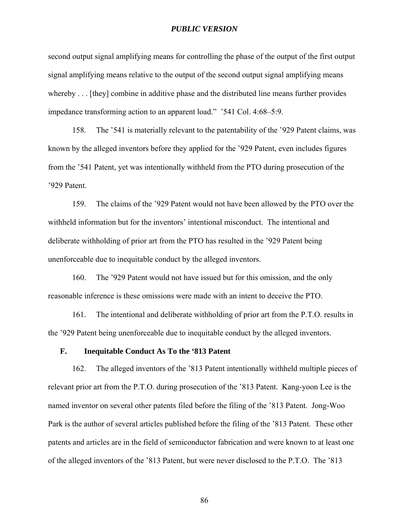second output signal amplifying means for controlling the phase of the output of the first output signal amplifying means relative to the output of the second output signal amplifying means whereby . . . [they] combine in additive phase and the distributed line means further provides impedance transforming action to an apparent load." '541 Col. 4:68–5:9.

158. The '541 is materially relevant to the patentability of the '929 Patent claims, was known by the alleged inventors before they applied for the '929 Patent, even includes figures from the '541 Patent, yet was intentionally withheld from the PTO during prosecution of the '929 Patent.

159. The claims of the '929 Patent would not have been allowed by the PTO over the withheld information but for the inventors' intentional misconduct. The intentional and deliberate withholding of prior art from the PTO has resulted in the '929 Patent being unenforceable due to inequitable conduct by the alleged inventors.

160. The '929 Patent would not have issued but for this omission, and the only reasonable inference is these omissions were made with an intent to deceive the PTO.

161. The intentional and deliberate withholding of prior art from the P.T.O. results in the '929 Patent being unenforceable due to inequitable conduct by the alleged inventors.

#### **F. Inequitable Conduct As To the '813 Patent**

162. The alleged inventors of the '813 Patent intentionally withheld multiple pieces of relevant prior art from the P.T.O. during prosecution of the '813 Patent. Kang-yoon Lee is the named inventor on several other patents filed before the filing of the '813 Patent. Jong-Woo Park is the author of several articles published before the filing of the '813 Patent. These other patents and articles are in the field of semiconductor fabrication and were known to at least one of the alleged inventors of the '813 Patent, but were never disclosed to the P.T.O. The '813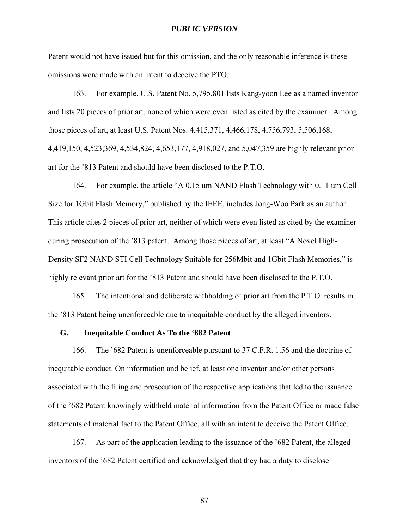Patent would not have issued but for this omission, and the only reasonable inference is these omissions were made with an intent to deceive the PTO.

163. For example, U.S. Patent No. 5,795,801 lists Kang-yoon Lee as a named inventor and lists 20 pieces of prior art, none of which were even listed as cited by the examiner. Among those pieces of art, at least U.S. Patent Nos. 4,415,371, 4,466,178, 4,756,793, 5,506,168, 4,419,150, 4,523,369, 4,534,824, 4,653,177, 4,918,027, and 5,047,359 are highly relevant prior art for the '813 Patent and should have been disclosed to the P.T.O.

164. For example, the article "A 0.15 um NAND Flash Technology with 0.11 um Cell Size for 1Gbit Flash Memory," published by the IEEE, includes Jong-Woo Park as an author. This article cites 2 pieces of prior art, neither of which were even listed as cited by the examiner during prosecution of the '813 patent. Among those pieces of art, at least "A Novel High-Density SF2 NAND STI Cell Technology Suitable for 256Mbit and 1Gbit Flash Memories," is highly relevant prior art for the '813 Patent and should have been disclosed to the P.T.O.

165. The intentional and deliberate withholding of prior art from the P.T.O. results in the '813 Patent being unenforceable due to inequitable conduct by the alleged inventors.

### **G. Inequitable Conduct As To the '682 Patent**

166. The '682 Patent is unenforceable pursuant to 37 C.F.R. 1.56 and the doctrine of inequitable conduct. On information and belief, at least one inventor and/or other persons associated with the filing and prosecution of the respective applications that led to the issuance of the '682 Patent knowingly withheld material information from the Patent Office or made false statements of material fact to the Patent Office, all with an intent to deceive the Patent Office.

167. As part of the application leading to the issuance of the '682 Patent, the alleged inventors of the '682 Patent certified and acknowledged that they had a duty to disclose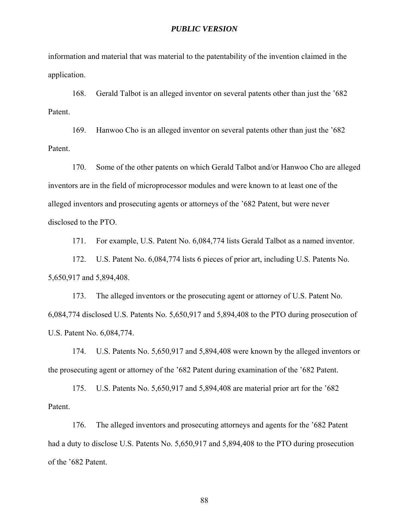information and material that was material to the patentability of the invention claimed in the application.

168. Gerald Talbot is an alleged inventor on several patents other than just the '682 Patent.

169. Hanwoo Cho is an alleged inventor on several patents other than just the '682 Patent.

170. Some of the other patents on which Gerald Talbot and/or Hanwoo Cho are alleged inventors are in the field of microprocessor modules and were known to at least one of the alleged inventors and prosecuting agents or attorneys of the '682 Patent, but were never disclosed to the PTO.

171. For example, U.S. Patent No. 6,084,774 lists Gerald Talbot as a named inventor.

172. U.S. Patent No. 6,084,774 lists 6 pieces of prior art, including U.S. Patents No. 5,650,917 and 5,894,408.

173. The alleged inventors or the prosecuting agent or attorney of U.S. Patent No. 6,084,774 disclosed U.S. Patents No. 5,650,917 and 5,894,408 to the PTO during prosecution of U.S. Patent No. 6,084,774.

174. U.S. Patents No. 5,650,917 and 5,894,408 were known by the alleged inventors or the prosecuting agent or attorney of the '682 Patent during examination of the '682 Patent.

175. U.S. Patents No. 5,650,917 and 5,894,408 are material prior art for the '682 Patent.

176. The alleged inventors and prosecuting attorneys and agents for the '682 Patent had a duty to disclose U.S. Patents No. 5,650,917 and 5,894,408 to the PTO during prosecution of the '682 Patent.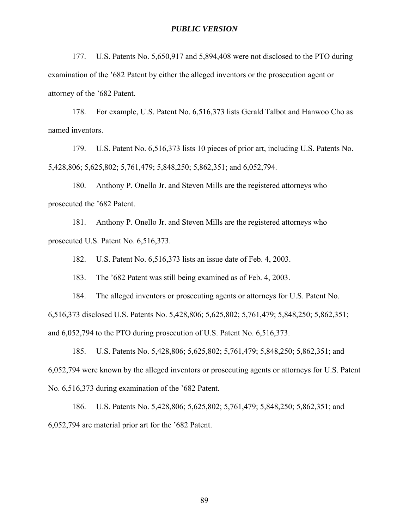177. U.S. Patents No. 5,650,917 and 5,894,408 were not disclosed to the PTO during examination of the '682 Patent by either the alleged inventors or the prosecution agent or attorney of the '682 Patent.

178. For example, U.S. Patent No. 6,516,373 lists Gerald Talbot and Hanwoo Cho as named inventors.

179. U.S. Patent No. 6,516,373 lists 10 pieces of prior art, including U.S. Patents No. 5,428,806; 5,625,802; 5,761,479; 5,848,250; 5,862,351; and 6,052,794.

180. Anthony P. Onello Jr. and Steven Mills are the registered attorneys who prosecuted the '682 Patent.

181. Anthony P. Onello Jr. and Steven Mills are the registered attorneys who prosecuted U.S. Patent No. 6,516,373.

182. U.S. Patent No. 6,516,373 lists an issue date of Feb. 4, 2003.

183. The '682 Patent was still being examined as of Feb. 4, 2003.

184. The alleged inventors or prosecuting agents or attorneys for U.S. Patent No.

6,516,373 disclosed U.S. Patents No. 5,428,806; 5,625,802; 5,761,479; 5,848,250; 5,862,351;

and 6,052,794 to the PTO during prosecution of U.S. Patent No. 6,516,373.

185. U.S. Patents No. 5,428,806; 5,625,802; 5,761,479; 5,848,250; 5,862,351; and 6,052,794 were known by the alleged inventors or prosecuting agents or attorneys for U.S. Patent No. 6,516,373 during examination of the '682 Patent.

186. U.S. Patents No. 5,428,806; 5,625,802; 5,761,479; 5,848,250; 5,862,351; and 6,052,794 are material prior art for the '682 Patent.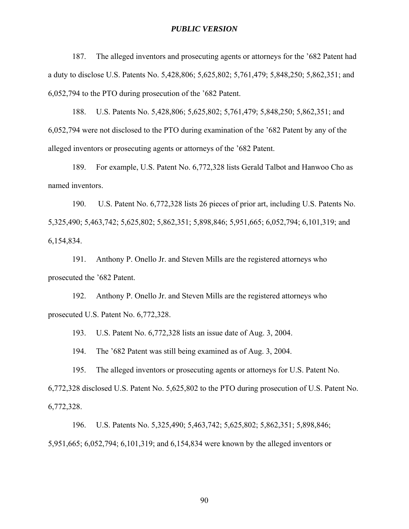187. The alleged inventors and prosecuting agents or attorneys for the '682 Patent had a duty to disclose U.S. Patents No. 5,428,806; 5,625,802; 5,761,479; 5,848,250; 5,862,351; and 6,052,794 to the PTO during prosecution of the '682 Patent.

188. U.S. Patents No. 5,428,806; 5,625,802; 5,761,479; 5,848,250; 5,862,351; and 6,052,794 were not disclosed to the PTO during examination of the '682 Patent by any of the alleged inventors or prosecuting agents or attorneys of the '682 Patent.

189. For example, U.S. Patent No. 6,772,328 lists Gerald Talbot and Hanwoo Cho as named inventors.

190. U.S. Patent No. 6,772,328 lists 26 pieces of prior art, including U.S. Patents No. 5,325,490; 5,463,742; 5,625,802; 5,862,351; 5,898,846; 5,951,665; 6,052,794; 6,101,319; and 6,154,834.

191. Anthony P. Onello Jr. and Steven Mills are the registered attorneys who prosecuted the '682 Patent.

192. Anthony P. Onello Jr. and Steven Mills are the registered attorneys who prosecuted U.S. Patent No. 6,772,328.

193. U.S. Patent No. 6,772,328 lists an issue date of Aug. 3, 2004.

194. The '682 Patent was still being examined as of Aug. 3, 2004.

195. The alleged inventors or prosecuting agents or attorneys for U.S. Patent No.

6,772,328 disclosed U.S. Patent No. 5,625,802 to the PTO during prosecution of U.S. Patent No. 6,772,328.

196. U.S. Patents No. 5,325,490; 5,463,742; 5,625,802; 5,862,351; 5,898,846; 5,951,665; 6,052,794; 6,101,319; and 6,154,834 were known by the alleged inventors or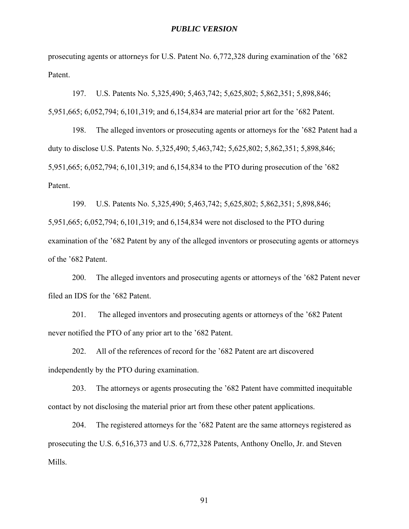prosecuting agents or attorneys for U.S. Patent No. 6,772,328 during examination of the '682 Patent.

197. U.S. Patents No. 5,325,490; 5,463,742; 5,625,802; 5,862,351; 5,898,846; 5,951,665; 6,052,794; 6,101,319; and 6,154,834 are material prior art for the '682 Patent.

198. The alleged inventors or prosecuting agents or attorneys for the '682 Patent had a duty to disclose U.S. Patents No. 5,325,490; 5,463,742; 5,625,802; 5,862,351; 5,898,846; 5,951,665; 6,052,794; 6,101,319; and 6,154,834 to the PTO during prosecution of the '682 Patent.

199. U.S. Patents No. 5,325,490; 5,463,742; 5,625,802; 5,862,351; 5,898,846; 5,951,665; 6,052,794; 6,101,319; and 6,154,834 were not disclosed to the PTO during examination of the '682 Patent by any of the alleged inventors or prosecuting agents or attorneys of the '682 Patent.

200. The alleged inventors and prosecuting agents or attorneys of the '682 Patent never filed an IDS for the '682 Patent.

201. The alleged inventors and prosecuting agents or attorneys of the '682 Patent never notified the PTO of any prior art to the '682 Patent.

202. All of the references of record for the '682 Patent are art discovered independently by the PTO during examination.

203. The attorneys or agents prosecuting the '682 Patent have committed inequitable contact by not disclosing the material prior art from these other patent applications.

204. The registered attorneys for the '682 Patent are the same attorneys registered as prosecuting the U.S. 6,516,373 and U.S. 6,772,328 Patents, Anthony Onello, Jr. and Steven Mills.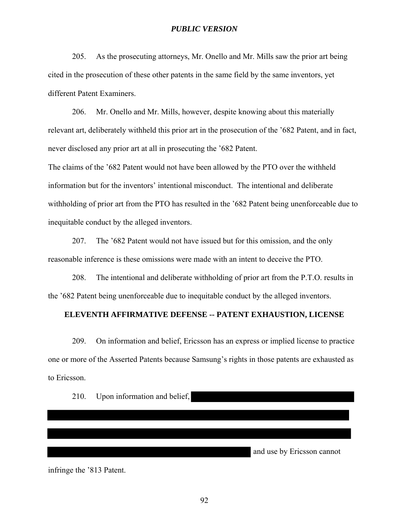205. As the prosecuting attorneys, Mr. Onello and Mr. Mills saw the prior art being cited in the prosecution of these other patents in the same field by the same inventors, yet different Patent Examiners.

206. Mr. Onello and Mr. Mills, however, despite knowing about this materially relevant art, deliberately withheld this prior art in the prosecution of the '682 Patent, and in fact, never disclosed any prior art at all in prosecuting the '682 Patent.

The claims of the '682 Patent would not have been allowed by the PTO over the withheld information but for the inventors' intentional misconduct. The intentional and deliberate withholding of prior art from the PTO has resulted in the '682 Patent being unenforceable due to inequitable conduct by the alleged inventors.

207. The '682 Patent would not have issued but for this omission, and the only reasonable inference is these omissions were made with an intent to deceive the PTO.

208. The intentional and deliberate withholding of prior art from the P.T.O. results in the '682 Patent being unenforceable due to inequitable conduct by the alleged inventors.

#### **ELEVENTH AFFIRMATIVE DEFENSE -- PATENT EXHAUSTION, LICENSE**

209. On information and belief, Ericsson has an express or implied license to practice one or more of the Asserted Patents because Samsung's rights in those patents are exhausted as to Ericsson.

210. Upon information and belief,

and use by Ericsson cannot

infringe the '813 Patent.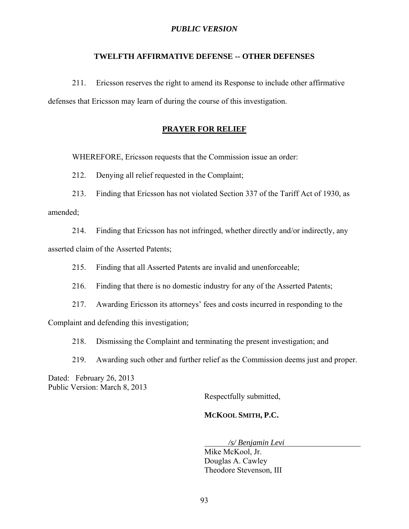# **TWELFTH AFFIRMATIVE DEFENSE -- OTHER DEFENSES**

211. Ericsson reserves the right to amend its Response to include other affirmative defenses that Ericsson may learn of during the course of this investigation.

#### **PRAYER FOR RELIEF**

WHEREFORE, Ericsson requests that the Commission issue an order:

212. Denying all relief requested in the Complaint;

213. Finding that Ericsson has not violated Section 337 of the Tariff Act of 1930, as amended;

214. Finding that Ericsson has not infringed, whether directly and/or indirectly, any asserted claim of the Asserted Patents;

215. Finding that all Asserted Patents are invalid and unenforceable;

216. Finding that there is no domestic industry for any of the Asserted Patents;

217. Awarding Ericsson its attorneys' fees and costs incurred in responding to the

Complaint and defending this investigation;

218. Dismissing the Complaint and terminating the present investigation; and

219. Awarding such other and further relief as the Commission deems just and proper.

Dated: February 26, 2013 Public Version: March 8, 2013

Respectfully submitted,

# **MCKOOL SMITH, P.C.**

*/s/ Benjamin Levi* 

Mike McKool, Jr. Douglas A. Cawley Theodore Stevenson, III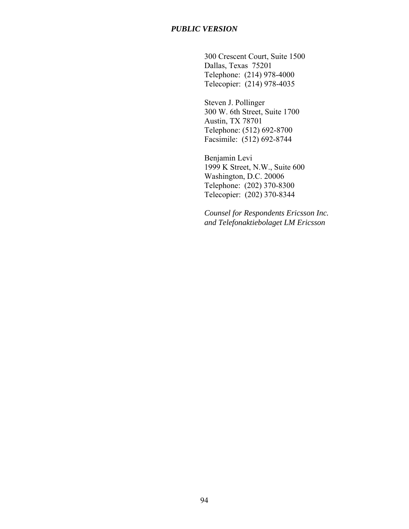300 Crescent Court, Suite 1500 Dallas, Texas 75201 Telephone: (214) 978-4000 Telecopier: (214) 978-4035

Steven J. Pollinger 300 W. 6th Street, Suite 1700 Austin, TX 78701 Telephone: (512) 692-8700 Facsimile: (512) 692-8744

Benjamin Levi 1999 K Street, N.W., Suite 600 Washington, D.C. 20006 Telephone: (202) 370-8300 Telecopier: (202) 370-8344

*Counsel for Respondents Ericsson Inc. and Telefonaktiebolaget LM Ericsson*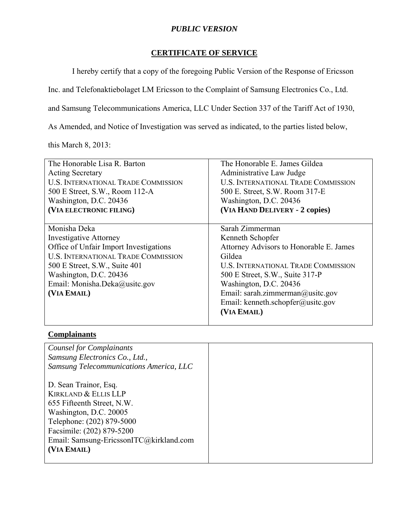# **CERTIFICATE OF SERVICE**

I hereby certify that a copy of the foregoing Public Version of the Response of Ericsson

Inc. and Telefonaktiebolaget LM Ericsson to the Complaint of Samsung Electronics Co., Ltd.

and Samsung Telecommunications America, LLC Under Section 337 of the Tariff Act of 1930,

As Amended, and Notice of Investigation was served as indicated, to the parties listed below,

this March 8, 2013:

| The Honorable Lisa R. Barton               | The Honorable E. James Gildea              |
|--------------------------------------------|--------------------------------------------|
| <b>Acting Secretary</b>                    | Administrative Law Judge                   |
| <b>U.S. INTERNATIONAL TRADE COMMISSION</b> | <b>U.S. INTERNATIONAL TRADE COMMISSION</b> |
| 500 E Street, S.W., Room 112-A             | 500 E. Street, S.W. Room 317-E             |
| Washington, D.C. 20436                     | Washington, D.C. 20436                     |
| (VIA ELECTRONIC FILING)                    | (VIA HAND DELIVERY - 2 copies)             |
|                                            |                                            |
| Monisha Deka                               | Sarah Zimmerman                            |
| <b>Investigative Attorney</b>              | Kenneth Schopfer                           |
| Office of Unfair Import Investigations     | Attorney Advisors to Honorable E. James    |
| <b>U.S. INTERNATIONAL TRADE COMMISSION</b> | Gildea                                     |
| 500 E Street, S.W., Suite 401              | <b>U.S. INTERNATIONAL TRADE COMMISSION</b> |
| Washington, D.C. 20436                     | 500 E Street, S.W., Suite 317-P            |
| Email: Monisha.Deka@usitc.gov              | Washington, D.C. 20436                     |
| (VIA EMAIL)                                | Email: sarah.zimmerman@usitc.gov           |
|                                            | Email: kenneth.schopfer@usitc.gov          |
|                                            | (VIA EMAIL)                                |
|                                            |                                            |

# **Complainants**

| <b>Counsel for Complainants</b>         |  |
|-----------------------------------------|--|
| Samsung Electronics Co., Ltd.,          |  |
| Samsung Telecommunications America, LLC |  |
|                                         |  |
| D. Sean Trainor, Esq.                   |  |
| <b>KIRKLAND &amp; ELLIS LLP</b>         |  |
| 655 Fifteenth Street, N.W.              |  |
| Washington, D.C. 20005                  |  |
| Telephone: (202) 879-5000               |  |
| Facsimile: (202) 879-5200               |  |
| Email: Samsung-EricssonITC@kirkland.com |  |
| (VIA EMAIL)                             |  |
|                                         |  |